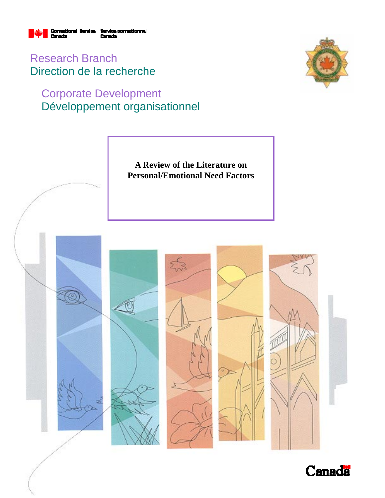

Research Branch Direction de la recherche

# Corporate Development Développement organisationnel





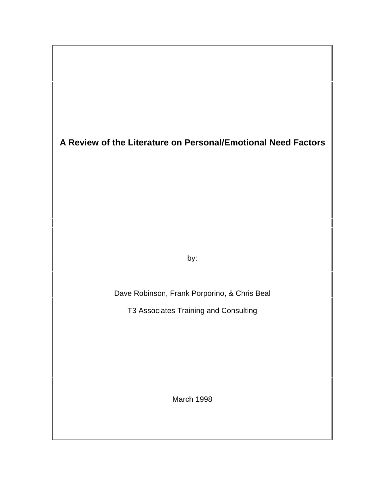**A Review of the Literature on Personal/Emotional Need Factors**

by:

Dave Robinson, Frank Porporino, & Chris Beal

T3 Associates Training and Consulting

March 1998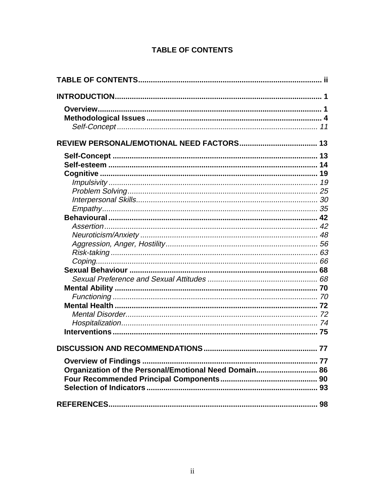# **TABLE OF CONTENTS**

| Organization of the Personal/Emotional Need Domain 86 |  |
|-------------------------------------------------------|--|
|                                                       |  |
|                                                       |  |
|                                                       |  |
|                                                       |  |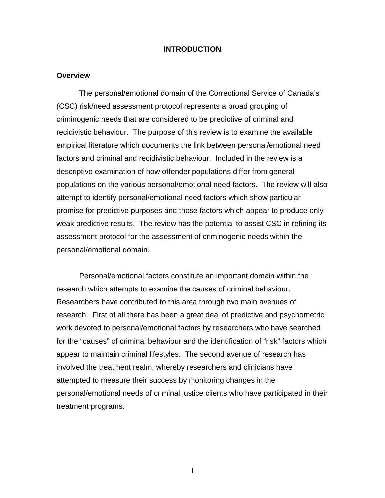## **INTRODUCTION**

#### **Overview**

The personal/emotional domain of the Correctional Service of Canada's (CSC) risk/need assessment protocol represents a broad grouping of criminogenic needs that are considered to be predictive of criminal and recidivistic behaviour. The purpose of this review is to examine the available empirical literature which documents the link between personal/emotional need factors and criminal and recidivistic behaviour. Included in the review is a descriptive examination of how offender populations differ from general populations on the various personal/emotional need factors. The review will also attempt to identify personal/emotional need factors which show particular promise for predictive purposes and those factors which appear to produce only weak predictive results. The review has the potential to assist CSC in refining its assessment protocol for the assessment of criminogenic needs within the personal/emotional domain.

Personal/emotional factors constitute an important domain within the research which attempts to examine the causes of criminal behaviour. Researchers have contributed to this area through two main avenues of research. First of all there has been a great deal of predictive and psychometric work devoted to personal/emotional factors by researchers who have searched for the "causes" of criminal behaviour and the identification of "risk" factors which appear to maintain criminal lifestyles. The second avenue of research has involved the treatment realm, whereby researchers and clinicians have attempted to measure their success by monitoring changes in the personal/emotional needs of criminal justice clients who have participated in their treatment programs.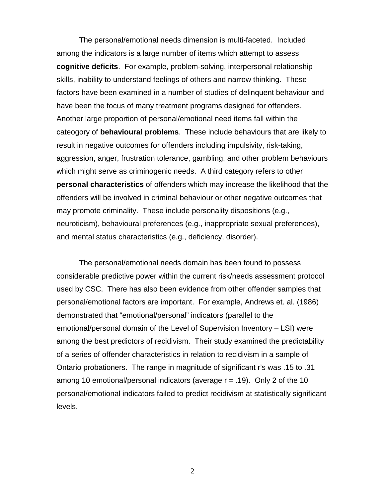The personal/emotional needs dimension is multi-faceted. Included among the indicators is a large number of items which attempt to assess **cognitive deficits**. For example, problem-solving, interpersonal relationship skills, inability to understand feelings of others and narrow thinking. These factors have been examined in a number of studies of delinquent behaviour and have been the focus of many treatment programs designed for offenders. Another large proportion of personal/emotional need items fall within the cateogory of **behavioural problems**. These include behaviours that are likely to result in negative outcomes for offenders including impulsivity, risk-taking, aggression, anger, frustration tolerance, gambling, and other problem behaviours which might serve as criminogenic needs. A third category refers to other **personal characteristics** of offenders which may increase the likelihood that the offenders will be involved in criminal behaviour or other negative outcomes that may promote criminality. These include personality dispositions (e.g., neuroticism), behavioural preferences (e.g., inappropriate sexual preferences), and mental status characteristics (e.g., deficiency, disorder).

The personal/emotional needs domain has been found to possess considerable predictive power within the current risk/needs assessment protocol used by CSC. There has also been evidence from other offender samples that personal/emotional factors are important. For example, Andrews et. al. (1986) demonstrated that "emotional/personal" indicators (parallel to the emotional/personal domain of the Level of Supervision Inventory – LSI) were among the best predictors of recidivism. Their study examined the predictability of a series of offender characteristics in relation to recidivism in a sample of Ontario probationers. The range in magnitude of significant r's was .15 to .31 among 10 emotional/personal indicators (average  $r = .19$ ). Only 2 of the 10 personal/emotional indicators failed to predict recidivism at statistically significant levels.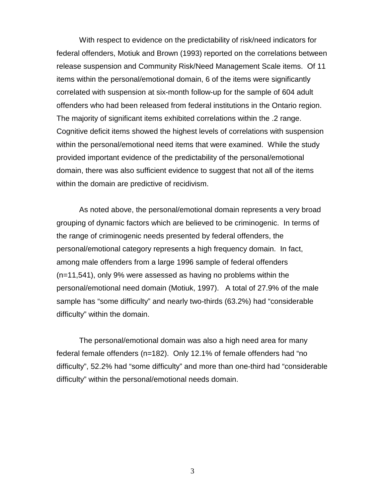With respect to evidence on the predictability of risk/need indicators for federal offenders, Motiuk and Brown (1993) reported on the correlations between release suspension and Community Risk/Need Management Scale items. Of 11 items within the personal/emotional domain, 6 of the items were significantly correlated with suspension at six-month follow-up for the sample of 604 adult offenders who had been released from federal institutions in the Ontario region. The majority of significant items exhibited correlations within the .2 range. Cognitive deficit items showed the highest levels of correlations with suspension within the personal/emotional need items that were examined. While the study provided important evidence of the predictability of the personal/emotional domain, there was also sufficient evidence to suggest that not all of the items within the domain are predictive of recidivism.

As noted above, the personal/emotional domain represents a very broad grouping of dynamic factors which are believed to be criminogenic. In terms of the range of criminogenic needs presented by federal offenders, the personal/emotional category represents a high frequency domain. In fact, among male offenders from a large 1996 sample of federal offenders (n=11,541), only 9% were assessed as having no problems within the personal/emotional need domain (Motiuk, 1997). A total of 27.9% of the male sample has "some difficulty" and nearly two-thirds (63.2%) had "considerable difficulty" within the domain.

The personal/emotional domain was also a high need area for many federal female offenders (n=182). Only 12.1% of female offenders had "no difficulty", 52.2% had "some difficulty" and more than one-third had "considerable difficulty" within the personal/emotional needs domain.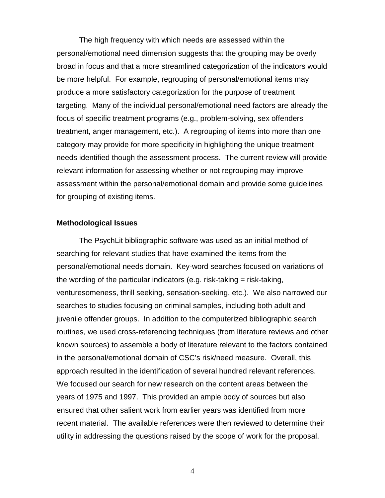The high frequency with which needs are assessed within the personal/emotional need dimension suggests that the grouping may be overly broad in focus and that a more streamlined categorization of the indicators would be more helpful. For example, regrouping of personal/emotional items may produce a more satisfactory categorization for the purpose of treatment targeting. Many of the individual personal/emotional need factors are already the focus of specific treatment programs (e.g., problem-solving, sex offenders treatment, anger management, etc.). A regrouping of items into more than one category may provide for more specificity in highlighting the unique treatment needs identified though the assessment process. The current review will provide relevant information for assessing whether or not regrouping may improve assessment within the personal/emotional domain and provide some guidelines for grouping of existing items.

## **Methodological Issues**

The PsychLit bibliographic software was used as an initial method of searching for relevant studies that have examined the items from the personal/emotional needs domain. Key-word searches focused on variations of the wording of the particular indicators (e.g. risk-taking = risk-taking, venturesomeness, thrill seeking, sensation-seeking, etc.). We also narrowed our searches to studies focusing on criminal samples, including both adult and juvenile offender groups. In addition to the computerized bibliographic search routines, we used cross-referencing techniques (from literature reviews and other known sources) to assemble a body of literature relevant to the factors contained in the personal/emotional domain of CSC's risk/need measure. Overall, this approach resulted in the identification of several hundred relevant references. We focused our search for new research on the content areas between the years of 1975 and 1997. This provided an ample body of sources but also ensured that other salient work from earlier years was identified from more recent material. The available references were then reviewed to determine their utility in addressing the questions raised by the scope of work for the proposal.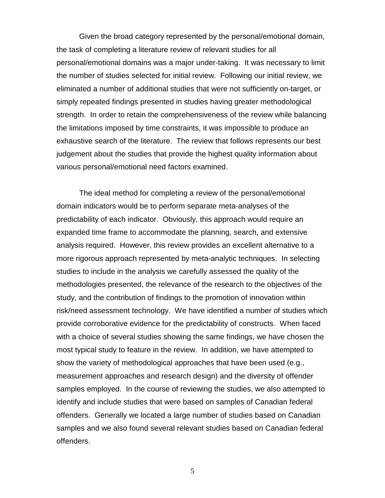Given the broad category represented by the personal/emotional domain, the task of completing a literature review of relevant studies for all personal/emotional domains was a major under-taking. It was necessary to limit the number of studies selected for initial review. Following our initial review, we eliminated a number of additional studies that were not sufficiently on-target, or simply repeated findings presented in studies having greater methodological strength. In order to retain the comprehensiveness of the review while balancing the limitations imposed by time constraints, it was impossible to produce an exhaustive search of the literature. The review that follows represents our best judgement about the studies that provide the highest quality information about various personal/emotional need factors examined.

The ideal method for completing a review of the personal/emotional domain indicators would be to perform separate meta-analyses of the predictability of each indicator. Obviously, this approach would require an expanded time frame to accommodate the planning, search, and extensive analysis required. However, this review provides an excellent alternative to a more rigorous approach represented by meta-analytic techniques. In selecting studies to include in the analysis we carefully assessed the quality of the methodologies presented, the relevance of the research to the objectives of the study, and the contribution of findings to the promotion of innovation within risk/need assessment technology. We have identified a number of studies which provide corroborative evidence for the predictability of constructs. When faced with a choice of several studies showing the same findings, we have chosen the most typical study to feature in the review. In addition, we have attempted to show the variety of methodological approaches that have been used (e.g., measurement approaches and research design) and the diversity of offender samples employed. In the course of reviewing the studies, we also attempted to identify and include studies that were based on samples of Canadian federal offenders. Generally we located a large number of studies based on Canadian samples and we also found several relevant studies based on Canadian federal offenders.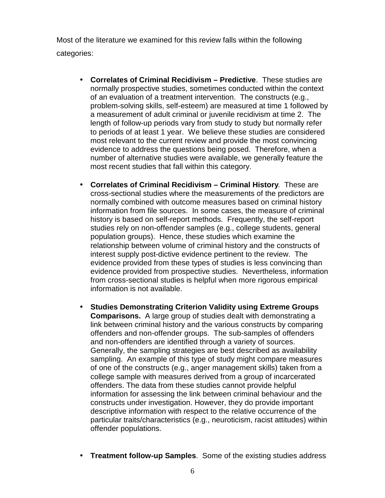Most of the literature we examined for this review falls within the following categories:

- **Correlates of Criminal Recidivism Predictive**. These studies are normally prospective studies, sometimes conducted within the context of an evaluation of a treatment intervention. The constructs (e.g., problem-solving skills, self-esteem) are measured at time 1 followed by a measurement of adult criminal or juvenile recidivism at time 2. The length of follow-up periods vary from study to study but normally refer to periods of at least 1 year. We believe these studies are considered most relevant to the current review and provide the most convincing evidence to address the questions being posed. Therefore, when a number of alternative studies were available, we generally feature the most recent studies that fall within this category.
- **Correlates of Criminal Recidivism Criminal History**. These are cross-sectional studies where the measurements of the predictors are normally combined with outcome measures based on criminal history information from file sources. In some cases, the measure of criminal history is based on self-report methods. Frequently, the self-report studies rely on non-offender samples (e.g., college students, general population groups). Hence, these studies which examine the relationship between volume of criminal history and the constructs of interest supply post-dictive evidence pertinent to the review. The evidence provided from these types of studies is less convincing than evidence provided from prospective studies. Nevertheless, information from cross-sectional studies is helpful when more rigorous empirical information is not available.
- **Studies Demonstrating Criterion Validity using Extreme Groups Comparisons.** A large group of studies dealt with demonstrating a link between criminal history and the various constructs by comparing offenders and non-offender groups. The sub-samples of offenders and non-offenders are identified through a variety of sources. Generally, the sampling strategies are best described as availability sampling. An example of this type of study might compare measures of one of the constructs (e.g., anger management skills) taken from a college sample with measures derived from a group of incarcerated offenders. The data from these studies cannot provide helpful information for assessing the link between criminal behaviour and the constructs under investigation. However, they do provide important descriptive information with respect to the relative occurrence of the particular traits/characteristics (e.g., neuroticism, racist attitudes) within offender populations.
- **Treatment follow-up Samples**. Some of the existing studies address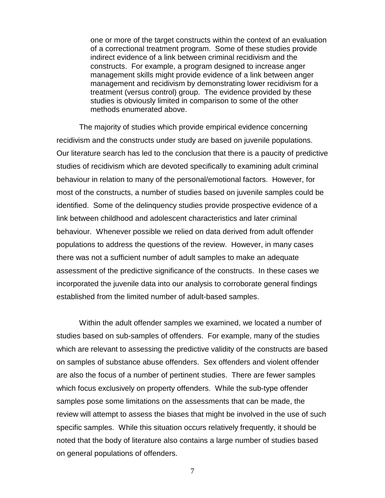one or more of the target constructs within the context of an evaluation of a correctional treatment program. Some of these studies provide indirect evidence of a link between criminal recidivism and the constructs. For example, a program designed to increase anger management skills might provide evidence of a link between anger management and recidivism by demonstrating lower recidivism for a treatment (versus control) group. The evidence provided by these studies is obviously limited in comparison to some of the other methods enumerated above.

The majority of studies which provide empirical evidence concerning recidivism and the constructs under study are based on juvenile populations. Our literature search has led to the conclusion that there is a paucity of predictive studies of recidivism which are devoted specifically to examining adult criminal behaviour in relation to many of the personal/emotional factors. However, for most of the constructs, a number of studies based on juvenile samples could be identified. Some of the delinquency studies provide prospective evidence of a link between childhood and adolescent characteristics and later criminal behaviour. Whenever possible we relied on data derived from adult offender populations to address the questions of the review. However, in many cases there was not a sufficient number of adult samples to make an adequate assessment of the predictive significance of the constructs. In these cases we incorporated the juvenile data into our analysis to corroborate general findings established from the limited number of adult-based samples.

Within the adult offender samples we examined, we located a number of studies based on sub-samples of offenders. For example, many of the studies which are relevant to assessing the predictive validity of the constructs are based on samples of substance abuse offenders. Sex offenders and violent offender are also the focus of a number of pertinent studies. There are fewer samples which focus exclusively on property offenders. While the sub-type offender samples pose some limitations on the assessments that can be made, the review will attempt to assess the biases that might be involved in the use of such specific samples. While this situation occurs relatively frequently, it should be noted that the body of literature also contains a large number of studies based on general populations of offenders.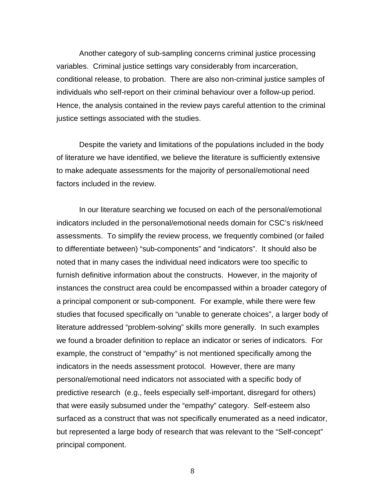Another category of sub-sampling concerns criminal justice processing variables. Criminal justice settings vary considerably from incarceration, conditional release, to probation. There are also non-criminal justice samples of individuals who self-report on their criminal behaviour over a follow-up period. Hence, the analysis contained in the review pays careful attention to the criminal justice settings associated with the studies.

Despite the variety and limitations of the populations included in the body of literature we have identified, we believe the literature is sufficiently extensive to make adequate assessments for the majority of personal/emotional need factors included in the review.

In our literature searching we focused on each of the personal/emotional indicators included in the personal/emotional needs domain for CSC's risk/need assessments. To simplify the review process, we frequently combined (or failed to differentiate between) "sub-components" and "indicators". It should also be noted that in many cases the individual need indicators were too specific to furnish definitive information about the constructs. However, in the majority of instances the construct area could be encompassed within a broader category of a principal component or sub-component. For example, while there were few studies that focused specifically on "unable to generate choices", a larger body of literature addressed "problem-solving" skills more generally. In such examples we found a broader definition to replace an indicator or series of indicators. For example, the construct of "empathy" is not mentioned specifically among the indicators in the needs assessment protocol. However, there are many personal/emotional need indicators not associated with a specific body of predictive research (e.g., feels especially self-important, disregard for others) that were easily subsumed under the "empathy" category. Self-esteem also surfaced as a construct that was not specifically enumerated as a need indicator, but represented a large body of research that was relevant to the "Self-concept" principal component.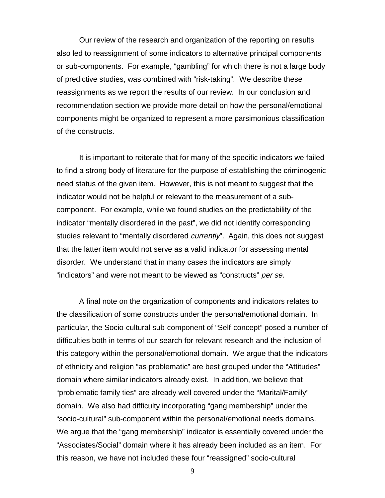Our review of the research and organization of the reporting on results also led to reassignment of some indicators to alternative principal components or sub-components. For example, "gambling" for which there is not a large body of predictive studies, was combined with "risk-taking". We describe these reassignments as we report the results of our review. In our conclusion and recommendation section we provide more detail on how the personal/emotional components might be organized to represent a more parsimonious classification of the constructs.

It is important to reiterate that for many of the specific indicators we failed to find a strong body of literature for the purpose of establishing the criminogenic need status of the given item. However, this is not meant to suggest that the indicator would not be helpful or relevant to the measurement of a subcomponent. For example, while we found studies on the predictability of the indicator "mentally disordered in the past", we did not identify corresponding studies relevant to "mentally disordered *currently*". Again, this does not suggest that the latter item would not serve as a valid indicator for assessing mental disorder. We understand that in many cases the indicators are simply "indicators" and were not meant to be viewed as "constructs" per se.

A final note on the organization of components and indicators relates to the classification of some constructs under the personal/emotional domain. In particular, the Socio-cultural sub-component of "Self-concept" posed a number of difficulties both in terms of our search for relevant research and the inclusion of this category within the personal/emotional domain. We argue that the indicators of ethnicity and religion "as problematic" are best grouped under the "Attitudes" domain where similar indicators already exist. In addition, we believe that "problematic family ties" are already well covered under the "Marital/Family" domain. We also had difficulty incorporating "gang membership" under the "socio-cultural" sub-component within the personal/emotional needs domains. We argue that the "gang membership" indicator is essentially covered under the "Associates/Social" domain where it has already been included as an item. For this reason, we have not included these four "reassigned" socio-cultural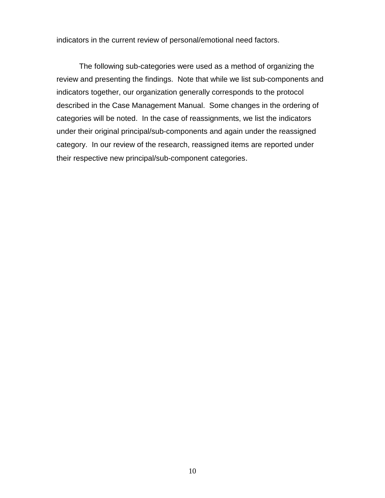indicators in the current review of personal/emotional need factors.

The following sub-categories were used as a method of organizing the review and presenting the findings. Note that while we list sub-components and indicators together, our organization generally corresponds to the protocol described in the Case Management Manual. Some changes in the ordering of categories will be noted. In the case of reassignments, we list the indicators under their original principal/sub-components and again under the reassigned category. In our review of the research, reassigned items are reported under their respective new principal/sub-component categories.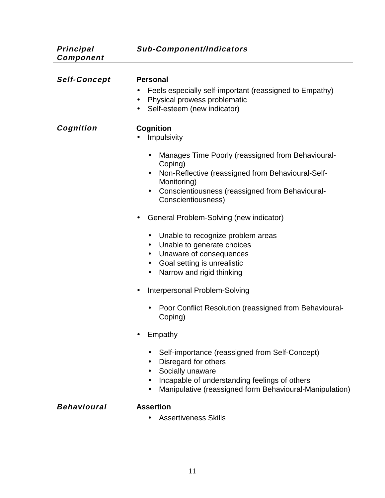**Principal Component**

| <b>Self-Concept</b> | <b>Personal</b><br>Feels especially self-important (reassigned to Empathy)<br>Physical prowess problematic<br>$\bullet$<br>Self-esteem (new indicator)<br>$\bullet$                                                                              |
|---------------------|--------------------------------------------------------------------------------------------------------------------------------------------------------------------------------------------------------------------------------------------------|
| Cognition           | <b>Cognition</b><br>Impulsivity                                                                                                                                                                                                                  |
|                     | Manages Time Poorly (reassigned from Behavioural-<br>$\bullet$<br>Coping)<br>Non-Reflective (reassigned from Behavioural-Self-<br>$\bullet$<br>Monitoring)<br>Conscientiousness (reassigned from Behavioural-<br>$\bullet$<br>Conscientiousness) |
|                     | General Problem-Solving (new indicator)<br>$\bullet$                                                                                                                                                                                             |
|                     | Unable to recognize problem areas<br>$\bullet$<br>Unable to generate choices<br>$\bullet$<br>Unaware of consequences<br>$\bullet$<br>Goal setting is unrealistic<br>$\bullet$<br>Narrow and rigid thinking<br>$\bullet$                          |
|                     | Interpersonal Problem-Solving<br>$\bullet$                                                                                                                                                                                                       |
|                     | Poor Conflict Resolution (reassigned from Behavioural-<br>Coping)                                                                                                                                                                                |
|                     | Empathy                                                                                                                                                                                                                                          |
|                     | Self-importance (reassigned from Self-Concept)<br>Disregard for others<br>Socially unaware<br>Incapable of understanding feelings of others<br>Manipulative (reassigned form Behavioural-Manipulation)                                           |
|                     |                                                                                                                                                                                                                                                  |

# **Behavioural Assertion**

• Assertiveness Skills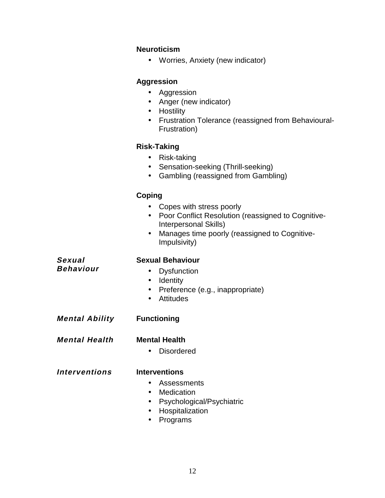# **Neuroticism**

• Worries, Anxiety (new indicator)

# **Aggression**

- Aggression
- Anger (new indicator)
- Hostility
- Frustration Tolerance (reassigned from Behavioural-Frustration)

# **Risk-Taking**

- Risk-taking
- Sensation-seeking (Thrill-seeking)
- Gambling (reassigned from Gambling)

# **Coping**

- Copes with stress poorly
- Poor Conflict Resolution (reassigned to Cognitive-Interpersonal Skills)
- Manages time poorly (reassigned to Cognitive-Impulsivity)

**Sexual Behaviour**

# **Sexual Behaviour**

- Dysfunction
- Identity
- Preference (e.g., inappropriate)
- Attitudes
- **Mental Ability Functioning**
- **Mental Health Mental Health**
	- Disordered

**Interventions Interventions**

- Assessments
- Medication
- Psychological/Psychiatric
- Hospitalization
- Programs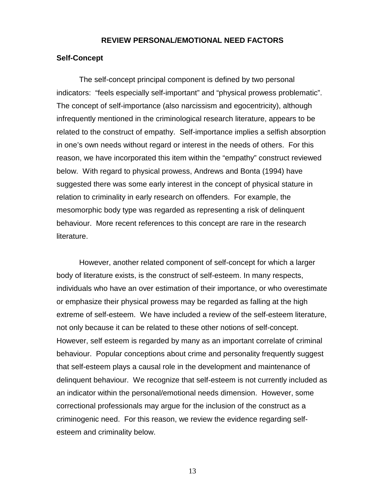#### **REVIEW PERSONAL/EMOTIONAL NEED FACTORS**

#### **Self-Concept**

The self-concept principal component is defined by two personal indicators: "feels especially self-important" and "physical prowess problematic". The concept of self-importance (also narcissism and egocentricity), although infrequently mentioned in the criminological research literature, appears to be related to the construct of empathy. Self-importance implies a selfish absorption in one's own needs without regard or interest in the needs of others. For this reason, we have incorporated this item within the "empathy" construct reviewed below. With regard to physical prowess, Andrews and Bonta (1994) have suggested there was some early interest in the concept of physical stature in relation to criminality in early research on offenders. For example, the mesomorphic body type was regarded as representing a risk of delinquent behaviour. More recent references to this concept are rare in the research literature.

However, another related component of self-concept for which a larger body of literature exists, is the construct of self-esteem. In many respects, individuals who have an over estimation of their importance, or who overestimate or emphasize their physical prowess may be regarded as falling at the high extreme of self-esteem. We have included a review of the self-esteem literature, not only because it can be related to these other notions of self-concept. However, self esteem is regarded by many as an important correlate of criminal behaviour. Popular conceptions about crime and personality frequently suggest that self-esteem plays a causal role in the development and maintenance of delinquent behaviour. We recognize that self-esteem is not currently included as an indicator within the personal/emotional needs dimension. However, some correctional professionals may argue for the inclusion of the construct as a criminogenic need. For this reason, we review the evidence regarding selfesteem and criminality below.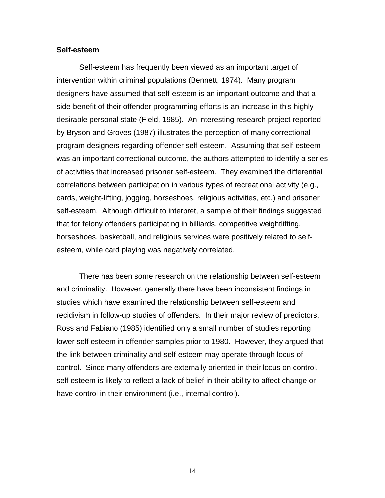#### **Self-esteem**

Self-esteem has frequently been viewed as an important target of intervention within criminal populations (Bennett, 1974). Many program designers have assumed that self-esteem is an important outcome and that a side-benefit of their offender programming efforts is an increase in this highly desirable personal state (Field, 1985). An interesting research project reported by Bryson and Groves (1987) illustrates the perception of many correctional program designers regarding offender self-esteem. Assuming that self-esteem was an important correctional outcome, the authors attempted to identify a series of activities that increased prisoner self-esteem. They examined the differential correlations between participation in various types of recreational activity (e.g., cards, weight-lifting, jogging, horseshoes, religious activities, etc.) and prisoner self-esteem. Although difficult to interpret, a sample of their findings suggested that for felony offenders participating in billiards, competitive weightlifting, horseshoes, basketball, and religious services were positively related to selfesteem, while card playing was negatively correlated.

There has been some research on the relationship between self-esteem and criminality. However, generally there have been inconsistent findings in studies which have examined the relationship between self-esteem and recidivism in follow-up studies of offenders. In their major review of predictors, Ross and Fabiano (1985) identified only a small number of studies reporting lower self esteem in offender samples prior to 1980. However, they argued that the link between criminality and self-esteem may operate through locus of control. Since many offenders are externally oriented in their locus on control, self esteem is likely to reflect a lack of belief in their ability to affect change or have control in their environment (i.e., internal control).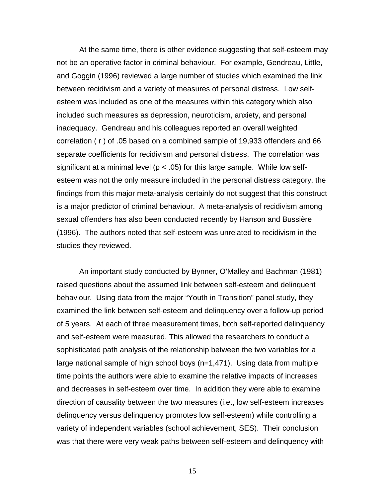At the same time, there is other evidence suggesting that self-esteem may not be an operative factor in criminal behaviour. For example, Gendreau, Little, and Goggin (1996) reviewed a large number of studies which examined the link between recidivism and a variety of measures of personal distress. Low selfesteem was included as one of the measures within this category which also included such measures as depression, neuroticism, anxiety, and personal inadequacy. Gendreau and his colleagues reported an overall weighted correlation ( r ) of .05 based on a combined sample of 19,933 offenders and 66 separate coefficients for recidivism and personal distress. The correlation was significant at a minimal level ( $p < .05$ ) for this large sample. While low selfesteem was not the only measure included in the personal distress category, the findings from this major meta-analysis certainly do not suggest that this construct is a major predictor of criminal behaviour. A meta-analysis of recidivism among sexual offenders has also been conducted recently by Hanson and Bussière (1996). The authors noted that self-esteem was unrelated to recidivism in the studies they reviewed.

An important study conducted by Bynner, O'Malley and Bachman (1981) raised questions about the assumed link between self-esteem and delinquent behaviour. Using data from the major "Youth in Transition" panel study, they examined the link between self-esteem and delinquency over a follow-up period of 5 years. At each of three measurement times, both self-reported delinquency and self-esteem were measured. This allowed the researchers to conduct a sophisticated path analysis of the relationship between the two variables for a large national sample of high school boys (n=1,471). Using data from multiple time points the authors were able to examine the relative impacts of increases and decreases in self-esteem over time. In addition they were able to examine direction of causality between the two measures (i.e., low self-esteem increases delinquency versus delinquency promotes low self-esteem) while controlling a variety of independent variables (school achievement, SES). Their conclusion was that there were very weak paths between self-esteem and delinquency with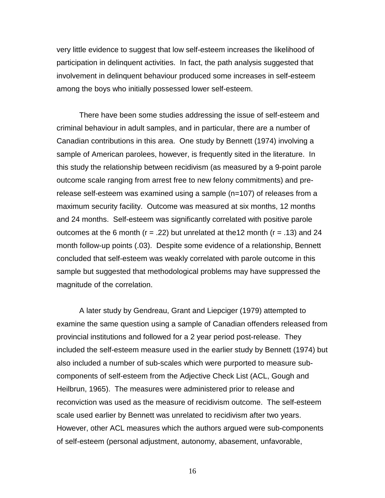very little evidence to suggest that low self-esteem increases the likelihood of participation in delinquent activities. In fact, the path analysis suggested that involvement in delinquent behaviour produced some increases in self-esteem among the boys who initially possessed lower self-esteem.

There have been some studies addressing the issue of self-esteem and criminal behaviour in adult samples, and in particular, there are a number of Canadian contributions in this area. One study by Bennett (1974) involving a sample of American parolees, however, is frequently sited in the literature. In this study the relationship between recidivism (as measured by a 9-point parole outcome scale ranging from arrest free to new felony commitments) and prerelease self-esteem was examined using a sample (n=107) of releases from a maximum security facility. Outcome was measured at six months, 12 months and 24 months. Self-esteem was significantly correlated with positive parole outcomes at the 6 month ( $r = .22$ ) but unrelated at the 12 month ( $r = .13$ ) and 24 month follow-up points (.03). Despite some evidence of a relationship, Bennett concluded that self-esteem was weakly correlated with parole outcome in this sample but suggested that methodological problems may have suppressed the magnitude of the correlation.

A later study by Gendreau, Grant and Liepciger (1979) attempted to examine the same question using a sample of Canadian offenders released from provincial institutions and followed for a 2 year period post-release. They included the self-esteem measure used in the earlier study by Bennett (1974) but also included a number of sub-scales which were purported to measure subcomponents of self-esteem from the Adjective Check List (ACL, Gough and Heilbrun, 1965). The measures were administered prior to release and reconviction was used as the measure of recidivism outcome. The self-esteem scale used earlier by Bennett was unrelated to recidivism after two years. However, other ACL measures which the authors argued were sub-components of self-esteem (personal adjustment, autonomy, abasement, unfavorable,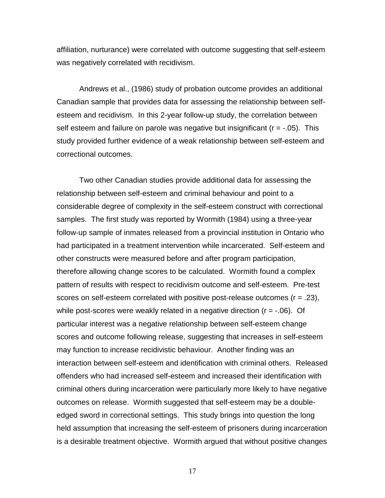affiliation, nurturance) were correlated with outcome suggesting that self-esteem was negatively correlated with recidivism.

Andrews et al., (1986) study of probation outcome provides an additional Canadian sample that provides data for assessing the relationship between selfesteem and recidivism. In this 2-year follow-up study, the correlation between self esteem and failure on parole was negative but insignificant ( $r = -0.05$ ). This study provided further evidence of a weak relationship between self-esteem and correctional outcomes.

Two other Canadian studies provide additional data for assessing the relationship between self-esteem and criminal behaviour and point to a considerable degree of complexity in the self-esteem construct with correctional samples. The first study was reported by Wormith (1984) using a three-year follow-up sample of inmates released from a provincial institution in Ontario who had participated in a treatment intervention while incarcerated. Self-esteem and other constructs were measured before and after program participation, therefore allowing change scores to be calculated. Wormith found a complex pattern of results with respect to recidivism outcome and self-esteem. Pre-test scores on self-esteem correlated with positive post-release outcomes (r = .23), while post-scores were weakly related in a negative direction ( $r = -06$ ). Of particular interest was a negative relationship between self-esteem change scores and outcome following release, suggesting that increases in self-esteem may function to increase recidivistic behaviour. Another finding was an interaction between self-esteem and identification with criminal others. Released offenders who had increased self-esteem and increased their identification with criminal others during incarceration were particularly more likely to have negative outcomes on release. Wormith suggested that self-esteem may be a doubleedged sword in correctional settings. This study brings into question the long held assumption that increasing the self-esteem of prisoners during incarceration is a desirable treatment objective. Wormith argued that without positive changes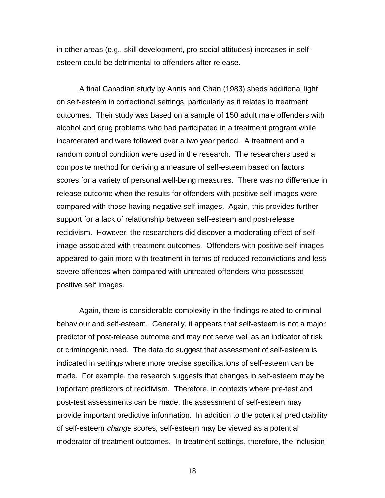in other areas (e.g., skill development, pro-social attitudes) increases in selfesteem could be detrimental to offenders after release.

A final Canadian study by Annis and Chan (1983) sheds additional light on self-esteem in correctional settings, particularly as it relates to treatment outcomes. Their study was based on a sample of 150 adult male offenders with alcohol and drug problems who had participated in a treatment program while incarcerated and were followed over a two year period. A treatment and a random control condition were used in the research. The researchers used a composite method for deriving a measure of self-esteem based on factors scores for a variety of personal well-being measures. There was no difference in release outcome when the results for offenders with positive self-images were compared with those having negative self-images. Again, this provides further support for a lack of relationship between self-esteem and post-release recidivism. However, the researchers did discover a moderating effect of selfimage associated with treatment outcomes. Offenders with positive self-images appeared to gain more with treatment in terms of reduced reconvictions and less severe offences when compared with untreated offenders who possessed positive self images.

Again, there is considerable complexity in the findings related to criminal behaviour and self-esteem. Generally, it appears that self-esteem is not a major predictor of post-release outcome and may not serve well as an indicator of risk or criminogenic need. The data do suggest that assessment of self-esteem is indicated in settings where more precise specifications of self-esteem can be made. For example, the research suggests that changes in self-esteem may be important predictors of recidivism. Therefore, in contexts where pre-test and post-test assessments can be made, the assessment of self-esteem may provide important predictive information. In addition to the potential predictability of self-esteem change scores, self-esteem may be viewed as a potential moderator of treatment outcomes. In treatment settings, therefore, the inclusion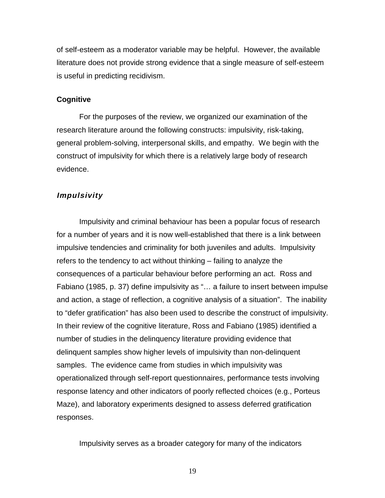of self-esteem as a moderator variable may be helpful. However, the available literature does not provide strong evidence that a single measure of self-esteem is useful in predicting recidivism.

### **Cognitive**

For the purposes of the review, we organized our examination of the research literature around the following constructs: impulsivity, risk-taking, general problem-solving, interpersonal skills, and empathy. We begin with the construct of impulsivity for which there is a relatively large body of research evidence.

# **Impulsivity**

Impulsivity and criminal behaviour has been a popular focus of research for a number of years and it is now well-established that there is a link between impulsive tendencies and criminality for both juveniles and adults. Impulsivity refers to the tendency to act without thinking – failing to analyze the consequences of a particular behaviour before performing an act. Ross and Fabiano (1985, p. 37) define impulsivity as "… a failure to insert between impulse and action, a stage of reflection, a cognitive analysis of a situation". The inability to "defer gratification" has also been used to describe the construct of impulsivity. In their review of the cognitive literature, Ross and Fabiano (1985) identified a number of studies in the delinquency literature providing evidence that delinquent samples show higher levels of impulsivity than non-delinquent samples. The evidence came from studies in which impulsivity was operationalized through self-report questionnaires, performance tests involving response latency and other indicators of poorly reflected choices (e.g., Porteus Maze), and laboratory experiments designed to assess deferred gratification responses.

Impulsivity serves as a broader category for many of the indicators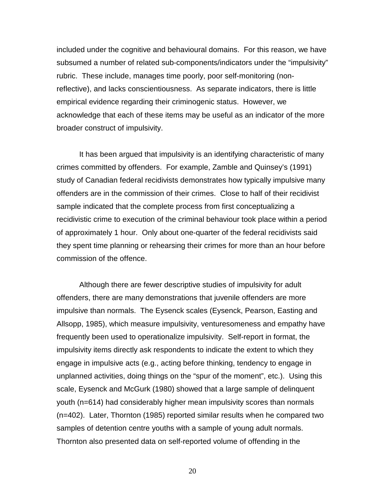included under the cognitive and behavioural domains. For this reason, we have subsumed a number of related sub-components/indicators under the "impulsivity" rubric. These include, manages time poorly, poor self-monitoring (nonreflective), and lacks conscientiousness. As separate indicators, there is little empirical evidence regarding their criminogenic status. However, we acknowledge that each of these items may be useful as an indicator of the more broader construct of impulsivity.

It has been argued that impulsivity is an identifying characteristic of many crimes committed by offenders. For example, Zamble and Quinsey's (1991) study of Canadian federal recidivists demonstrates how typically impulsive many offenders are in the commission of their crimes. Close to half of their recidivist sample indicated that the complete process from first conceptualizing a recidivistic crime to execution of the criminal behaviour took place within a period of approximately 1 hour. Only about one-quarter of the federal recidivists said they spent time planning or rehearsing their crimes for more than an hour before commission of the offence.

Although there are fewer descriptive studies of impulsivity for adult offenders, there are many demonstrations that juvenile offenders are more impulsive than normals. The Eysenck scales (Eysenck, Pearson, Easting and Allsopp, 1985), which measure impulsivity, venturesomeness and empathy have frequently been used to operationalize impulsivity. Self-report in format, the impulsivity items directly ask respondents to indicate the extent to which they engage in impulsive acts (e.g., acting before thinking, tendency to engage in unplanned activities, doing things on the "spur of the moment", etc.). Using this scale, Eysenck and McGurk (1980) showed that a large sample of delinquent youth (n=614) had considerably higher mean impulsivity scores than normals (n=402). Later, Thornton (1985) reported similar results when he compared two samples of detention centre youths with a sample of young adult normals. Thornton also presented data on self-reported volume of offending in the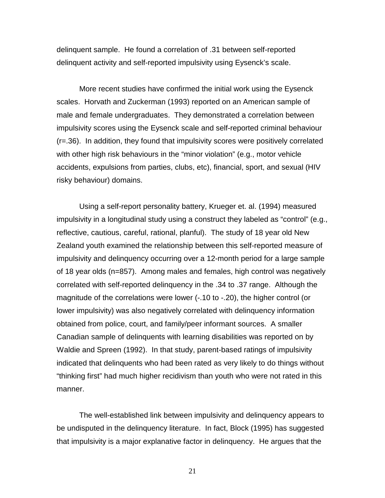delinquent sample. He found a correlation of .31 between self-reported delinquent activity and self-reported impulsivity using Eysenck's scale.

More recent studies have confirmed the initial work using the Eysenck scales. Horvath and Zuckerman (1993) reported on an American sample of male and female undergraduates. They demonstrated a correlation between impulsivity scores using the Eysenck scale and self-reported criminal behaviour (r=.36). In addition, they found that impulsivity scores were positively correlated with other high risk behaviours in the "minor violation" (e.g., motor vehicle accidents, expulsions from parties, clubs, etc), financial, sport, and sexual (HIV risky behaviour) domains.

Using a self-report personality battery, Krueger et. al. (1994) measured impulsivity in a longitudinal study using a construct they labeled as "control" (e.g., reflective, cautious, careful, rational, planful). The study of 18 year old New Zealand youth examined the relationship between this self-reported measure of impulsivity and delinquency occurring over a 12-month period for a large sample of 18 year olds (n=857). Among males and females, high control was negatively correlated with self-reported delinquency in the .34 to .37 range. Although the magnitude of the correlations were lower (-.10 to -.20), the higher control (or lower impulsivity) was also negatively correlated with delinquency information obtained from police, court, and family/peer informant sources. A smaller Canadian sample of delinquents with learning disabilities was reported on by Waldie and Spreen (1992). In that study, parent-based ratings of impulsivity indicated that delinquents who had been rated as very likely to do things without "thinking first" had much higher recidivism than youth who were not rated in this manner.

The well-established link between impulsivity and delinquency appears to be undisputed in the delinquency literature. In fact, Block (1995) has suggested that impulsivity is a major explanative factor in delinquency. He argues that the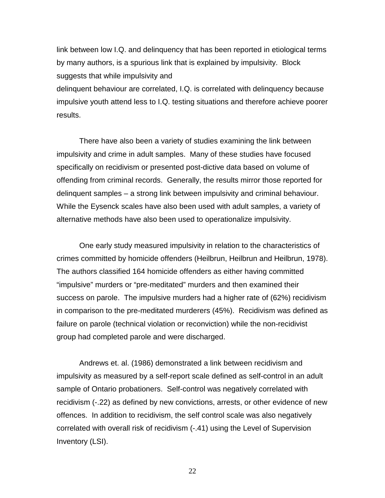link between low I.Q. and delinquency that has been reported in etiological terms by many authors, is a spurious link that is explained by impulsivity. Block suggests that while impulsivity and

delinquent behaviour are correlated, I.Q. is correlated with delinquency because impulsive youth attend less to I.Q. testing situations and therefore achieve poorer results.

There have also been a variety of studies examining the link between impulsivity and crime in adult samples. Many of these studies have focused specifically on recidivism or presented post-dictive data based on volume of offending from criminal records. Generally, the results mirror those reported for delinquent samples – a strong link between impulsivity and criminal behaviour. While the Eysenck scales have also been used with adult samples, a variety of alternative methods have also been used to operationalize impulsivity.

One early study measured impulsivity in relation to the characteristics of crimes committed by homicide offenders (Heilbrun, Heilbrun and Heilbrun, 1978). The authors classified 164 homicide offenders as either having committed "impulsive" murders or "pre-meditated" murders and then examined their success on parole. The impulsive murders had a higher rate of (62%) recidivism in comparison to the pre-meditated murderers (45%). Recidivism was defined as failure on parole (technical violation or reconviction) while the non-recidivist group had completed parole and were discharged.

Andrews et. al. (1986) demonstrated a link between recidivism and impulsivity as measured by a self-report scale defined as self-control in an adult sample of Ontario probationers. Self-control was negatively correlated with recidivism (-.22) as defined by new convictions, arrests, or other evidence of new offences. In addition to recidivism, the self control scale was also negatively correlated with overall risk of recidivism (-.41) using the Level of Supervision Inventory (LSI).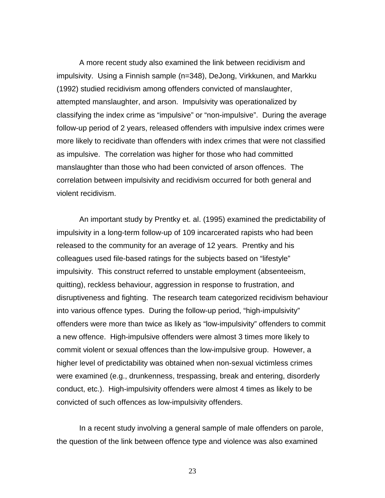A more recent study also examined the link between recidivism and impulsivity. Using a Finnish sample (n=348), DeJong, Virkkunen, and Markku (1992) studied recidivism among offenders convicted of manslaughter, attempted manslaughter, and arson. Impulsivity was operationalized by classifying the index crime as "impulsive" or "non-impulsive". During the average follow-up period of 2 years, released offenders with impulsive index crimes were more likely to recidivate than offenders with index crimes that were not classified as impulsive. The correlation was higher for those who had committed manslaughter than those who had been convicted of arson offences. The correlation between impulsivity and recidivism occurred for both general and violent recidivism.

An important study by Prentky et. al. (1995) examined the predictability of impulsivity in a long-term follow-up of 109 incarcerated rapists who had been released to the community for an average of 12 years. Prentky and his colleagues used file-based ratings for the subjects based on "lifestyle" impulsivity. This construct referred to unstable employment (absenteeism, quitting), reckless behaviour, aggression in response to frustration, and disruptiveness and fighting. The research team categorized recidivism behaviour into various offence types. During the follow-up period, "high-impulsivity" offenders were more than twice as likely as "low-impulsivity" offenders to commit a new offence. High-impulsive offenders were almost 3 times more likely to commit violent or sexual offences than the low-impulsive group. However, a higher level of predictability was obtained when non-sexual victimless crimes were examined (e.g., drunkenness, trespassing, break and entering, disorderly conduct, etc.). High-impulsivity offenders were almost 4 times as likely to be convicted of such offences as low-impulsivity offenders.

In a recent study involving a general sample of male offenders on parole, the question of the link between offence type and violence was also examined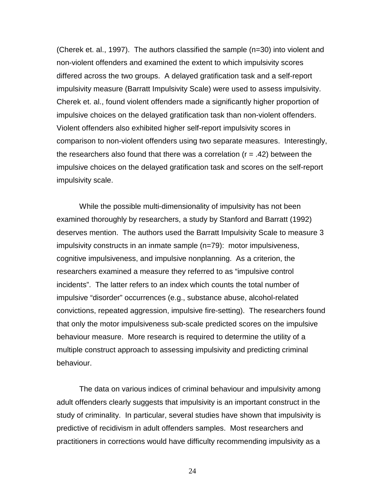(Cherek et. al., 1997). The authors classified the sample (n=30) into violent and non-violent offenders and examined the extent to which impulsivity scores differed across the two groups. A delayed gratification task and a self-report impulsivity measure (Barratt Impulsivity Scale) were used to assess impulsivity. Cherek et. al., found violent offenders made a significantly higher proportion of impulsive choices on the delayed gratification task than non-violent offenders. Violent offenders also exhibited higher self-report impulsivity scores in comparison to non-violent offenders using two separate measures. Interestingly, the researchers also found that there was a correlation  $(r = .42)$  between the impulsive choices on the delayed gratification task and scores on the self-report impulsivity scale.

While the possible multi-dimensionality of impulsivity has not been examined thoroughly by researchers, a study by Stanford and Barratt (1992) deserves mention. The authors used the Barratt Impulsivity Scale to measure 3 impulsivity constructs in an inmate sample (n=79): motor impulsiveness, cognitive impulsiveness, and impulsive nonplanning. As a criterion, the researchers examined a measure they referred to as "impulsive control incidents". The latter refers to an index which counts the total number of impulsive "disorder" occurrences (e.g., substance abuse, alcohol-related convictions, repeated aggression, impulsive fire-setting). The researchers found that only the motor impulsiveness sub-scale predicted scores on the impulsive behaviour measure. More research is required to determine the utility of a multiple construct approach to assessing impulsivity and predicting criminal behaviour.

The data on various indices of criminal behaviour and impulsivity among adult offenders clearly suggests that impulsivity is an important construct in the study of criminality. In particular, several studies have shown that impulsivity is predictive of recidivism in adult offenders samples. Most researchers and practitioners in corrections would have difficulty recommending impulsivity as a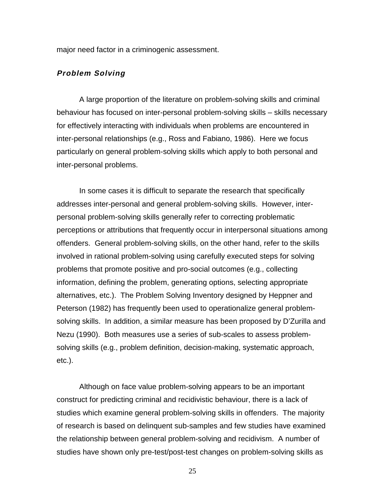major need factor in a criminogenic assessment.

# **Problem Solving**

A large proportion of the literature on problem-solving skills and criminal behaviour has focused on inter-personal problem-solving skills – skills necessary for effectively interacting with individuals when problems are encountered in inter-personal relationships (e.g., Ross and Fabiano, 1986). Here we focus particularly on general problem-solving skills which apply to both personal and inter-personal problems.

In some cases it is difficult to separate the research that specifically addresses inter-personal and general problem-solving skills. However, interpersonal problem-solving skills generally refer to correcting problematic perceptions or attributions that frequently occur in interpersonal situations among offenders. General problem-solving skills, on the other hand, refer to the skills involved in rational problem-solving using carefully executed steps for solving problems that promote positive and pro-social outcomes (e.g., collecting information, defining the problem, generating options, selecting appropriate alternatives, etc.). The Problem Solving Inventory designed by Heppner and Peterson (1982) has frequently been used to operationalize general problemsolving skills. In addition, a similar measure has been proposed by D'Zurilla and Nezu (1990). Both measures use a series of sub-scales to assess problemsolving skills (e.g., problem definition, decision-making, systematic approach, etc.).

Although on face value problem-solving appears to be an important construct for predicting criminal and recidivistic behaviour, there is a lack of studies which examine general problem-solving skills in offenders. The majority of research is based on delinquent sub-samples and few studies have examined the relationship between general problem-solving and recidivism. A number of studies have shown only pre-test/post-test changes on problem-solving skills as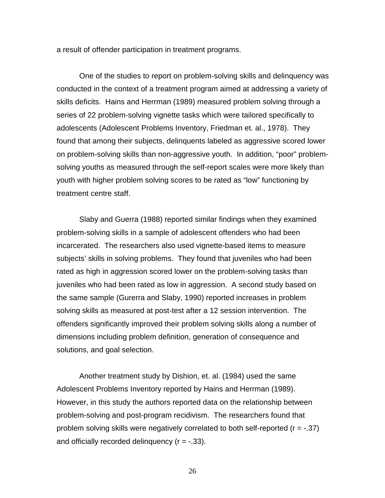a result of offender participation in treatment programs.

One of the studies to report on problem-solving skills and delinquency was conducted in the context of a treatment program aimed at addressing a variety of skills deficits. Hains and Herrman (1989) measured problem solving through a series of 22 problem-solving vignette tasks which were tailored specifically to adolescents (Adolescent Problems Inventory, Friedman et. al., 1978). They found that among their subjects, delinquents labeled as aggressive scored lower on problem-solving skills than non-aggressive youth. In addition, "poor" problemsolving youths as measured through the self-report scales were more likely than youth with higher problem solving scores to be rated as "low" functioning by treatment centre staff.

Slaby and Guerra (1988) reported similar findings when they examined problem-solving skills in a sample of adolescent offenders who had been incarcerated. The researchers also used vignette-based items to measure subjects' skills in solving problems. They found that juveniles who had been rated as high in aggression scored lower on the problem-solving tasks than juveniles who had been rated as low in aggression. A second study based on the same sample (Gurerra and Slaby, 1990) reported increases in problem solving skills as measured at post-test after a 12 session intervention. The offenders significantly improved their problem solving skills along a number of dimensions including problem definition, generation of consequence and solutions, and goal selection.

Another treatment study by Dishion, et. al. (1984) used the same Adolescent Problems Inventory reported by Hains and Herrman (1989). However, in this study the authors reported data on the relationship between problem-solving and post-program recidivism. The researchers found that problem solving skills were negatively correlated to both self-reported  $(r = -.37)$ and officially recorded delinguency  $(r = -.33)$ .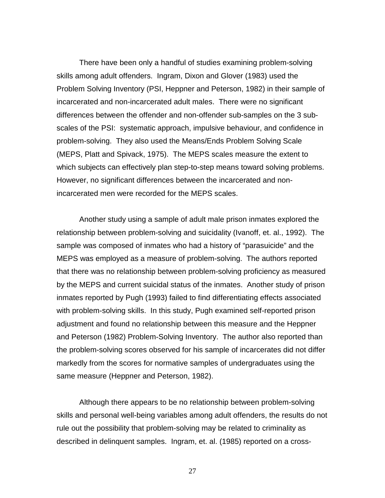There have been only a handful of studies examining problem-solving skills among adult offenders. Ingram, Dixon and Glover (1983) used the Problem Solving Inventory (PSI, Heppner and Peterson, 1982) in their sample of incarcerated and non-incarcerated adult males. There were no significant differences between the offender and non-offender sub-samples on the 3 subscales of the PSI: systematic approach, impulsive behaviour, and confidence in problem-solving. They also used the Means/Ends Problem Solving Scale (MEPS, Platt and Spivack, 1975). The MEPS scales measure the extent to which subjects can effectively plan step-to-step means toward solving problems. However, no significant differences between the incarcerated and nonincarcerated men were recorded for the MEPS scales.

Another study using a sample of adult male prison inmates explored the relationship between problem-solving and suicidality (Ivanoff, et. al., 1992). The sample was composed of inmates who had a history of "parasuicide" and the MEPS was employed as a measure of problem-solving. The authors reported that there was no relationship between problem-solving proficiency as measured by the MEPS and current suicidal status of the inmates. Another study of prison inmates reported by Pugh (1993) failed to find differentiating effects associated with problem-solving skills. In this study, Pugh examined self-reported prison adjustment and found no relationship between this measure and the Heppner and Peterson (1982) Problem-Solving Inventory. The author also reported than the problem-solving scores observed for his sample of incarcerates did not differ markedly from the scores for normative samples of undergraduates using the same measure (Heppner and Peterson, 1982).

Although there appears to be no relationship between problem-solving skills and personal well-being variables among adult offenders, the results do not rule out the possibility that problem-solving may be related to criminality as described in delinquent samples. Ingram, et. al. (1985) reported on a cross-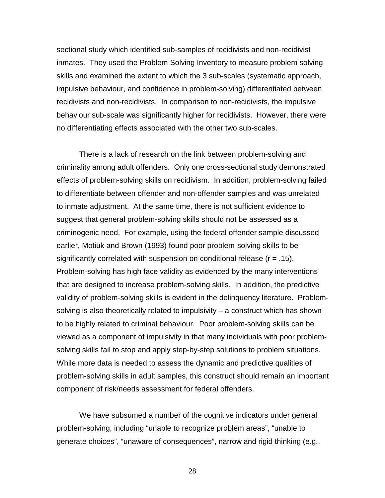sectional study which identified sub-samples of recidivists and non-recidivist inmates. They used the Problem Solving Inventory to measure problem solving skills and examined the extent to which the 3 sub-scales (systematic approach, impulsive behaviour, and confidence in problem-solving) differentiated between recidivists and non-recidivists. In comparison to non-recidivists, the impulsive behaviour sub-scale was significantly higher for recidivists. However, there were no differentiating effects associated with the other two sub-scales.

There is a lack of research on the link between problem-solving and criminality among adult offenders. Only one cross-sectional study demonstrated effects of problem-solving skills on recidivism. In addition, problem-solving failed to differentiate between offender and non-offender samples and was unrelated to inmate adjustment. At the same time, there is not sufficient evidence to suggest that general problem-solving skills should not be assessed as a criminogenic need. For example, using the federal offender sample discussed earlier, Motiuk and Brown (1993) found poor problem-solving skills to be significantly correlated with suspension on conditional release  $(r = .15)$ . Problem-solving has high face validity as evidenced by the many interventions that are designed to increase problem-solving skills. In addition, the predictive validity of problem-solving skills is evident in the delinquency literature. Problemsolving is also theoretically related to impulsivity – a construct which has shown to be highly related to criminal behaviour. Poor problem-solving skills can be viewed as a component of impulsivity in that many individuals with poor problemsolving skills fail to stop and apply step-by-step solutions to problem situations. While more data is needed to assess the dynamic and predictive qualities of problem-solving skills in adult samples, this construct should remain an important component of risk/needs assessment for federal offenders.

We have subsumed a number of the cognitive indicators under general problem-solving, including "unable to recognize problem areas", "unable to generate choices", "unaware of consequences", narrow and rigid thinking (e.g.,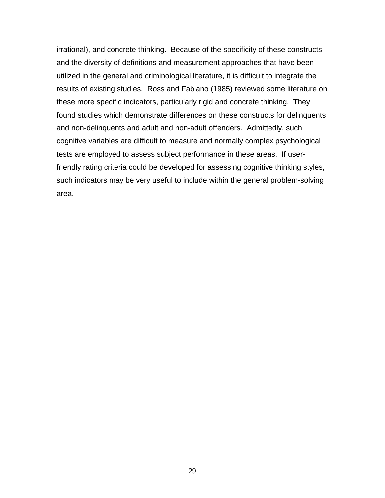irrational), and concrete thinking. Because of the specificity of these constructs and the diversity of definitions and measurement approaches that have been utilized in the general and criminological literature, it is difficult to integrate the results of existing studies. Ross and Fabiano (1985) reviewed some literature on these more specific indicators, particularly rigid and concrete thinking. They found studies which demonstrate differences on these constructs for delinquents and non-delinquents and adult and non-adult offenders. Admittedly, such cognitive variables are difficult to measure and normally complex psychological tests are employed to assess subject performance in these areas. If userfriendly rating criteria could be developed for assessing cognitive thinking styles, such indicators may be very useful to include within the general problem-solving area.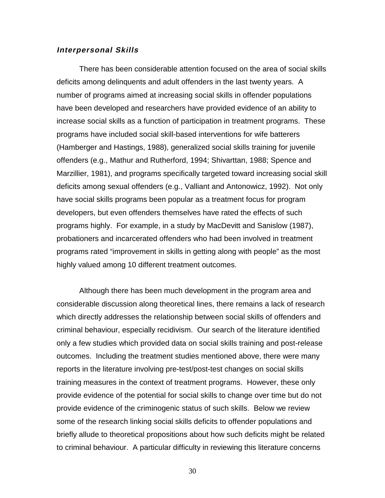### **Interpersonal Skills**

There has been considerable attention focused on the area of social skills deficits among delinquents and adult offenders in the last twenty years. A number of programs aimed at increasing social skills in offender populations have been developed and researchers have provided evidence of an ability to increase social skills as a function of participation in treatment programs. These programs have included social skill-based interventions for wife batterers (Hamberger and Hastings, 1988), generalized social skills training for juvenile offenders (e.g., Mathur and Rutherford, 1994; Shivarttan, 1988; Spence and Marzillier, 1981), and programs specifically targeted toward increasing social skill deficits among sexual offenders (e.g., Valliant and Antonowicz, 1992). Not only have social skills programs been popular as a treatment focus for program developers, but even offenders themselves have rated the effects of such programs highly. For example, in a study by MacDevitt and Sanislow (1987), probationers and incarcerated offenders who had been involved in treatment programs rated "improvement in skills in getting along with people" as the most highly valued among 10 different treatment outcomes.

Although there has been much development in the program area and considerable discussion along theoretical lines, there remains a lack of research which directly addresses the relationship between social skills of offenders and criminal behaviour, especially recidivism. Our search of the literature identified only a few studies which provided data on social skills training and post-release outcomes. Including the treatment studies mentioned above, there were many reports in the literature involving pre-test/post-test changes on social skills training measures in the context of treatment programs. However, these only provide evidence of the potential for social skills to change over time but do not provide evidence of the criminogenic status of such skills. Below we review some of the research linking social skills deficits to offender populations and briefly allude to theoretical propositions about how such deficits might be related to criminal behaviour. A particular difficulty in reviewing this literature concerns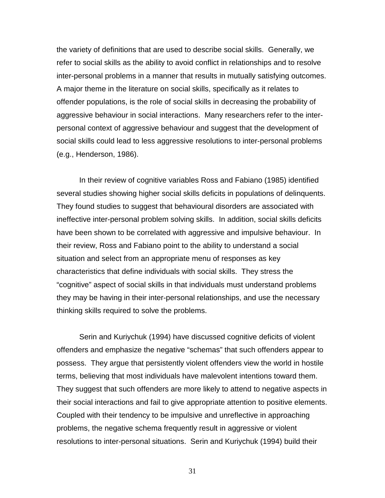the variety of definitions that are used to describe social skills. Generally, we refer to social skills as the ability to avoid conflict in relationships and to resolve inter-personal problems in a manner that results in mutually satisfying outcomes. A major theme in the literature on social skills, specifically as it relates to offender populations, is the role of social skills in decreasing the probability of aggressive behaviour in social interactions. Many researchers refer to the interpersonal context of aggressive behaviour and suggest that the development of social skills could lead to less aggressive resolutions to inter-personal problems (e.g., Henderson, 1986).

In their review of cognitive variables Ross and Fabiano (1985) identified several studies showing higher social skills deficits in populations of delinquents. They found studies to suggest that behavioural disorders are associated with ineffective inter-personal problem solving skills. In addition, social skills deficits have been shown to be correlated with aggressive and impulsive behaviour. In their review, Ross and Fabiano point to the ability to understand a social situation and select from an appropriate menu of responses as key characteristics that define individuals with social skills. They stress the "cognitive" aspect of social skills in that individuals must understand problems they may be having in their inter-personal relationships, and use the necessary thinking skills required to solve the problems.

Serin and Kuriychuk (1994) have discussed cognitive deficits of violent offenders and emphasize the negative "schemas" that such offenders appear to possess. They argue that persistently violent offenders view the world in hostile terms, believing that most individuals have malevolent intentions toward them. They suggest that such offenders are more likely to attend to negative aspects in their social interactions and fail to give appropriate attention to positive elements. Coupled with their tendency to be impulsive and unreflective in approaching problems, the negative schema frequently result in aggressive or violent resolutions to inter-personal situations. Serin and Kuriychuk (1994) build their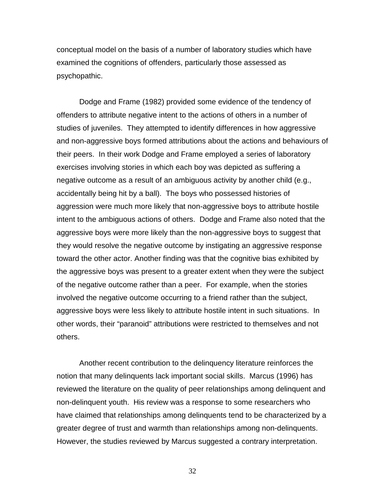conceptual model on the basis of a number of laboratory studies which have examined the cognitions of offenders, particularly those assessed as psychopathic.

Dodge and Frame (1982) provided some evidence of the tendency of offenders to attribute negative intent to the actions of others in a number of studies of juveniles. They attempted to identify differences in how aggressive and non-aggressive boys formed attributions about the actions and behaviours of their peers. In their work Dodge and Frame employed a series of laboratory exercises involving stories in which each boy was depicted as suffering a negative outcome as a result of an ambiguous activity by another child (e.g., accidentally being hit by a ball). The boys who possessed histories of aggression were much more likely that non-aggressive boys to attribute hostile intent to the ambiguous actions of others. Dodge and Frame also noted that the aggressive boys were more likely than the non-aggressive boys to suggest that they would resolve the negative outcome by instigating an aggressive response toward the other actor. Another finding was that the cognitive bias exhibited by the aggressive boys was present to a greater extent when they were the subject of the negative outcome rather than a peer. For example, when the stories involved the negative outcome occurring to a friend rather than the subject, aggressive boys were less likely to attribute hostile intent in such situations. In other words, their "paranoid" attributions were restricted to themselves and not others.

Another recent contribution to the delinquency literature reinforces the notion that many delinquents lack important social skills. Marcus (1996) has reviewed the literature on the quality of peer relationships among delinquent and non-delinquent youth. His review was a response to some researchers who have claimed that relationships among delinquents tend to be characterized by a greater degree of trust and warmth than relationships among non-delinquents. However, the studies reviewed by Marcus suggested a contrary interpretation.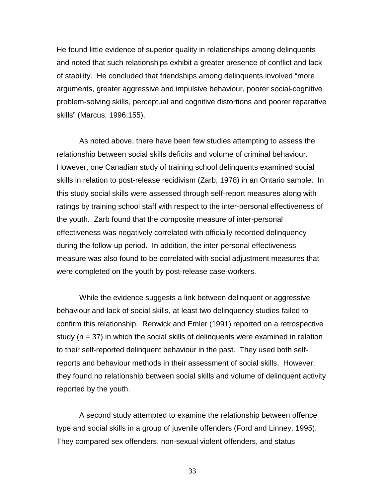He found little evidence of superior quality in relationships among delinquents and noted that such relationships exhibit a greater presence of conflict and lack of stability. He concluded that friendships among delinquents involved "more arguments, greater aggressive and impulsive behaviour, poorer social-cognitive problem-solving skills, perceptual and cognitive distortions and poorer reparative skills" (Marcus, 1996:155).

As noted above, there have been few studies attempting to assess the relationship between social skills deficits and volume of criminal behaviour. However, one Canadian study of training school delinquents examined social skills in relation to post-release recidivism (Zarb, 1978) in an Ontario sample. In this study social skills were assessed through self-report measures along with ratings by training school staff with respect to the inter-personal effectiveness of the youth. Zarb found that the composite measure of inter-personal effectiveness was negatively correlated with officially recorded delinquency during the follow-up period. In addition, the inter-personal effectiveness measure was also found to be correlated with social adjustment measures that were completed on the youth by post-release case-workers.

While the evidence suggests a link between delinquent or aggressive behaviour and lack of social skills, at least two delinquency studies failed to confirm this relationship. Renwick and Emler (1991) reported on a retrospective study ( $n = 37$ ) in which the social skills of delinguents were examined in relation to their self-reported delinquent behaviour in the past. They used both selfreports and behaviour methods in their assessment of social skills. However, they found no relationship between social skills and volume of delinquent activity reported by the youth.

A second study attempted to examine the relationship between offence type and social skills in a group of juvenile offenders (Ford and Linney, 1995). They compared sex offenders, non-sexual violent offenders, and status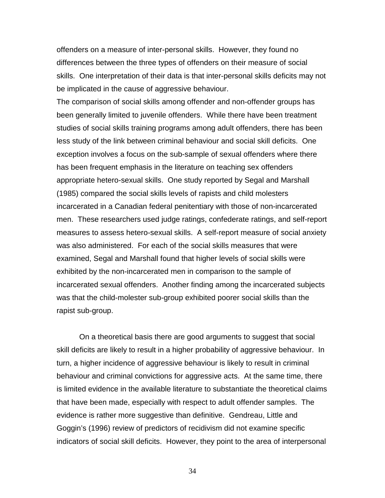offenders on a measure of inter-personal skills. However, they found no differences between the three types of offenders on their measure of social skills. One interpretation of their data is that inter-personal skills deficits may not be implicated in the cause of aggressive behaviour.

The comparison of social skills among offender and non-offender groups has been generally limited to juvenile offenders. While there have been treatment studies of social skills training programs among adult offenders, there has been less study of the link between criminal behaviour and social skill deficits. One exception involves a focus on the sub-sample of sexual offenders where there has been frequent emphasis in the literature on teaching sex offenders appropriate hetero-sexual skills. One study reported by Segal and Marshall (1985) compared the social skills levels of rapists and child molesters incarcerated in a Canadian federal penitentiary with those of non-incarcerated men. These researchers used judge ratings, confederate ratings, and self-report measures to assess hetero-sexual skills. A self-report measure of social anxiety was also administered. For each of the social skills measures that were examined, Segal and Marshall found that higher levels of social skills were exhibited by the non-incarcerated men in comparison to the sample of incarcerated sexual offenders. Another finding among the incarcerated subjects was that the child-molester sub-group exhibited poorer social skills than the rapist sub-group.

On a theoretical basis there are good arguments to suggest that social skill deficits are likely to result in a higher probability of aggressive behaviour. In turn, a higher incidence of aggressive behaviour is likely to result in criminal behaviour and criminal convictions for aggressive acts. At the same time, there is limited evidence in the available literature to substantiate the theoretical claims that have been made, especially with respect to adult offender samples. The evidence is rather more suggestive than definitive. Gendreau, Little and Goggin's (1996) review of predictors of recidivism did not examine specific indicators of social skill deficits. However, they point to the area of interpersonal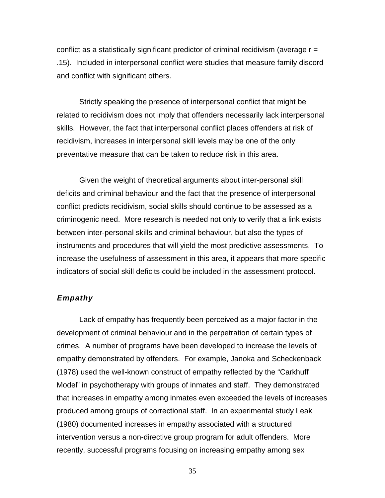conflict as a statistically significant predictor of criminal recidivism (average  $r =$ .15). Included in interpersonal conflict were studies that measure family discord and conflict with significant others.

Strictly speaking the presence of interpersonal conflict that might be related to recidivism does not imply that offenders necessarily lack interpersonal skills. However, the fact that interpersonal conflict places offenders at risk of recidivism, increases in interpersonal skill levels may be one of the only preventative measure that can be taken to reduce risk in this area.

Given the weight of theoretical arguments about inter-personal skill deficits and criminal behaviour and the fact that the presence of interpersonal conflict predicts recidivism, social skills should continue to be assessed as a criminogenic need. More research is needed not only to verify that a link exists between inter-personal skills and criminal behaviour, but also the types of instruments and procedures that will yield the most predictive assessments. To increase the usefulness of assessment in this area, it appears that more specific indicators of social skill deficits could be included in the assessment protocol.

## **Empathy**

Lack of empathy has frequently been perceived as a major factor in the development of criminal behaviour and in the perpetration of certain types of crimes. A number of programs have been developed to increase the levels of empathy demonstrated by offenders. For example, Janoka and Scheckenback (1978) used the well-known construct of empathy reflected by the "Carkhuff Model" in psychotherapy with groups of inmates and staff. They demonstrated that increases in empathy among inmates even exceeded the levels of increases produced among groups of correctional staff. In an experimental study Leak (1980) documented increases in empathy associated with a structured intervention versus a non-directive group program for adult offenders. More recently, successful programs focusing on increasing empathy among sex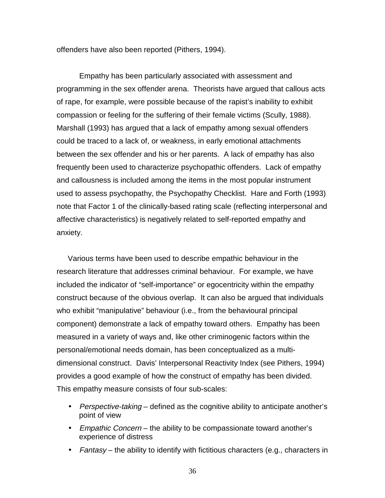offenders have also been reported (Pithers, 1994).

Empathy has been particularly associated with assessment and programming in the sex offender arena. Theorists have argued that callous acts of rape, for example, were possible because of the rapist's inability to exhibit compassion or feeling for the suffering of their female victims (Scully, 1988). Marshall (1993) has argued that a lack of empathy among sexual offenders could be traced to a lack of, or weakness, in early emotional attachments between the sex offender and his or her parents. A lack of empathy has also frequently been used to characterize psychopathic offenders. Lack of empathy and callousness is included among the items in the most popular instrument used to assess psychopathy, the Psychopathy Checklist. Hare and Forth (1993) note that Factor 1 of the clinically-based rating scale (reflecting interpersonal and affective characteristics) is negatively related to self-reported empathy and anxiety.

Various terms have been used to describe empathic behaviour in the research literature that addresses criminal behaviour. For example, we have included the indicator of "self-importance" or egocentricity within the empathy construct because of the obvious overlap. It can also be argued that individuals who exhibit "manipulative" behaviour (i.e., from the behavioural principal component) demonstrate a lack of empathy toward others. Empathy has been measured in a variety of ways and, like other criminogenic factors within the personal/emotional needs domain, has been conceptualized as a multidimensional construct. Davis' Interpersonal Reactivity Index (see Pithers, 1994) provides a good example of how the construct of empathy has been divided. This empathy measure consists of four sub-scales:

- Perspective-taking defined as the cognitive ability to anticipate another's point of view
- Empathic Concern the ability to be compassionate toward another's experience of distress
- Fantasy the ability to identify with fictitious characters (e.g., characters in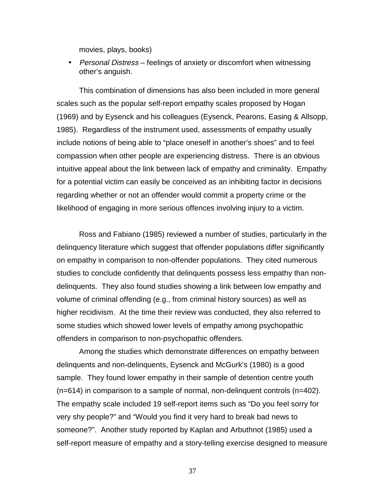movies, plays, books)

• Personal Distress – feelings of anxiety or discomfort when witnessing other's anguish.

This combination of dimensions has also been included in more general scales such as the popular self-report empathy scales proposed by Hogan (1969) and by Eysenck and his colleagues (Eysenck, Pearons, Easing & Allsopp, 1985). Regardless of the instrument used, assessments of empathy usually include notions of being able to "place oneself in another's shoes" and to feel compassion when other people are experiencing distress. There is an obvious intuitive appeal about the link between lack of empathy and criminality. Empathy for a potential victim can easily be conceived as an inhibiting factor in decisions regarding whether or not an offender would commit a property crime or the likelihood of engaging in more serious offences involving injury to a victim.

Ross and Fabiano (1985) reviewed a number of studies, particularly in the delinquency literature which suggest that offender populations differ significantly on empathy in comparison to non-offender populations. They cited numerous studies to conclude confidently that delinquents possess less empathy than nondelinquents. They also found studies showing a link between low empathy and volume of criminal offending (e.g., from criminal history sources) as well as higher recidivism. At the time their review was conducted, they also referred to some studies which showed lower levels of empathy among psychopathic offenders in comparison to non-psychopathic offenders.

Among the studies which demonstrate differences on empathy between delinquents and non-delinquents, Eysenck and McGurk's (1980) is a good sample. They found lower empathy in their sample of detention centre youth (n=614) in comparison to a sample of normal, non-delinquent controls (n=402). The empathy scale included 19 self-report items such as "Do you feel sorry for very shy people?" and "Would you find it very hard to break bad news to someone?". Another study reported by Kaplan and Arbuthnot (1985) used a self-report measure of empathy and a story-telling exercise designed to measure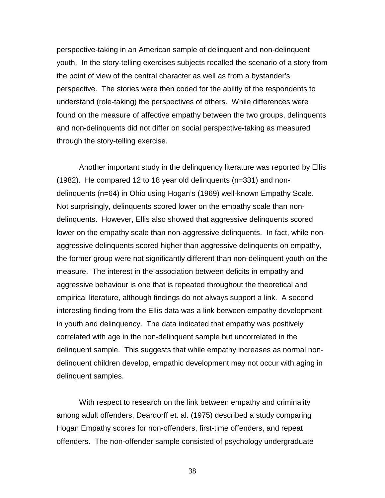perspective-taking in an American sample of delinquent and non-delinquent youth. In the story-telling exercises subjects recalled the scenario of a story from the point of view of the central character as well as from a bystander's perspective. The stories were then coded for the ability of the respondents to understand (role-taking) the perspectives of others. While differences were found on the measure of affective empathy between the two groups, delinquents and non-delinquents did not differ on social perspective-taking as measured through the story-telling exercise.

Another important study in the delinquency literature was reported by Ellis (1982). He compared 12 to 18 year old delinquents (n=331) and nondelinquents (n=64) in Ohio using Hogan's (1969) well-known Empathy Scale. Not surprisingly, delinquents scored lower on the empathy scale than nondelinquents. However, Ellis also showed that aggressive delinquents scored lower on the empathy scale than non-aggressive delinquents. In fact, while nonaggressive delinquents scored higher than aggressive delinquents on empathy, the former group were not significantly different than non-delinquent youth on the measure. The interest in the association between deficits in empathy and aggressive behaviour is one that is repeated throughout the theoretical and empirical literature, although findings do not always support a link. A second interesting finding from the Ellis data was a link between empathy development in youth and delinquency. The data indicated that empathy was positively correlated with age in the non-delinquent sample but uncorrelated in the delinquent sample. This suggests that while empathy increases as normal nondelinquent children develop, empathic development may not occur with aging in delinquent samples.

With respect to research on the link between empathy and criminality among adult offenders, Deardorff et. al. (1975) described a study comparing Hogan Empathy scores for non-offenders, first-time offenders, and repeat offenders. The non-offender sample consisted of psychology undergraduate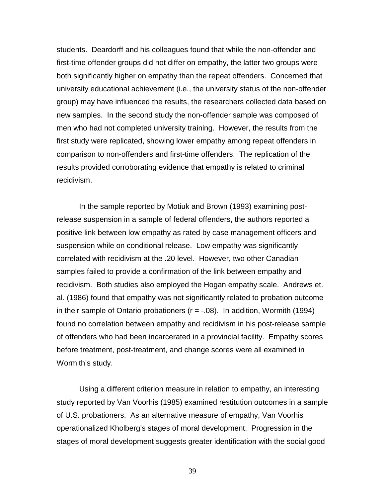students. Deardorff and his colleagues found that while the non-offender and first-time offender groups did not differ on empathy, the latter two groups were both significantly higher on empathy than the repeat offenders. Concerned that university educational achievement (i.e., the university status of the non-offender group) may have influenced the results, the researchers collected data based on new samples. In the second study the non-offender sample was composed of men who had not completed university training. However, the results from the first study were replicated, showing lower empathy among repeat offenders in comparison to non-offenders and first-time offenders. The replication of the results provided corroborating evidence that empathy is related to criminal recidivism.

In the sample reported by Motiuk and Brown (1993) examining postrelease suspension in a sample of federal offenders, the authors reported a positive link between low empathy as rated by case management officers and suspension while on conditional release. Low empathy was significantly correlated with recidivism at the .20 level. However, two other Canadian samples failed to provide a confirmation of the link between empathy and recidivism. Both studies also employed the Hogan empathy scale. Andrews et. al. (1986) found that empathy was not significantly related to probation outcome in their sample of Ontario probationers ( $r = -.08$ ). In addition, Wormith (1994) found no correlation between empathy and recidivism in his post-release sample of offenders who had been incarcerated in a provincial facility. Empathy scores before treatment, post-treatment, and change scores were all examined in Wormith's study.

Using a different criterion measure in relation to empathy, an interesting study reported by Van Voorhis (1985) examined restitution outcomes in a sample of U.S. probationers. As an alternative measure of empathy, Van Voorhis operationalized Kholberg's stages of moral development. Progression in the stages of moral development suggests greater identification with the social good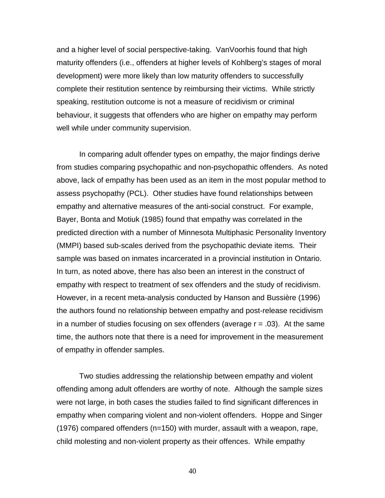and a higher level of social perspective-taking. VanVoorhis found that high maturity offenders (i.e., offenders at higher levels of Kohlberg's stages of moral development) were more likely than low maturity offenders to successfully complete their restitution sentence by reimbursing their victims. While strictly speaking, restitution outcome is not a measure of recidivism or criminal behaviour, it suggests that offenders who are higher on empathy may perform well while under community supervision.

In comparing adult offender types on empathy, the major findings derive from studies comparing psychopathic and non-psychopathic offenders. As noted above, lack of empathy has been used as an item in the most popular method to assess psychopathy (PCL). Other studies have found relationships between empathy and alternative measures of the anti-social construct. For example, Bayer, Bonta and Motiuk (1985) found that empathy was correlated in the predicted direction with a number of Minnesota Multiphasic Personality Inventory (MMPI) based sub-scales derived from the psychopathic deviate items. Their sample was based on inmates incarcerated in a provincial institution in Ontario. In turn, as noted above, there has also been an interest in the construct of empathy with respect to treatment of sex offenders and the study of recidivism. However, in a recent meta-analysis conducted by Hanson and Bussière (1996) the authors found no relationship between empathy and post-release recidivism in a number of studies focusing on sex offenders (average  $r = .03$ ). At the same time, the authors note that there is a need for improvement in the measurement of empathy in offender samples.

Two studies addressing the relationship between empathy and violent offending among adult offenders are worthy of note. Although the sample sizes were not large, in both cases the studies failed to find significant differences in empathy when comparing violent and non-violent offenders. Hoppe and Singer (1976) compared offenders (n=150) with murder, assault with a weapon, rape, child molesting and non-violent property as their offences. While empathy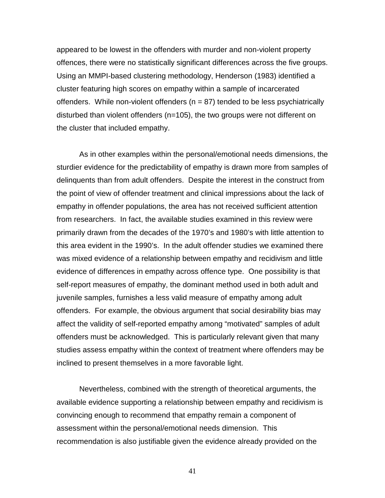appeared to be lowest in the offenders with murder and non-violent property offences, there were no statistically significant differences across the five groups. Using an MMPI-based clustering methodology, Henderson (1983) identified a cluster featuring high scores on empathy within a sample of incarcerated offenders. While non-violent offenders ( $n = 87$ ) tended to be less psychiatrically disturbed than violent offenders (n=105), the two groups were not different on the cluster that included empathy.

As in other examples within the personal/emotional needs dimensions, the sturdier evidence for the predictability of empathy is drawn more from samples of delinquents than from adult offenders. Despite the interest in the construct from the point of view of offender treatment and clinical impressions about the lack of empathy in offender populations, the area has not received sufficient attention from researchers. In fact, the available studies examined in this review were primarily drawn from the decades of the 1970's and 1980's with little attention to this area evident in the 1990's. In the adult offender studies we examined there was mixed evidence of a relationship between empathy and recidivism and little evidence of differences in empathy across offence type. One possibility is that self-report measures of empathy, the dominant method used in both adult and juvenile samples, furnishes a less valid measure of empathy among adult offenders. For example, the obvious argument that social desirability bias may affect the validity of self-reported empathy among "motivated" samples of adult offenders must be acknowledged. This is particularly relevant given that many studies assess empathy within the context of treatment where offenders may be inclined to present themselves in a more favorable light.

Nevertheless, combined with the strength of theoretical arguments, the available evidence supporting a relationship between empathy and recidivism is convincing enough to recommend that empathy remain a component of assessment within the personal/emotional needs dimension. This recommendation is also justifiable given the evidence already provided on the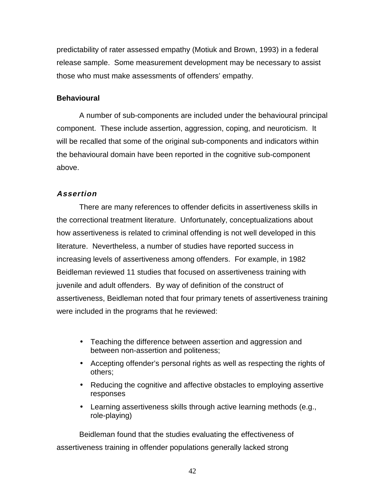predictability of rater assessed empathy (Motiuk and Brown, 1993) in a federal release sample. Some measurement development may be necessary to assist those who must make assessments of offenders' empathy.

## **Behavioural**

A number of sub-components are included under the behavioural principal component. These include assertion, aggression, coping, and neuroticism. It will be recalled that some of the original sub-components and indicators within the behavioural domain have been reported in the cognitive sub-component above.

# **Assertion**

There are many references to offender deficits in assertiveness skills in the correctional treatment literature. Unfortunately, conceptualizations about how assertiveness is related to criminal offending is not well developed in this literature. Nevertheless, a number of studies have reported success in increasing levels of assertiveness among offenders. For example, in 1982 Beidleman reviewed 11 studies that focused on assertiveness training with juvenile and adult offenders. By way of definition of the construct of assertiveness, Beidleman noted that four primary tenets of assertiveness training were included in the programs that he reviewed:

- Teaching the difference between assertion and aggression and between non-assertion and politeness;
- Accepting offender's personal rights as well as respecting the rights of others;
- Reducing the cognitive and affective obstacles to employing assertive responses
- Learning assertiveness skills through active learning methods (e.g., role-playing)

Beidleman found that the studies evaluating the effectiveness of assertiveness training in offender populations generally lacked strong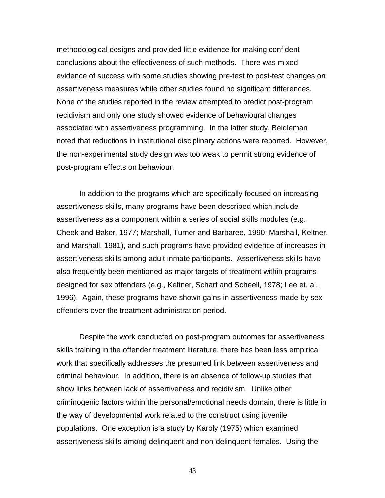methodological designs and provided little evidence for making confident conclusions about the effectiveness of such methods. There was mixed evidence of success with some studies showing pre-test to post-test changes on assertiveness measures while other studies found no significant differences. None of the studies reported in the review attempted to predict post-program recidivism and only one study showed evidence of behavioural changes associated with assertiveness programming. In the latter study, Beidleman noted that reductions in institutional disciplinary actions were reported. However, the non-experimental study design was too weak to permit strong evidence of post-program effects on behaviour.

In addition to the programs which are specifically focused on increasing assertiveness skills, many programs have been described which include assertiveness as a component within a series of social skills modules (e.g., Cheek and Baker, 1977; Marshall, Turner and Barbaree, 1990; Marshall, Keltner, and Marshall, 1981), and such programs have provided evidence of increases in assertiveness skills among adult inmate participants. Assertiveness skills have also frequently been mentioned as major targets of treatment within programs designed for sex offenders (e.g., Keltner, Scharf and Scheell, 1978; Lee et. al., 1996). Again, these programs have shown gains in assertiveness made by sex offenders over the treatment administration period.

Despite the work conducted on post-program outcomes for assertiveness skills training in the offender treatment literature, there has been less empirical work that specifically addresses the presumed link between assertiveness and criminal behaviour. In addition, there is an absence of follow-up studies that show links between lack of assertiveness and recidivism. Unlike other criminogenic factors within the personal/emotional needs domain, there is little in the way of developmental work related to the construct using juvenile populations. One exception is a study by Karoly (1975) which examined assertiveness skills among delinquent and non-delinquent females. Using the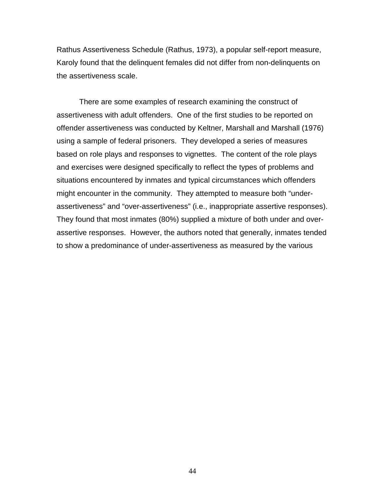Rathus Assertiveness Schedule (Rathus, 1973), a popular self-report measure, Karoly found that the delinquent females did not differ from non-delinquents on the assertiveness scale.

There are some examples of research examining the construct of assertiveness with adult offenders. One of the first studies to be reported on offender assertiveness was conducted by Keltner, Marshall and Marshall (1976) using a sample of federal prisoners. They developed a series of measures based on role plays and responses to vignettes. The content of the role plays and exercises were designed specifically to reflect the types of problems and situations encountered by inmates and typical circumstances which offenders might encounter in the community. They attempted to measure both "underassertiveness" and "over-assertiveness" (i.e., inappropriate assertive responses). They found that most inmates (80%) supplied a mixture of both under and overassertive responses. However, the authors noted that generally, inmates tended to show a predominance of under-assertiveness as measured by the various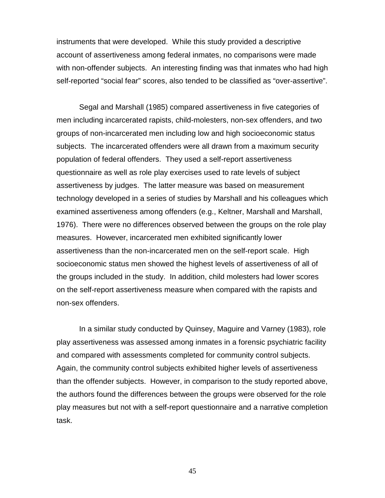instruments that were developed. While this study provided a descriptive account of assertiveness among federal inmates, no comparisons were made with non-offender subjects. An interesting finding was that inmates who had high self-reported "social fear" scores, also tended to be classified as "over-assertive".

Segal and Marshall (1985) compared assertiveness in five categories of men including incarcerated rapists, child-molesters, non-sex offenders, and two groups of non-incarcerated men including low and high socioeconomic status subjects. The incarcerated offenders were all drawn from a maximum security population of federal offenders. They used a self-report assertiveness questionnaire as well as role play exercises used to rate levels of subject assertiveness by judges. The latter measure was based on measurement technology developed in a series of studies by Marshall and his colleagues which examined assertiveness among offenders (e.g., Keltner, Marshall and Marshall, 1976). There were no differences observed between the groups on the role play measures. However, incarcerated men exhibited significantly lower assertiveness than the non-incarcerated men on the self-report scale. High socioeconomic status men showed the highest levels of assertiveness of all of the groups included in the study. In addition, child molesters had lower scores on the self-report assertiveness measure when compared with the rapists and non-sex offenders.

In a similar study conducted by Quinsey, Maguire and Varney (1983), role play assertiveness was assessed among inmates in a forensic psychiatric facility and compared with assessments completed for community control subjects. Again, the community control subjects exhibited higher levels of assertiveness than the offender subjects. However, in comparison to the study reported above, the authors found the differences between the groups were observed for the role play measures but not with a self-report questionnaire and a narrative completion task.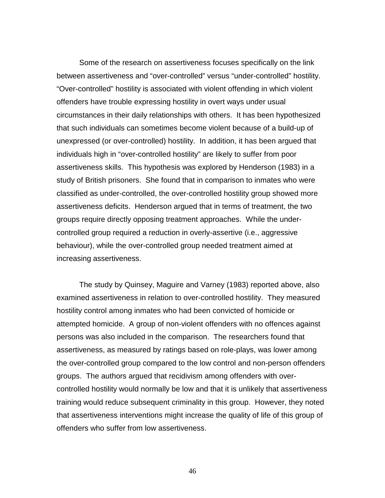Some of the research on assertiveness focuses specifically on the link between assertiveness and "over-controlled" versus "under-controlled" hostility. "Over-controlled" hostility is associated with violent offending in which violent offenders have trouble expressing hostility in overt ways under usual circumstances in their daily relationships with others. It has been hypothesized that such individuals can sometimes become violent because of a build-up of unexpressed (or over-controlled) hostility. In addition, it has been argued that individuals high in "over-controlled hostility" are likely to suffer from poor assertiveness skills. This hypothesis was explored by Henderson (1983) in a study of British prisoners. She found that in comparison to inmates who were classified as under-controlled, the over-controlled hostility group showed more assertiveness deficits. Henderson argued that in terms of treatment, the two groups require directly opposing treatment approaches. While the undercontrolled group required a reduction in overly-assertive (i.e., aggressive behaviour), while the over-controlled group needed treatment aimed at increasing assertiveness.

The study by Quinsey, Maguire and Varney (1983) reported above, also examined assertiveness in relation to over-controlled hostility. They measured hostility control among inmates who had been convicted of homicide or attempted homicide. A group of non-violent offenders with no offences against persons was also included in the comparison. The researchers found that assertiveness, as measured by ratings based on role-plays, was lower among the over-controlled group compared to the low control and non-person offenders groups. The authors argued that recidivism among offenders with overcontrolled hostility would normally be low and that it is unlikely that assertiveness training would reduce subsequent criminality in this group. However, they noted that assertiveness interventions might increase the quality of life of this group of offenders who suffer from low assertiveness.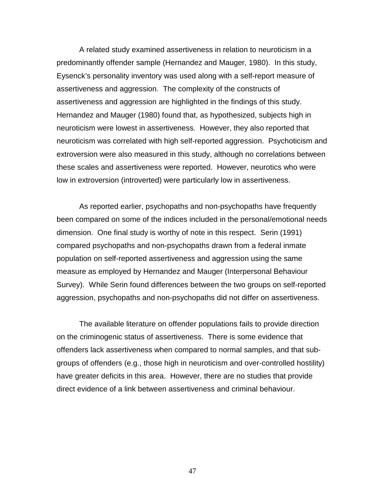A related study examined assertiveness in relation to neuroticism in a predominantly offender sample (Hernandez and Mauger, 1980). In this study, Eysenck's personality inventory was used along with a self-report measure of assertiveness and aggression. The complexity of the constructs of assertiveness and aggression are highlighted in the findings of this study. Hernandez and Mauger (1980) found that, as hypothesized, subjects high in neuroticism were lowest in assertiveness. However, they also reported that neuroticism was correlated with high self-reported aggression. Psychoticism and extroversion were also measured in this study, although no correlations between these scales and assertiveness were reported. However, neurotics who were low in extroversion (introverted) were particularly low in assertiveness.

As reported earlier, psychopaths and non-psychopaths have frequently been compared on some of the indices included in the personal/emotional needs dimension. One final study is worthy of note in this respect. Serin (1991) compared psychopaths and non-psychopaths drawn from a federal inmate population on self-reported assertiveness and aggression using the same measure as employed by Hernandez and Mauger (Interpersonal Behaviour Survey). While Serin found differences between the two groups on self-reported aggression, psychopaths and non-psychopaths did not differ on assertiveness.

The available literature on offender populations fails to provide direction on the criminogenic status of assertiveness. There is some evidence that offenders lack assertiveness when compared to normal samples, and that subgroups of offenders (e.g., those high in neuroticism and over-controlled hostility) have greater deficits in this area. However, there are no studies that provide direct evidence of a link between assertiveness and criminal behaviour.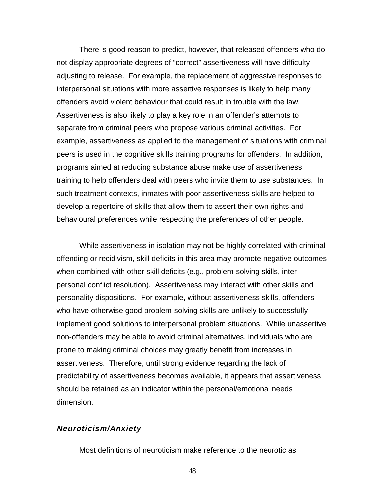There is good reason to predict, however, that released offenders who do not display appropriate degrees of "correct" assertiveness will have difficulty adjusting to release. For example, the replacement of aggressive responses to interpersonal situations with more assertive responses is likely to help many offenders avoid violent behaviour that could result in trouble with the law. Assertiveness is also likely to play a key role in an offender's attempts to separate from criminal peers who propose various criminal activities. For example, assertiveness as applied to the management of situations with criminal peers is used in the cognitive skills training programs for offenders. In addition, programs aimed at reducing substance abuse make use of assertiveness training to help offenders deal with peers who invite them to use substances. In such treatment contexts, inmates with poor assertiveness skills are helped to develop a repertoire of skills that allow them to assert their own rights and behavioural preferences while respecting the preferences of other people.

While assertiveness in isolation may not be highly correlated with criminal offending or recidivism, skill deficits in this area may promote negative outcomes when combined with other skill deficits (e.g., problem-solving skills, interpersonal conflict resolution). Assertiveness may interact with other skills and personality dispositions. For example, without assertiveness skills, offenders who have otherwise good problem-solving skills are unlikely to successfully implement good solutions to interpersonal problem situations. While unassertive non-offenders may be able to avoid criminal alternatives, individuals who are prone to making criminal choices may greatly benefit from increases in assertiveness. Therefore, until strong evidence regarding the lack of predictability of assertiveness becomes available, it appears that assertiveness should be retained as an indicator within the personal/emotional needs dimension.

### **Neuroticism/Anxiety**

Most definitions of neuroticism make reference to the neurotic as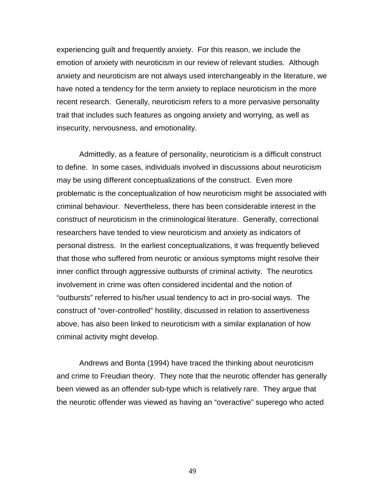experiencing guilt and frequently anxiety. For this reason, we include the emotion of anxiety with neuroticism in our review of relevant studies. Although anxiety and neuroticism are not always used interchangeably in the literature, we have noted a tendency for the term anxiety to replace neuroticism in the more recent research. Generally, neuroticism refers to a more pervasive personality trait that includes such features as ongoing anxiety and worrying, as well as insecurity, nervousness, and emotionality.

Admittedly, as a feature of personality, neuroticism is a difficult construct to define. In some cases, individuals involved in discussions about neuroticism may be using different conceptualizations of the construct. Even more problematic is the conceptualization of how neuroticism might be associated with criminal behaviour. Nevertheless, there has been considerable interest in the construct of neuroticism in the criminological literature. Generally, correctional researchers have tended to view neuroticism and anxiety as indicators of personal distress. In the earliest conceptualizations, it was frequently believed that those who suffered from neurotic or anxious symptoms might resolve their inner conflict through aggressive outbursts of criminal activity. The neurotics involvement in crime was often considered incidental and the notion of "outbursts" referred to his/her usual tendency to act in pro-social ways. The construct of "over-controlled" hostility, discussed in relation to assertiveness above, has also been linked to neuroticism with a similar explanation of how criminal activity might develop.

Andrews and Bonta (1994) have traced the thinking about neuroticism and crime to Freudian theory. They note that the neurotic offender has generally been viewed as an offender sub-type which is relatively rare. They argue that the neurotic offender was viewed as having an "overactive" superego who acted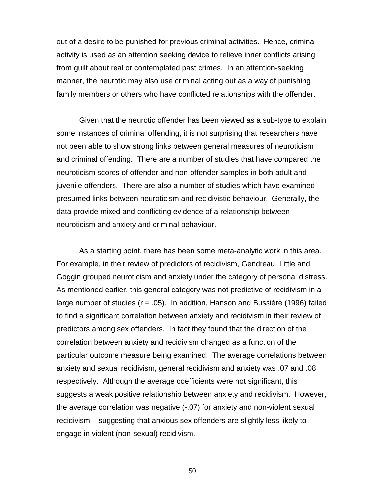out of a desire to be punished for previous criminal activities. Hence, criminal activity is used as an attention seeking device to relieve inner conflicts arising from guilt about real or contemplated past crimes. In an attention-seeking manner, the neurotic may also use criminal acting out as a way of punishing family members or others who have conflicted relationships with the offender.

Given that the neurotic offender has been viewed as a sub-type to explain some instances of criminal offending, it is not surprising that researchers have not been able to show strong links between general measures of neuroticism and criminal offending. There are a number of studies that have compared the neuroticism scores of offender and non-offender samples in both adult and juvenile offenders. There are also a number of studies which have examined presumed links between neuroticism and recidivistic behaviour. Generally, the data provide mixed and conflicting evidence of a relationship between neuroticism and anxiety and criminal behaviour.

As a starting point, there has been some meta-analytic work in this area. For example, in their review of predictors of recidivism, Gendreau, Little and Goggin grouped neuroticism and anxiety under the category of personal distress. As mentioned earlier, this general category was not predictive of recidivism in a large number of studies (r = .05). In addition, Hanson and Bussière (1996) failed to find a significant correlation between anxiety and recidivism in their review of predictors among sex offenders. In fact they found that the direction of the correlation between anxiety and recidivism changed as a function of the particular outcome measure being examined. The average correlations between anxiety and sexual recidivism, general recidivism and anxiety was .07 and .08 respectively. Although the average coefficients were not significant, this suggests a weak positive relationship between anxiety and recidivism. However, the average correlation was negative (-.07) for anxiety and non-violent sexual recidivism – suggesting that anxious sex offenders are slightly less likely to engage in violent (non-sexual) recidivism.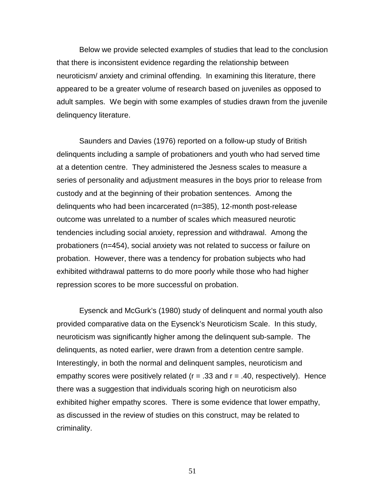Below we provide selected examples of studies that lead to the conclusion that there is inconsistent evidence regarding the relationship between neuroticism/ anxiety and criminal offending. In examining this literature, there appeared to be a greater volume of research based on juveniles as opposed to adult samples. We begin with some examples of studies drawn from the juvenile delinquency literature.

Saunders and Davies (1976) reported on a follow-up study of British delinquents including a sample of probationers and youth who had served time at a detention centre. They administered the Jesness scales to measure a series of personality and adjustment measures in the boys prior to release from custody and at the beginning of their probation sentences. Among the delinquents who had been incarcerated (n=385), 12-month post-release outcome was unrelated to a number of scales which measured neurotic tendencies including social anxiety, repression and withdrawal. Among the probationers (n=454), social anxiety was not related to success or failure on probation. However, there was a tendency for probation subjects who had exhibited withdrawal patterns to do more poorly while those who had higher repression scores to be more successful on probation.

Eysenck and McGurk's (1980) study of delinquent and normal youth also provided comparative data on the Eysenck's Neuroticism Scale. In this study, neuroticism was significantly higher among the delinquent sub-sample. The delinquents, as noted earlier, were drawn from a detention centre sample. Interestingly, in both the normal and delinquent samples, neuroticism and empathy scores were positively related ( $r = .33$  and  $r = .40$ , respectively). Hence there was a suggestion that individuals scoring high on neuroticism also exhibited higher empathy scores. There is some evidence that lower empathy, as discussed in the review of studies on this construct, may be related to criminality.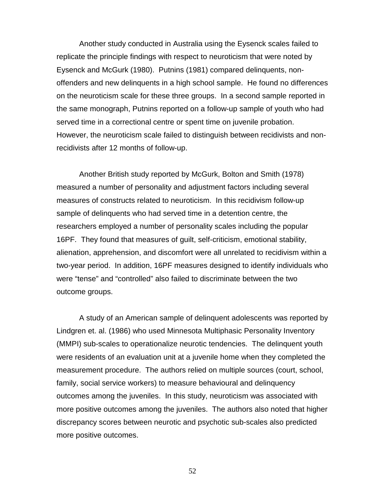Another study conducted in Australia using the Eysenck scales failed to replicate the principle findings with respect to neuroticism that were noted by Eysenck and McGurk (1980). Putnins (1981) compared delinquents, nonoffenders and new delinquents in a high school sample. He found no differences on the neuroticism scale for these three groups. In a second sample reported in the same monograph, Putnins reported on a follow-up sample of youth who had served time in a correctional centre or spent time on juvenile probation. However, the neuroticism scale failed to distinguish between recidivists and nonrecidivists after 12 months of follow-up.

Another British study reported by McGurk, Bolton and Smith (1978) measured a number of personality and adjustment factors including several measures of constructs related to neuroticism. In this recidivism follow-up sample of delinquents who had served time in a detention centre, the researchers employed a number of personality scales including the popular 16PF. They found that measures of guilt, self-criticism, emotional stability, alienation, apprehension, and discomfort were all unrelated to recidivism within a two-year period. In addition, 16PF measures designed to identify individuals who were "tense" and "controlled" also failed to discriminate between the two outcome groups.

A study of an American sample of delinquent adolescents was reported by Lindgren et. al. (1986) who used Minnesota Multiphasic Personality Inventory (MMPI) sub-scales to operationalize neurotic tendencies. The delinquent youth were residents of an evaluation unit at a juvenile home when they completed the measurement procedure. The authors relied on multiple sources (court, school, family, social service workers) to measure behavioural and delinquency outcomes among the juveniles. In this study, neuroticism was associated with more positive outcomes among the juveniles. The authors also noted that higher discrepancy scores between neurotic and psychotic sub-scales also predicted more positive outcomes.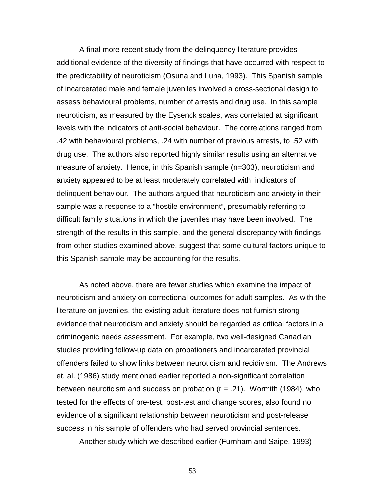A final more recent study from the delinquency literature provides additional evidence of the diversity of findings that have occurred with respect to the predictability of neuroticism (Osuna and Luna, 1993). This Spanish sample of incarcerated male and female juveniles involved a cross-sectional design to assess behavioural problems, number of arrests and drug use. In this sample neuroticism, as measured by the Eysenck scales, was correlated at significant levels with the indicators of anti-social behaviour. The correlations ranged from .42 with behavioural problems, .24 with number of previous arrests, to .52 with drug use. The authors also reported highly similar results using an alternative measure of anxiety. Hence, in this Spanish sample (n=303), neuroticism and anxiety appeared to be at least moderately correlated with indicators of delinquent behaviour. The authors argued that neuroticism and anxiety in their sample was a response to a "hostile environment", presumably referring to difficult family situations in which the juveniles may have been involved. The strength of the results in this sample, and the general discrepancy with findings from other studies examined above, suggest that some cultural factors unique to this Spanish sample may be accounting for the results.

As noted above, there are fewer studies which examine the impact of neuroticism and anxiety on correctional outcomes for adult samples. As with the literature on juveniles, the existing adult literature does not furnish strong evidence that neuroticism and anxiety should be regarded as critical factors in a criminogenic needs assessment. For example, two well-designed Canadian studies providing follow-up data on probationers and incarcerated provincial offenders failed to show links between neuroticism and recidivism. The Andrews et. al. (1986) study mentioned earlier reported a non-significant correlation between neuroticism and success on probation  $(r = .21)$ . Wormith (1984), who tested for the effects of pre-test, post-test and change scores, also found no evidence of a significant relationship between neuroticism and post-release success in his sample of offenders who had served provincial sentences.

Another study which we described earlier (Furnham and Saipe, 1993)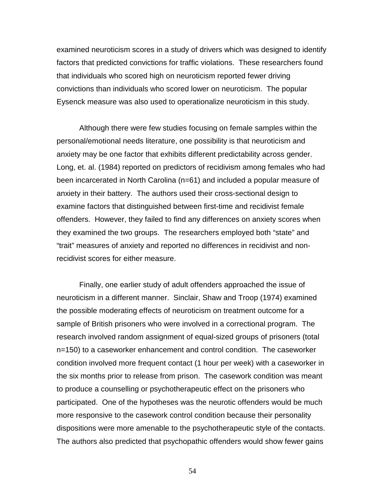examined neuroticism scores in a study of drivers which was designed to identify factors that predicted convictions for traffic violations. These researchers found that individuals who scored high on neuroticism reported fewer driving convictions than individuals who scored lower on neuroticism. The popular Eysenck measure was also used to operationalize neuroticism in this study.

Although there were few studies focusing on female samples within the personal/emotional needs literature, one possibility is that neuroticism and anxiety may be one factor that exhibits different predictability across gender. Long, et. al. (1984) reported on predictors of recidivism among females who had been incarcerated in North Carolina (n=61) and included a popular measure of anxiety in their battery. The authors used their cross-sectional design to examine factors that distinguished between first-time and recidivist female offenders. However, they failed to find any differences on anxiety scores when they examined the two groups. The researchers employed both "state" and "trait" measures of anxiety and reported no differences in recidivist and nonrecidivist scores for either measure.

Finally, one earlier study of adult offenders approached the issue of neuroticism in a different manner. Sinclair, Shaw and Troop (1974) examined the possible moderating effects of neuroticism on treatment outcome for a sample of British prisoners who were involved in a correctional program. The research involved random assignment of equal-sized groups of prisoners (total n=150) to a caseworker enhancement and control condition. The caseworker condition involved more frequent contact (1 hour per week) with a caseworker in the six months prior to release from prison. The casework condition was meant to produce a counselling or psychotherapeutic effect on the prisoners who participated. One of the hypotheses was the neurotic offenders would be much more responsive to the casework control condition because their personality dispositions were more amenable to the psychotherapeutic style of the contacts. The authors also predicted that psychopathic offenders would show fewer gains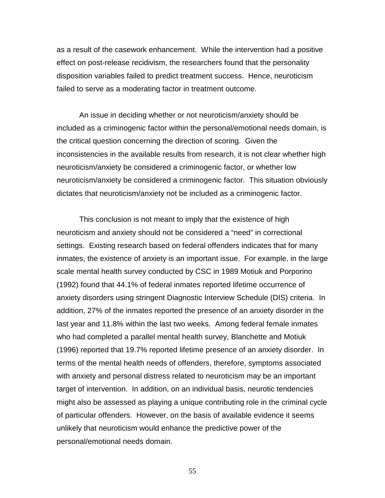as a result of the casework enhancement. While the intervention had a positive effect on post-release recidivism, the researchers found that the personality disposition variables failed to predict treatment success. Hence, neuroticism failed to serve as a moderating factor in treatment outcome.

An issue in deciding whether or not neuroticism/anxiety should be included as a criminogenic factor within the personal/emotional needs domain, is the critical question concerning the direction of scoring. Given the inconsistencies in the available results from research, it is not clear whether high neuroticism/anxiety be considered a criminogenic factor, or whether low neuroticism/anxiety be considered a criminogenic factor. This situation obviously dictates that neuroticism/anxiety not be included as a criminogenic factor.

This conclusion is not meant to imply that the existence of high neuroticism and anxiety should not be considered a "need" in correctional settings. Existing research based on federal offenders indicates that for many inmates, the existence of anxiety is an important issue. For example, in the large scale mental health survey conducted by CSC in 1989 Motiuk and Porporino (1992) found that 44.1% of federal inmates reported lifetime occurrence of anxiety disorders using stringent Diagnostic Interview Schedule (DIS) criteria. In addition, 27% of the inmates reported the presence of an anxiety disorder in the last year and 11.8% within the last two weeks. Among federal female inmates who had completed a parallel mental health survey, Blanchette and Motiuk (1996) reported that 19.7% reported lifetime presence of an anxiety disorder. In terms of the mental health needs of offenders, therefore, symptoms associated with anxiety and personal distress related to neuroticism may be an important target of intervention. In addition, on an individual basis, neurotic tendencies might also be assessed as playing a unique contributing role in the criminal cycle of particular offenders. However, on the basis of available evidence it seems unlikely that neuroticism would enhance the predictive power of the personal/emotional needs domain.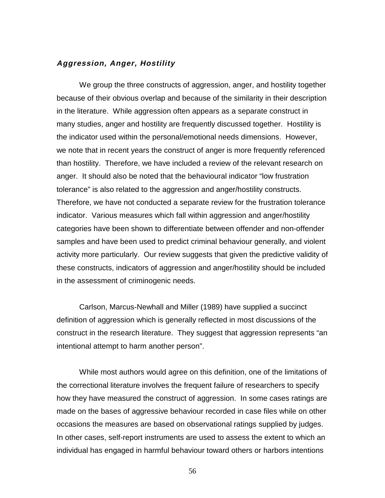#### **Aggression, Anger, Hostility**

We group the three constructs of aggression, anger, and hostility together because of their obvious overlap and because of the similarity in their description in the literature. While aggression often appears as a separate construct in many studies, anger and hostility are frequently discussed together. Hostility is the indicator used within the personal/emotional needs dimensions. However, we note that in recent years the construct of anger is more frequently referenced than hostility. Therefore, we have included a review of the relevant research on anger. It should also be noted that the behavioural indicator "low frustration tolerance" is also related to the aggression and anger/hostility constructs. Therefore, we have not conducted a separate review for the frustration tolerance indicator. Various measures which fall within aggression and anger/hostility categories have been shown to differentiate between offender and non-offender samples and have been used to predict criminal behaviour generally, and violent activity more particularly. Our review suggests that given the predictive validity of these constructs, indicators of aggression and anger/hostility should be included in the assessment of criminogenic needs.

Carlson, Marcus-Newhall and Miller (1989) have supplied a succinct definition of aggression which is generally reflected in most discussions of the construct in the research literature. They suggest that aggression represents "an intentional attempt to harm another person".

While most authors would agree on this definition, one of the limitations of the correctional literature involves the frequent failure of researchers to specify how they have measured the construct of aggression. In some cases ratings are made on the bases of aggressive behaviour recorded in case files while on other occasions the measures are based on observational ratings supplied by judges. In other cases, self-report instruments are used to assess the extent to which an individual has engaged in harmful behaviour toward others or harbors intentions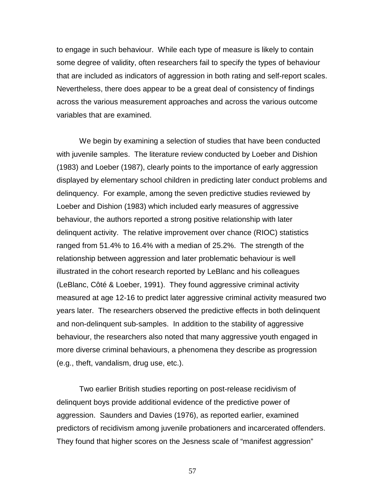to engage in such behaviour. While each type of measure is likely to contain some degree of validity, often researchers fail to specify the types of behaviour that are included as indicators of aggression in both rating and self-report scales. Nevertheless, there does appear to be a great deal of consistency of findings across the various measurement approaches and across the various outcome variables that are examined.

We begin by examining a selection of studies that have been conducted with juvenile samples. The literature review conducted by Loeber and Dishion (1983) and Loeber (1987), clearly points to the importance of early aggression displayed by elementary school children in predicting later conduct problems and delinquency. For example, among the seven predictive studies reviewed by Loeber and Dishion (1983) which included early measures of aggressive behaviour, the authors reported a strong positive relationship with later delinquent activity. The relative improvement over chance (RIOC) statistics ranged from 51.4% to 16.4% with a median of 25.2%. The strength of the relationship between aggression and later problematic behaviour is well illustrated in the cohort research reported by LeBlanc and his colleagues (LeBlanc, Côté & Loeber, 1991). They found aggressive criminal activity measured at age 12-16 to predict later aggressive criminal activity measured two years later. The researchers observed the predictive effects in both delinquent and non-delinquent sub-samples. In addition to the stability of aggressive behaviour, the researchers also noted that many aggressive youth engaged in more diverse criminal behaviours, a phenomena they describe as progression (e.g., theft, vandalism, drug use, etc.).

Two earlier British studies reporting on post-release recidivism of delinquent boys provide additional evidence of the predictive power of aggression. Saunders and Davies (1976), as reported earlier, examined predictors of recidivism among juvenile probationers and incarcerated offenders. They found that higher scores on the Jesness scale of "manifest aggression"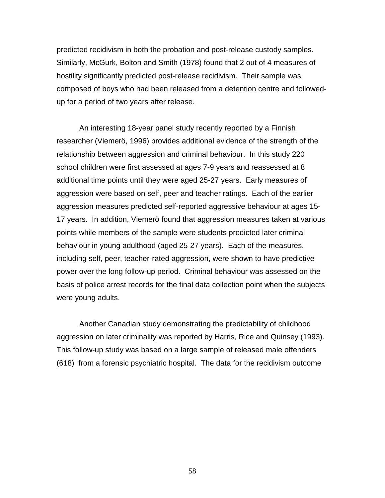predicted recidivism in both the probation and post-release custody samples. Similarly, McGurk, Bolton and Smith (1978) found that 2 out of 4 measures of hostility significantly predicted post-release recidivism. Their sample was composed of boys who had been released from a detention centre and followedup for a period of two years after release.

An interesting 18-year panel study recently reported by a Finnish researcher (Viemerö, 1996) provides additional evidence of the strength of the relationship between aggression and criminal behaviour. In this study 220 school children were first assessed at ages 7-9 years and reassessed at 8 additional time points until they were aged 25-27 years. Early measures of aggression were based on self, peer and teacher ratings. Each of the earlier aggression measures predicted self-reported aggressive behaviour at ages 15- 17 years. In addition, Viemerö found that aggression measures taken at various points while members of the sample were students predicted later criminal behaviour in young adulthood (aged 25-27 years). Each of the measures, including self, peer, teacher-rated aggression, were shown to have predictive power over the long follow-up period. Criminal behaviour was assessed on the basis of police arrest records for the final data collection point when the subjects were young adults.

Another Canadian study demonstrating the predictability of childhood aggression on later criminality was reported by Harris, Rice and Quinsey (1993). This follow-up study was based on a large sample of released male offenders (618) from a forensic psychiatric hospital. The data for the recidivism outcome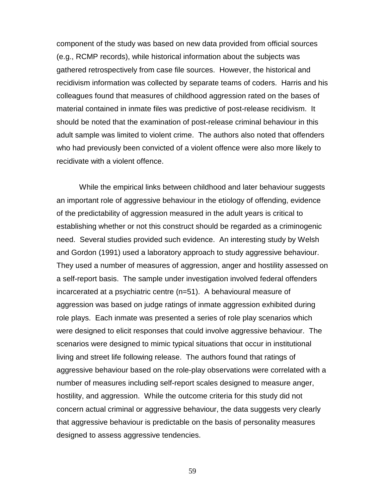component of the study was based on new data provided from official sources (e.g., RCMP records), while historical information about the subjects was gathered retrospectively from case file sources. However, the historical and recidivism information was collected by separate teams of coders. Harris and his colleagues found that measures of childhood aggression rated on the bases of material contained in inmate files was predictive of post-release recidivism. It should be noted that the examination of post-release criminal behaviour in this adult sample was limited to violent crime. The authors also noted that offenders who had previously been convicted of a violent offence were also more likely to recidivate with a violent offence.

While the empirical links between childhood and later behaviour suggests an important role of aggressive behaviour in the etiology of offending, evidence of the predictability of aggression measured in the adult years is critical to establishing whether or not this construct should be regarded as a criminogenic need. Several studies provided such evidence. An interesting study by Welsh and Gordon (1991) used a laboratory approach to study aggressive behaviour. They used a number of measures of aggression, anger and hostility assessed on a self-report basis. The sample under investigation involved federal offenders incarcerated at a psychiatric centre (n=51). A behavioural measure of aggression was based on judge ratings of inmate aggression exhibited during role plays. Each inmate was presented a series of role play scenarios which were designed to elicit responses that could involve aggressive behaviour. The scenarios were designed to mimic typical situations that occur in institutional living and street life following release. The authors found that ratings of aggressive behaviour based on the role-play observations were correlated with a number of measures including self-report scales designed to measure anger, hostility, and aggression. While the outcome criteria for this study did not concern actual criminal or aggressive behaviour, the data suggests very clearly that aggressive behaviour is predictable on the basis of personality measures designed to assess aggressive tendencies.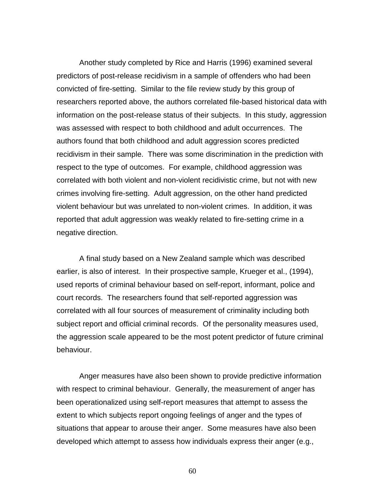Another study completed by Rice and Harris (1996) examined several predictors of post-release recidivism in a sample of offenders who had been convicted of fire-setting. Similar to the file review study by this group of researchers reported above, the authors correlated file-based historical data with information on the post-release status of their subjects. In this study, aggression was assessed with respect to both childhood and adult occurrences. The authors found that both childhood and adult aggression scores predicted recidivism in their sample. There was some discrimination in the prediction with respect to the type of outcomes. For example, childhood aggression was correlated with both violent and non-violent recidivistic crime, but not with new crimes involving fire-setting. Adult aggression, on the other hand predicted violent behaviour but was unrelated to non-violent crimes. In addition, it was reported that adult aggression was weakly related to fire-setting crime in a negative direction.

A final study based on a New Zealand sample which was described earlier, is also of interest. In their prospective sample, Krueger et al., (1994), used reports of criminal behaviour based on self-report, informant, police and court records. The researchers found that self-reported aggression was correlated with all four sources of measurement of criminality including both subject report and official criminal records. Of the personality measures used, the aggression scale appeared to be the most potent predictor of future criminal behaviour.

Anger measures have also been shown to provide predictive information with respect to criminal behaviour. Generally, the measurement of anger has been operationalized using self-report measures that attempt to assess the extent to which subjects report ongoing feelings of anger and the types of situations that appear to arouse their anger. Some measures have also been developed which attempt to assess how individuals express their anger (e.g.,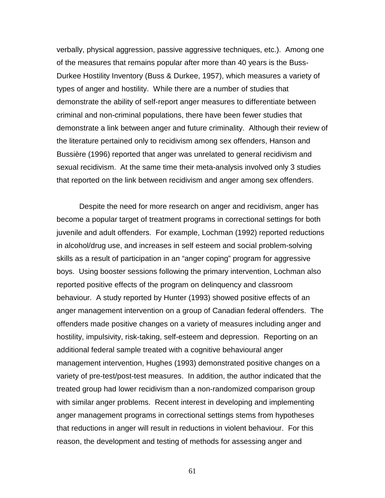verbally, physical aggression, passive aggressive techniques, etc.). Among one of the measures that remains popular after more than 40 years is the Buss-Durkee Hostility Inventory (Buss & Durkee, 1957), which measures a variety of types of anger and hostility. While there are a number of studies that demonstrate the ability of self-report anger measures to differentiate between criminal and non-criminal populations, there have been fewer studies that demonstrate a link between anger and future criminality. Although their review of the literature pertained only to recidivism among sex offenders, Hanson and Bussière (1996) reported that anger was unrelated to general recidivism and sexual recidivism. At the same time their meta-analysis involved only 3 studies that reported on the link between recidivism and anger among sex offenders.

Despite the need for more research on anger and recidivism, anger has become a popular target of treatment programs in correctional settings for both juvenile and adult offenders. For example, Lochman (1992) reported reductions in alcohol/drug use, and increases in self esteem and social problem-solving skills as a result of participation in an "anger coping" program for aggressive boys. Using booster sessions following the primary intervention, Lochman also reported positive effects of the program on delinquency and classroom behaviour. A study reported by Hunter (1993) showed positive effects of an anger management intervention on a group of Canadian federal offenders. The offenders made positive changes on a variety of measures including anger and hostility, impulsivity, risk-taking, self-esteem and depression. Reporting on an additional federal sample treated with a cognitive behavioural anger management intervention, Hughes (1993) demonstrated positive changes on a variety of pre-test/post-test measures. In addition, the author indicated that the treated group had lower recidivism than a non-randomized comparison group with similar anger problems. Recent interest in developing and implementing anger management programs in correctional settings stems from hypotheses that reductions in anger will result in reductions in violent behaviour. For this reason, the development and testing of methods for assessing anger and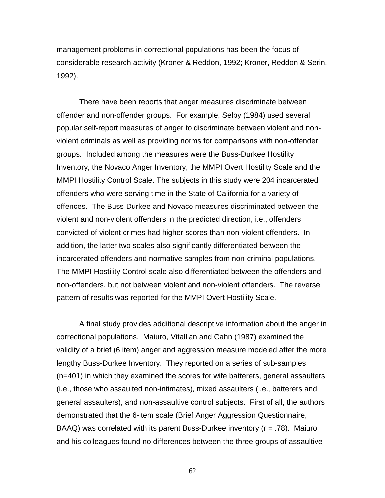management problems in correctional populations has been the focus of considerable research activity (Kroner & Reddon, 1992; Kroner, Reddon & Serin, 1992).

There have been reports that anger measures discriminate between offender and non-offender groups. For example, Selby (1984) used several popular self-report measures of anger to discriminate between violent and nonviolent criminals as well as providing norms for comparisons with non-offender groups. Included among the measures were the Buss-Durkee Hostility Inventory, the Novaco Anger Inventory, the MMPI Overt Hostility Scale and the MMPI Hostility Control Scale. The subjects in this study were 204 incarcerated offenders who were serving time in the State of California for a variety of offences. The Buss-Durkee and Novaco measures discriminated between the violent and non-violent offenders in the predicted direction, i.e., offenders convicted of violent crimes had higher scores than non-violent offenders. In addition, the latter two scales also significantly differentiated between the incarcerated offenders and normative samples from non-criminal populations. The MMPI Hostility Control scale also differentiated between the offenders and non-offenders, but not between violent and non-violent offenders. The reverse pattern of results was reported for the MMPI Overt Hostility Scale.

A final study provides additional descriptive information about the anger in correctional populations. Maiuro, Vitallian and Cahn (1987) examined the validity of a brief (6 item) anger and aggression measure modeled after the more lengthy Buss-Durkee Inventory. They reported on a series of sub-samples (n=401) in which they examined the scores for wife batterers, general assaulters (i.e., those who assaulted non-intimates), mixed assaulters (i.e., batterers and general assaulters), and non-assaultive control subjects. First of all, the authors demonstrated that the 6-item scale (Brief Anger Aggression Questionnaire, BAAQ) was correlated with its parent Buss-Durkee inventory (r = .78). Maiuro and his colleagues found no differences between the three groups of assaultive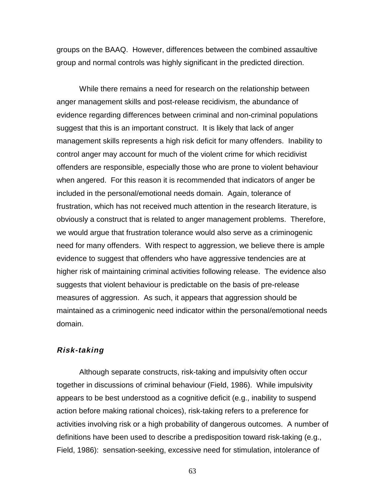groups on the BAAQ. However, differences between the combined assaultive group and normal controls was highly significant in the predicted direction.

While there remains a need for research on the relationship between anger management skills and post-release recidivism, the abundance of evidence regarding differences between criminal and non-criminal populations suggest that this is an important construct. It is likely that lack of anger management skills represents a high risk deficit for many offenders. Inability to control anger may account for much of the violent crime for which recidivist offenders are responsible, especially those who are prone to violent behaviour when angered. For this reason it is recommended that indicators of anger be included in the personal/emotional needs domain. Again, tolerance of frustration, which has not received much attention in the research literature, is obviously a construct that is related to anger management problems. Therefore, we would argue that frustration tolerance would also serve as a criminogenic need for many offenders. With respect to aggression, we believe there is ample evidence to suggest that offenders who have aggressive tendencies are at higher risk of maintaining criminal activities following release. The evidence also suggests that violent behaviour is predictable on the basis of pre-release measures of aggression. As such, it appears that aggression should be maintained as a criminogenic need indicator within the personal/emotional needs domain.

## **Risk-taking**

Although separate constructs, risk-taking and impulsivity often occur together in discussions of criminal behaviour (Field, 1986). While impulsivity appears to be best understood as a cognitive deficit (e.g., inability to suspend action before making rational choices), risk-taking refers to a preference for activities involving risk or a high probability of dangerous outcomes. A number of definitions have been used to describe a predisposition toward risk-taking (e.g., Field, 1986): sensation-seeking, excessive need for stimulation, intolerance of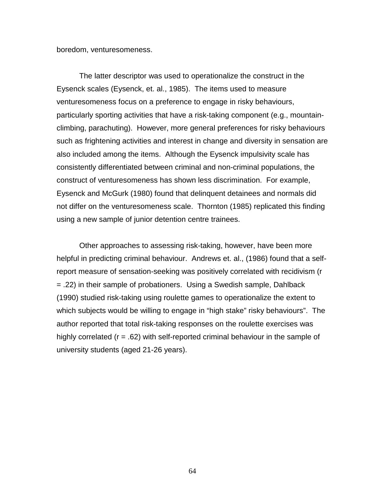boredom, venturesomeness.

The latter descriptor was used to operationalize the construct in the Eysenck scales (Eysenck, et. al., 1985). The items used to measure venturesomeness focus on a preference to engage in risky behaviours, particularly sporting activities that have a risk-taking component (e.g., mountainclimbing, parachuting). However, more general preferences for risky behaviours such as frightening activities and interest in change and diversity in sensation are also included among the items. Although the Eysenck impulsivity scale has consistently differentiated between criminal and non-criminal populations, the construct of venturesomeness has shown less discrimination. For example, Eysenck and McGurk (1980) found that delinquent detainees and normals did not differ on the venturesomeness scale. Thornton (1985) replicated this finding using a new sample of junior detention centre trainees.

Other approaches to assessing risk-taking, however, have been more helpful in predicting criminal behaviour. Andrews et. al., (1986) found that a selfreport measure of sensation-seeking was positively correlated with recidivism (r = .22) in their sample of probationers. Using a Swedish sample, Dahlback (1990) studied risk-taking using roulette games to operationalize the extent to which subjects would be willing to engage in "high stake" risky behaviours". The author reported that total risk-taking responses on the roulette exercises was highly correlated (r = .62) with self-reported criminal behaviour in the sample of university students (aged 21-26 years).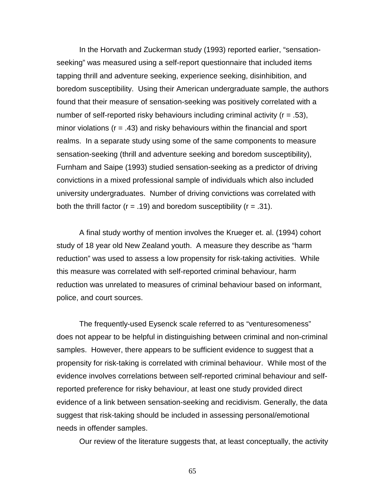In the Horvath and Zuckerman study (1993) reported earlier, "sensationseeking" was measured using a self-report questionnaire that included items tapping thrill and adventure seeking, experience seeking, disinhibition, and boredom susceptibility. Using their American undergraduate sample, the authors found that their measure of sensation-seeking was positively correlated with a number of self-reported risky behaviours including criminal activity ( $r = .53$ ), minor violations ( $r = .43$ ) and risky behaviours within the financial and sport realms. In a separate study using some of the same components to measure sensation-seeking (thrill and adventure seeking and boredom susceptibility), Furnham and Saipe (1993) studied sensation-seeking as a predictor of driving convictions in a mixed professional sample of individuals which also included university undergraduates. Number of driving convictions was correlated with both the thrill factor ( $r = .19$ ) and boredom susceptibility ( $r = .31$ ).

A final study worthy of mention involves the Krueger et. al. (1994) cohort study of 18 year old New Zealand youth. A measure they describe as "harm reduction" was used to assess a low propensity for risk-taking activities. While this measure was correlated with self-reported criminal behaviour, harm reduction was unrelated to measures of criminal behaviour based on informant, police, and court sources.

The frequently-used Eysenck scale referred to as "venturesomeness" does not appear to be helpful in distinguishing between criminal and non-criminal samples. However, there appears to be sufficient evidence to suggest that a propensity for risk-taking is correlated with criminal behaviour. While most of the evidence involves correlations between self-reported criminal behaviour and selfreported preference for risky behaviour, at least one study provided direct evidence of a link between sensation-seeking and recidivism. Generally, the data suggest that risk-taking should be included in assessing personal/emotional needs in offender samples.

Our review of the literature suggests that, at least conceptually, the activity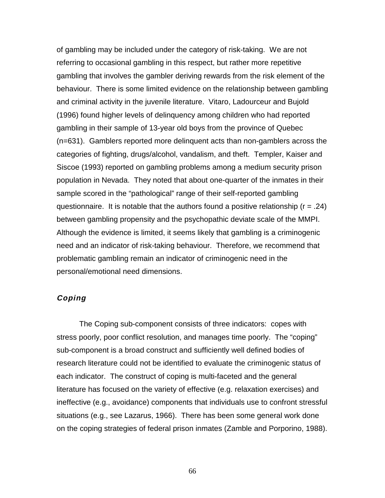of gambling may be included under the category of risk-taking. We are not referring to occasional gambling in this respect, but rather more repetitive gambling that involves the gambler deriving rewards from the risk element of the behaviour. There is some limited evidence on the relationship between gambling and criminal activity in the juvenile literature. Vitaro, Ladourceur and Bujold (1996) found higher levels of delinquency among children who had reported gambling in their sample of 13-year old boys from the province of Quebec (n=631). Gamblers reported more delinquent acts than non-gamblers across the categories of fighting, drugs/alcohol, vandalism, and theft. Templer, Kaiser and Siscoe (1993) reported on gambling problems among a medium security prison population in Nevada. They noted that about one-quarter of the inmates in their sample scored in the "pathological" range of their self-reported gambling questionnaire. It is notable that the authors found a positive relationship ( $r = .24$ ) between gambling propensity and the psychopathic deviate scale of the MMPI. Although the evidence is limited, it seems likely that gambling is a criminogenic need and an indicator of risk-taking behaviour. Therefore, we recommend that problematic gambling remain an indicator of criminogenic need in the personal/emotional need dimensions.

# **Coping**

The Coping sub-component consists of three indicators: copes with stress poorly, poor conflict resolution, and manages time poorly. The "coping" sub-component is a broad construct and sufficiently well defined bodies of research literature could not be identified to evaluate the criminogenic status of each indicator. The construct of coping is multi-faceted and the general literature has focused on the variety of effective (e.g. relaxation exercises) and ineffective (e.g., avoidance) components that individuals use to confront stressful situations (e.g., see Lazarus, 1966). There has been some general work done on the coping strategies of federal prison inmates (Zamble and Porporino, 1988).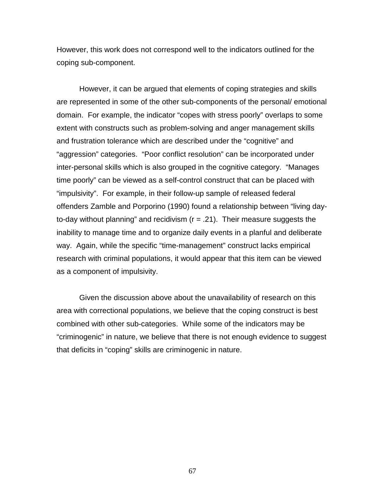However, this work does not correspond well to the indicators outlined for the coping sub-component.

However, it can be argued that elements of coping strategies and skills are represented in some of the other sub-components of the personal/ emotional domain. For example, the indicator "copes with stress poorly" overlaps to some extent with constructs such as problem-solving and anger management skills and frustration tolerance which are described under the "cognitive" and "aggression" categories. "Poor conflict resolution" can be incorporated under inter-personal skills which is also grouped in the cognitive category. "Manages time poorly" can be viewed as a self-control construct that can be placed with "impulsivity". For example, in their follow-up sample of released federal offenders Zamble and Porporino (1990) found a relationship between "living dayto-day without planning" and recidivism  $(r = .21)$ . Their measure suggests the inability to manage time and to organize daily events in a planful and deliberate way. Again, while the specific "time-management" construct lacks empirical research with criminal populations, it would appear that this item can be viewed as a component of impulsivity.

Given the discussion above about the unavailability of research on this area with correctional populations, we believe that the coping construct is best combined with other sub-categories. While some of the indicators may be "criminogenic" in nature, we believe that there is not enough evidence to suggest that deficits in "coping" skills are criminogenic in nature.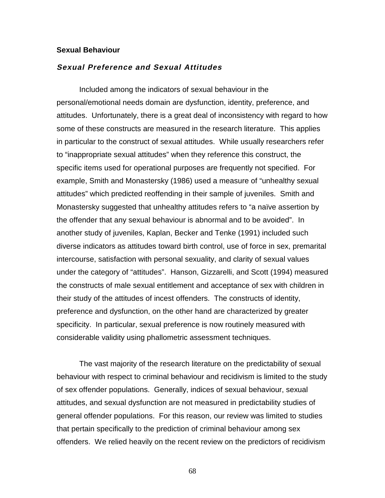#### **Sexual Behaviour**

## **Sexual Preference and Sexual Attitudes**

Included among the indicators of sexual behaviour in the personal/emotional needs domain are dysfunction, identity, preference, and attitudes. Unfortunately, there is a great deal of inconsistency with regard to how some of these constructs are measured in the research literature. This applies in particular to the construct of sexual attitudes. While usually researchers refer to "inappropriate sexual attitudes" when they reference this construct, the specific items used for operational purposes are frequently not specified. For example, Smith and Monastersky (1986) used a measure of "unhealthy sexual attitudes" which predicted reoffending in their sample of juveniles. Smith and Monastersky suggested that unhealthy attitudes refers to "a naïve assertion by the offender that any sexual behaviour is abnormal and to be avoided". In another study of juveniles, Kaplan, Becker and Tenke (1991) included such diverse indicators as attitudes toward birth control, use of force in sex, premarital intercourse, satisfaction with personal sexuality, and clarity of sexual values under the category of "attitudes". Hanson, Gizzarelli, and Scott (1994) measured the constructs of male sexual entitlement and acceptance of sex with children in their study of the attitudes of incest offenders. The constructs of identity, preference and dysfunction, on the other hand are characterized by greater specificity. In particular, sexual preference is now routinely measured with considerable validity using phallometric assessment techniques.

The vast majority of the research literature on the predictability of sexual behaviour with respect to criminal behaviour and recidivism is limited to the study of sex offender populations. Generally, indices of sexual behaviour, sexual attitudes, and sexual dysfunction are not measured in predictability studies of general offender populations. For this reason, our review was limited to studies that pertain specifically to the prediction of criminal behaviour among sex offenders. We relied heavily on the recent review on the predictors of recidivism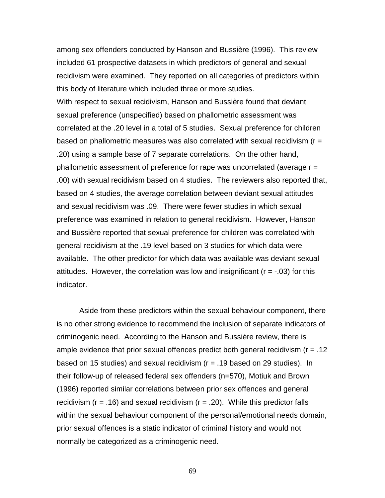among sex offenders conducted by Hanson and Bussière (1996). This review included 61 prospective datasets in which predictors of general and sexual recidivism were examined. They reported on all categories of predictors within this body of literature which included three or more studies.

With respect to sexual recidivism, Hanson and Bussière found that deviant sexual preference (unspecified) based on phallometric assessment was correlated at the .20 level in a total of 5 studies. Sexual preference for children based on phallometric measures was also correlated with sexual recidivism (r = .20) using a sample base of 7 separate correlations. On the other hand, phallometric assessment of preference for rape was uncorrelated (average r = .00) with sexual recidivism based on 4 studies. The reviewers also reported that, based on 4 studies, the average correlation between deviant sexual attitudes and sexual recidivism was .09. There were fewer studies in which sexual preference was examined in relation to general recidivism. However, Hanson and Bussière reported that sexual preference for children was correlated with general recidivism at the .19 level based on 3 studies for which data were available. The other predictor for which data was available was deviant sexual attitudes. However, the correlation was low and insignificant ( $r = -0.03$ ) for this indicator.

Aside from these predictors within the sexual behaviour component, there is no other strong evidence to recommend the inclusion of separate indicators of criminogenic need. According to the Hanson and Bussière review, there is ample evidence that prior sexual offences predict both general recidivism ( $r = .12$ ) based on 15 studies) and sexual recidivism (r = .19 based on 29 studies). In their follow-up of released federal sex offenders (n=570), Motiuk and Brown (1996) reported similar correlations between prior sex offences and general recidivism ( $r = .16$ ) and sexual recidivism ( $r = .20$ ). While this predictor falls within the sexual behaviour component of the personal/emotional needs domain, prior sexual offences is a static indicator of criminal history and would not normally be categorized as a criminogenic need.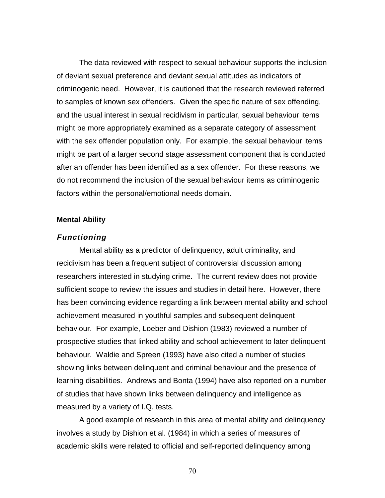The data reviewed with respect to sexual behaviour supports the inclusion of deviant sexual preference and deviant sexual attitudes as indicators of criminogenic need. However, it is cautioned that the research reviewed referred to samples of known sex offenders. Given the specific nature of sex offending, and the usual interest in sexual recidivism in particular, sexual behaviour items might be more appropriately examined as a separate category of assessment with the sex offender population only. For example, the sexual behaviour items might be part of a larger second stage assessment component that is conducted after an offender has been identified as a sex offender. For these reasons, we do not recommend the inclusion of the sexual behaviour items as criminogenic factors within the personal/emotional needs domain.

#### **Mental Ability**

#### **Functioning**

Mental ability as a predictor of delinquency, adult criminality, and recidivism has been a frequent subject of controversial discussion among researchers interested in studying crime. The current review does not provide sufficient scope to review the issues and studies in detail here. However, there has been convincing evidence regarding a link between mental ability and school achievement measured in youthful samples and subsequent delinquent behaviour. For example, Loeber and Dishion (1983) reviewed a number of prospective studies that linked ability and school achievement to later delinquent behaviour. Waldie and Spreen (1993) have also cited a number of studies showing links between delinquent and criminal behaviour and the presence of learning disabilities. Andrews and Bonta (1994) have also reported on a number of studies that have shown links between delinquency and intelligence as measured by a variety of I.Q. tests.

A good example of research in this area of mental ability and delinquency involves a study by Dishion et al. (1984) in which a series of measures of academic skills were related to official and self-reported delinquency among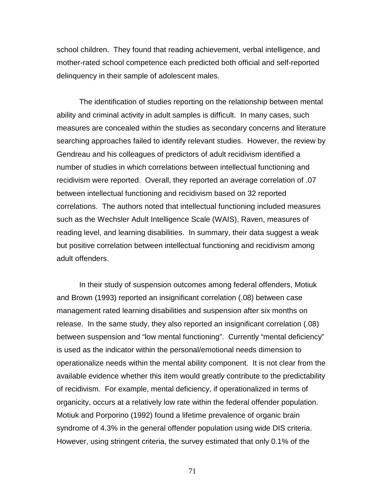school children. They found that reading achievement, verbal intelligence, and mother-rated school competence each predicted both official and self-reported delinquency in their sample of adolescent males.

The identification of studies reporting on the relationship between mental ability and criminal activity in adult samples is difficult. In many cases, such measures are concealed within the studies as secondary concerns and literature searching approaches failed to identify relevant studies. However, the review by Gendreau and his colleagues of predictors of adult recidivism identified a number of studies in which correlations between intellectual functioning and recidivism were reported. Overall, they reported an average correlation of .07 between intellectual functioning and recidivism based on 32 reported correlations. The authors noted that intellectual functioning included measures such as the Wechsler Adult Intelligence Scale (WAIS), Raven, measures of reading level, and learning disabilities. In summary, their data suggest a weak but positive correlation between intellectual functioning and recidivism among adult offenders.

In their study of suspension outcomes among federal offenders, Motiuk and Brown (1993) reported an insignificant correlation (.08) between case management rated learning disabilities and suspension after six months on release. In the same study, they also reported an insignificant correlation (.08) between suspension and "low mental functioning". Currently "mental deficiency" is used as the indicator within the personal/emotional needs dimension to operationalize needs within the mental ability component. It is not clear from the available evidence whether this item would greatly contribute to the predictability of recidivism. For example, mental deficiency, if operationalized in terms of organicity, occurs at a relatively low rate within the federal offender population. Motiuk and Porporino (1992) found a lifetime prevalence of organic brain syndrome of 4.3% in the general offender population using wide DIS criteria. However, using stringent criteria, the survey estimated that only 0.1% of the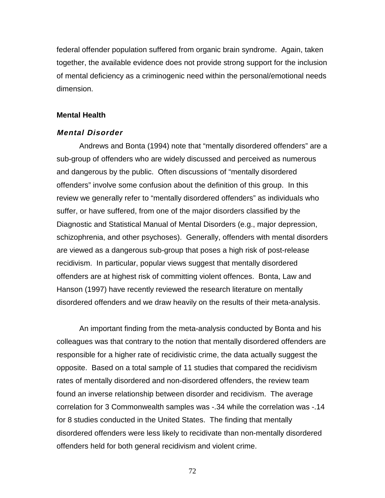federal offender population suffered from organic brain syndrome. Again, taken together, the available evidence does not provide strong support for the inclusion of mental deficiency as a criminogenic need within the personal/emotional needs dimension.

### **Mental Health**

#### **Mental Disorder**

Andrews and Bonta (1994) note that "mentally disordered offenders" are a sub-group of offenders who are widely discussed and perceived as numerous and dangerous by the public. Often discussions of "mentally disordered offenders" involve some confusion about the definition of this group. In this review we generally refer to "mentally disordered offenders" as individuals who suffer, or have suffered, from one of the major disorders classified by the Diagnostic and Statistical Manual of Mental Disorders (e.g., major depression, schizophrenia, and other psychoses). Generally, offenders with mental disorders are viewed as a dangerous sub-group that poses a high risk of post-release recidivism. In particular, popular views suggest that mentally disordered offenders are at highest risk of committing violent offences. Bonta, Law and Hanson (1997) have recently reviewed the research literature on mentally disordered offenders and we draw heavily on the results of their meta-analysis.

An important finding from the meta-analysis conducted by Bonta and his colleagues was that contrary to the notion that mentally disordered offenders are responsible for a higher rate of recidivistic crime, the data actually suggest the opposite. Based on a total sample of 11 studies that compared the recidivism rates of mentally disordered and non-disordered offenders, the review team found an inverse relationship between disorder and recidivism. The average correlation for 3 Commonwealth samples was -.34 while the correlation was -.14 for 8 studies conducted in the United States. The finding that mentally disordered offenders were less likely to recidivate than non-mentally disordered offenders held for both general recidivism and violent crime.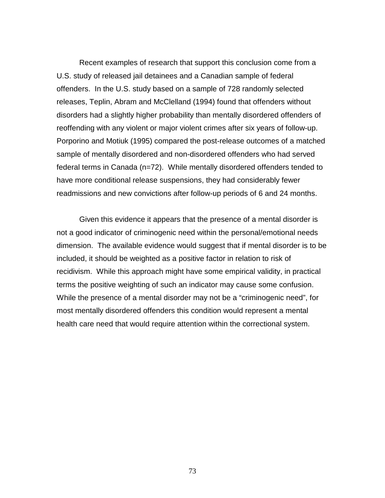Recent examples of research that support this conclusion come from a U.S. study of released jail detainees and a Canadian sample of federal offenders. In the U.S. study based on a sample of 728 randomly selected releases, Teplin, Abram and McClelland (1994) found that offenders without disorders had a slightly higher probability than mentally disordered offenders of reoffending with any violent or major violent crimes after six years of follow-up. Porporino and Motiuk (1995) compared the post-release outcomes of a matched sample of mentally disordered and non-disordered offenders who had served federal terms in Canada (n=72). While mentally disordered offenders tended to have more conditional release suspensions, they had considerably fewer readmissions and new convictions after follow-up periods of 6 and 24 months.

Given this evidence it appears that the presence of a mental disorder is not a good indicator of criminogenic need within the personal/emotional needs dimension. The available evidence would suggest that if mental disorder is to be included, it should be weighted as a positive factor in relation to risk of recidivism. While this approach might have some empirical validity, in practical terms the positive weighting of such an indicator may cause some confusion. While the presence of a mental disorder may not be a "criminogenic need", for most mentally disordered offenders this condition would represent a mental health care need that would require attention within the correctional system.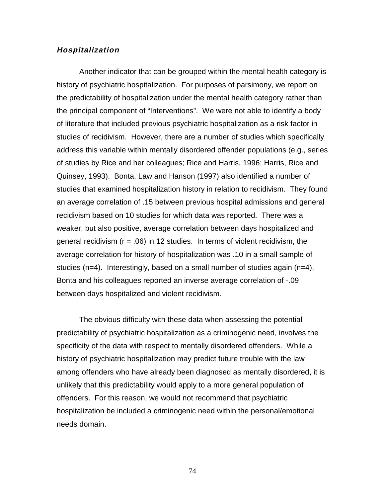#### **Hospitalization**

Another indicator that can be grouped within the mental health category is history of psychiatric hospitalization. For purposes of parsimony, we report on the predictability of hospitalization under the mental health category rather than the principal component of "Interventions". We were not able to identify a body of literature that included previous psychiatric hospitalization as a risk factor in studies of recidivism. However, there are a number of studies which specifically address this variable within mentally disordered offender populations (e.g., series of studies by Rice and her colleagues; Rice and Harris, 1996; Harris, Rice and Quinsey, 1993). Bonta, Law and Hanson (1997) also identified a number of studies that examined hospitalization history in relation to recidivism. They found an average correlation of .15 between previous hospital admissions and general recidivism based on 10 studies for which data was reported. There was a weaker, but also positive, average correlation between days hospitalized and general recidivism ( $r = .06$ ) in 12 studies. In terms of violent recidivism, the average correlation for history of hospitalization was .10 in a small sample of studies (n=4). Interestingly, based on a small number of studies again (n=4), Bonta and his colleagues reported an inverse average correlation of -.09 between days hospitalized and violent recidivism.

The obvious difficulty with these data when assessing the potential predictability of psychiatric hospitalization as a criminogenic need, involves the specificity of the data with respect to mentally disordered offenders. While a history of psychiatric hospitalization may predict future trouble with the law among offenders who have already been diagnosed as mentally disordered, it is unlikely that this predictability would apply to a more general population of offenders. For this reason, we would not recommend that psychiatric hospitalization be included a criminogenic need within the personal/emotional needs domain.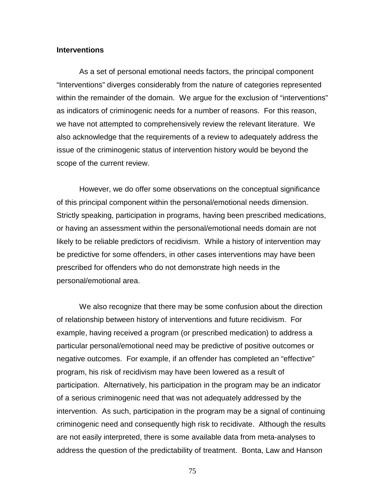#### **Interventions**

As a set of personal emotional needs factors, the principal component "Interventions" diverges considerably from the nature of categories represented within the remainder of the domain. We argue for the exclusion of "interventions" as indicators of criminogenic needs for a number of reasons. For this reason, we have not attempted to comprehensively review the relevant literature. We also acknowledge that the requirements of a review to adequately address the issue of the criminogenic status of intervention history would be beyond the scope of the current review.

However, we do offer some observations on the conceptual significance of this principal component within the personal/emotional needs dimension. Strictly speaking, participation in programs, having been prescribed medications, or having an assessment within the personal/emotional needs domain are not likely to be reliable predictors of recidivism. While a history of intervention may be predictive for some offenders, in other cases interventions may have been prescribed for offenders who do not demonstrate high needs in the personal/emotional area.

We also recognize that there may be some confusion about the direction of relationship between history of interventions and future recidivism. For example, having received a program (or prescribed medication) to address a particular personal/emotional need may be predictive of positive outcomes or negative outcomes. For example, if an offender has completed an "effective" program, his risk of recidivism may have been lowered as a result of participation. Alternatively, his participation in the program may be an indicator of a serious criminogenic need that was not adequately addressed by the intervention. As such, participation in the program may be a signal of continuing criminogenic need and consequently high risk to recidivate. Although the results are not easily interpreted, there is some available data from meta-analyses to address the question of the predictability of treatment. Bonta, Law and Hanson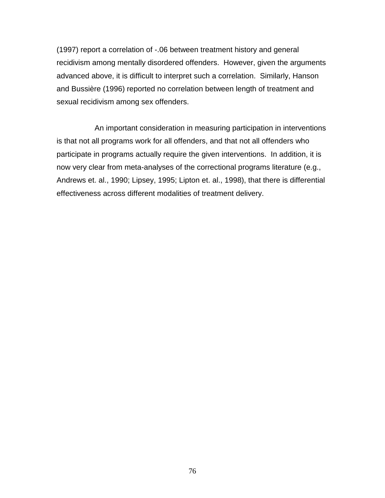(1997) report a correlation of -.06 between treatment history and general recidivism among mentally disordered offenders. However, given the arguments advanced above, it is difficult to interpret such a correlation. Similarly, Hanson and Bussière (1996) reported no correlation between length of treatment and sexual recidivism among sex offenders.

 An important consideration in measuring participation in interventions is that not all programs work for all offenders, and that not all offenders who participate in programs actually require the given interventions. In addition, it is now very clear from meta-analyses of the correctional programs literature (e.g., Andrews et. al., 1990; Lipsey, 1995; Lipton et. al., 1998), that there is differential effectiveness across different modalities of treatment delivery.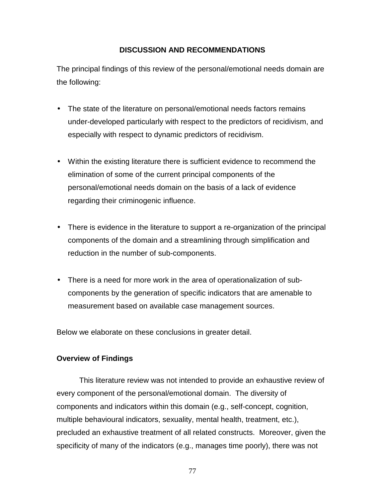# **DISCUSSION AND RECOMMENDATIONS**

The principal findings of this review of the personal/emotional needs domain are the following:

- The state of the literature on personal/emotional needs factors remains under-developed particularly with respect to the predictors of recidivism, and especially with respect to dynamic predictors of recidivism.
- Within the existing literature there is sufficient evidence to recommend the elimination of some of the current principal components of the personal/emotional needs domain on the basis of a lack of evidence regarding their criminogenic influence.
- There is evidence in the literature to support a re-organization of the principal components of the domain and a streamlining through simplification and reduction in the number of sub-components.
- There is a need for more work in the area of operationalization of subcomponents by the generation of specific indicators that are amenable to measurement based on available case management sources.

Below we elaborate on these conclusions in greater detail.

# **Overview of Findings**

This literature review was not intended to provide an exhaustive review of every component of the personal/emotional domain. The diversity of components and indicators within this domain (e.g., self-concept, cognition, multiple behavioural indicators, sexuality, mental health, treatment, etc.), precluded an exhaustive treatment of all related constructs. Moreover, given the specificity of many of the indicators (e.g., manages time poorly), there was not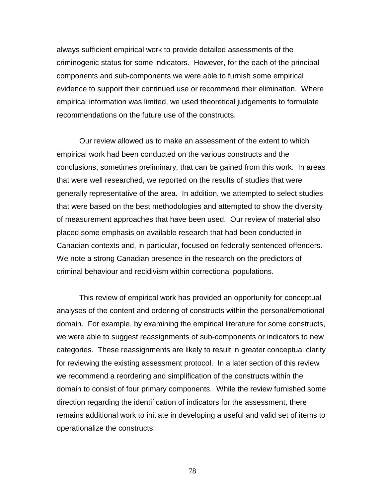always sufficient empirical work to provide detailed assessments of the criminogenic status for some indicators. However, for the each of the principal components and sub-components we were able to furnish some empirical evidence to support their continued use or recommend their elimination. Where empirical information was limited, we used theoretical judgements to formulate recommendations on the future use of the constructs.

Our review allowed us to make an assessment of the extent to which empirical work had been conducted on the various constructs and the conclusions, sometimes preliminary, that can be gained from this work. In areas that were well researched, we reported on the results of studies that were generally representative of the area. In addition, we attempted to select studies that were based on the best methodologies and attempted to show the diversity of measurement approaches that have been used. Our review of material also placed some emphasis on available research that had been conducted in Canadian contexts and, in particular, focused on federally sentenced offenders. We note a strong Canadian presence in the research on the predictors of criminal behaviour and recidivism within correctional populations.

This review of empirical work has provided an opportunity for conceptual analyses of the content and ordering of constructs within the personal/emotional domain. For example, by examining the empirical literature for some constructs, we were able to suggest reassignments of sub-components or indicators to new categories. These reassignments are likely to result in greater conceptual clarity for reviewing the existing assessment protocol. In a later section of this review we recommend a reordering and simplification of the constructs within the domain to consist of four primary components. While the review furnished some direction regarding the identification of indicators for the assessment, there remains additional work to initiate in developing a useful and valid set of items to operationalize the constructs.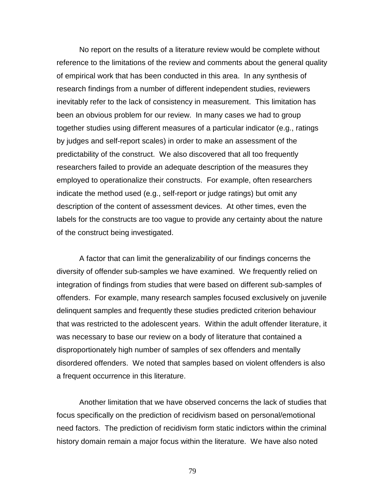No report on the results of a literature review would be complete without reference to the limitations of the review and comments about the general quality of empirical work that has been conducted in this area. In any synthesis of research findings from a number of different independent studies, reviewers inevitably refer to the lack of consistency in measurement. This limitation has been an obvious problem for our review. In many cases we had to group together studies using different measures of a particular indicator (e.g., ratings by judges and self-report scales) in order to make an assessment of the predictability of the construct. We also discovered that all too frequently researchers failed to provide an adequate description of the measures they employed to operationalize their constructs. For example, often researchers indicate the method used (e.g., self-report or judge ratings) but omit any description of the content of assessment devices. At other times, even the labels for the constructs are too vague to provide any certainty about the nature of the construct being investigated.

A factor that can limit the generalizability of our findings concerns the diversity of offender sub-samples we have examined. We frequently relied on integration of findings from studies that were based on different sub-samples of offenders. For example, many research samples focused exclusively on juvenile delinquent samples and frequently these studies predicted criterion behaviour that was restricted to the adolescent years. Within the adult offender literature, it was necessary to base our review on a body of literature that contained a disproportionately high number of samples of sex offenders and mentally disordered offenders. We noted that samples based on violent offenders is also a frequent occurrence in this literature.

Another limitation that we have observed concerns the lack of studies that focus specifically on the prediction of recidivism based on personal/emotional need factors. The prediction of recidivism form static indictors within the criminal history domain remain a major focus within the literature. We have also noted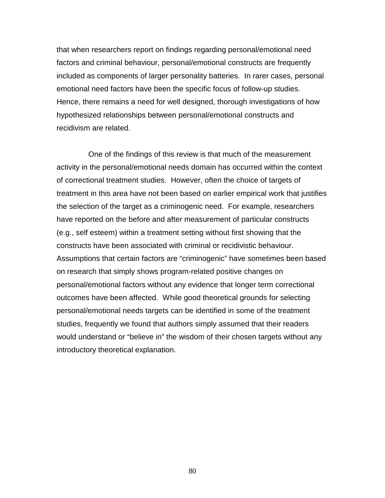that when researchers report on findings regarding personal/emotional need factors and criminal behaviour, personal/emotional constructs are frequently included as components of larger personality batteries. In rarer cases, personal emotional need factors have been the specific focus of follow-up studies. Hence, there remains a need for well designed, thorough investigations of how hypothesized relationships between personal/emotional constructs and recidivism are related.

 One of the findings of this review is that much of the measurement activity in the personal/emotional needs domain has occurred within the context of correctional treatment studies. However, often the choice of targets of treatment in this area have not been based on earlier empirical work that justifies the selection of the target as a criminogenic need. For example, researchers have reported on the before and after measurement of particular constructs (e.g., self esteem) within a treatment setting without first showing that the constructs have been associated with criminal or recidivistic behaviour. Assumptions that certain factors are "criminogenic" have sometimes been based on research that simply shows program-related positive changes on personal/emotional factors without any evidence that longer term correctional outcomes have been affected. While good theoretical grounds for selecting personal/emotional needs targets can be identified in some of the treatment studies, frequently we found that authors simply assumed that their readers would understand or "believe in" the wisdom of their chosen targets without any introductory theoretical explanation.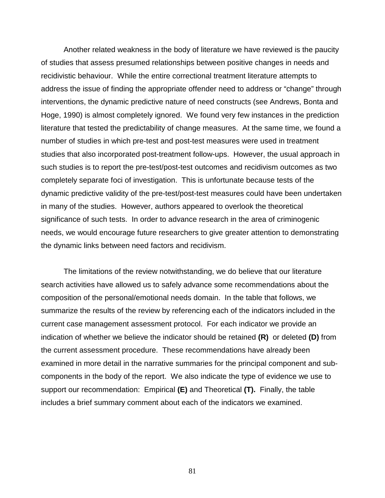Another related weakness in the body of literature we have reviewed is the paucity of studies that assess presumed relationships between positive changes in needs and recidivistic behaviour. While the entire correctional treatment literature attempts to address the issue of finding the appropriate offender need to address or "change" through interventions, the dynamic predictive nature of need constructs (see Andrews, Bonta and Hoge, 1990) is almost completely ignored. We found very few instances in the prediction literature that tested the predictability of change measures. At the same time, we found a number of studies in which pre-test and post-test measures were used in treatment studies that also incorporated post-treatment follow-ups. However, the usual approach in such studies is to report the pre-test/post-test outcomes and recidivism outcomes as two completely separate foci of investigation. This is unfortunate because tests of the dynamic predictive validity of the pre-test/post-test measures could have been undertaken in many of the studies. However, authors appeared to overlook the theoretical significance of such tests. In order to advance research in the area of criminogenic needs, we would encourage future researchers to give greater attention to demonstrating the dynamic links between need factors and recidivism.

The limitations of the review notwithstanding, we do believe that our literature search activities have allowed us to safely advance some recommendations about the composition of the personal/emotional needs domain. In the table that follows, we summarize the results of the review by referencing each of the indicators included in the current case management assessment protocol. For each indicator we provide an indication of whether we believe the indicator should be retained **(R)** or deleted **(D)** from the current assessment procedure. These recommendations have already been examined in more detail in the narrative summaries for the principal component and subcomponents in the body of the report. We also indicate the type of evidence we use to support our recommendation: Empirical **(E)** and Theoretical **(T).** Finally, the table includes a brief summary comment about each of the indicators we examined.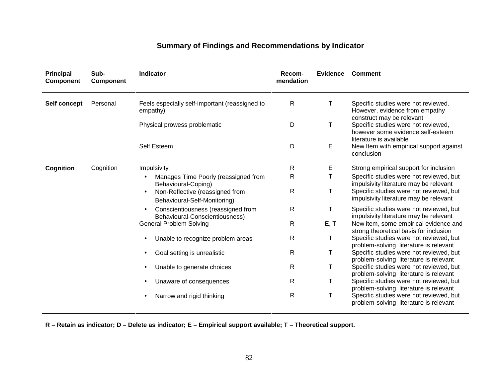| <b>Principal</b><br><b>Component</b> | Sub-<br>Component | Indicator                                                                    | Recom-<br>mendation | <b>Evidence</b> | Comment                                                                                             |
|--------------------------------------|-------------------|------------------------------------------------------------------------------|---------------------|-----------------|-----------------------------------------------------------------------------------------------------|
| Self concept                         | Personal          | Feels especially self-important (reassigned to<br>empathy)                   | $\mathsf{R}$        | Τ               | Specific studies were not reviewed.<br>However, evidence from empathy<br>construct may be relevant  |
|                                      |                   | Physical prowess problematic                                                 | D                   | T               | Specific studies were not reviewed,<br>however some evidence self-esteem<br>literature is available |
|                                      |                   | Self Esteem                                                                  | D                   | E               | New Item with empirical support against<br>conclusion                                               |
| Cognition                            | Cognition         | Impulsivity                                                                  | R                   | Е               | Strong empirical support for inclusion                                                              |
|                                      |                   | Manages Time Poorly (reassigned from<br>Behavioural-Coping)                  | R                   | т               | Specific studies were not reviewed, but<br>impulsivity literature may be relevant                   |
|                                      |                   | Non-Reflective (reassigned from<br>$\bullet$<br>Behavioural-Self-Monitoring) | R                   | Τ               | Specific studies were not reviewed, but<br>impulsivity literature may be relevant                   |
|                                      |                   | Conscientiousness (reassigned from<br>Behavioural-Conscientiousness)         | $\mathsf{R}$        | T               | Specific studies were not reviewed, but<br>impulsivity literature may be relevant                   |
|                                      |                   | <b>General Problem Solving</b>                                               | $\mathsf{R}$        | E, T            | New item, some empirical evidence and<br>strong theoretical basis for inclusion                     |
|                                      |                   | Unable to recognize problem areas                                            | $\mathsf{R}$        | Τ               | Specific studies were not reviewed, but<br>problem-solving literature is relevant                   |
|                                      |                   | Goal setting is unrealistic                                                  | $\mathsf{R}$        | Τ               | Specific studies were not reviewed, but<br>problem-solving literature is relevant                   |
|                                      |                   | Unable to generate choices                                                   | $\mathsf{R}$        | Τ               | Specific studies were not reviewed, but<br>problem-solving literature is relevant                   |
|                                      |                   | Unaware of consequences                                                      | $\mathsf{R}$        | Τ               | Specific studies were not reviewed, but<br>problem-solving literature is relevant                   |
|                                      |                   | Narrow and rigid thinking                                                    | $\mathsf{R}$        | Τ               | Specific studies were not reviewed, but<br>problem-solving literature is relevant                   |

# **Summary of Findings and Recommendations by Indicator**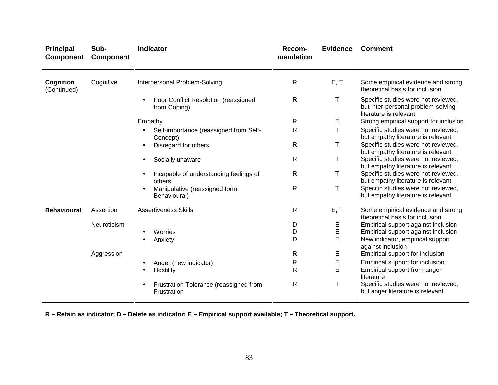| <b>Principal</b><br><b>Component</b> | Sub-<br><b>Component</b> | <b>Indicator</b>                                      | Recom-<br>mendation | <b>Evidence</b> | <b>Comment</b>                                                                                      |
|--------------------------------------|--------------------------|-------------------------------------------------------|---------------------|-----------------|-----------------------------------------------------------------------------------------------------|
| Cognition<br>(Continued)             | Cognitive                | Interpersonal Problem-Solving                         | $\mathsf{R}$        | E, T            | Some empirical evidence and strong<br>theoretical basis for inclusion                               |
|                                      |                          | Poor Conflict Resolution (reassigned<br>from Coping)  | $\mathsf{R}$        | Τ               | Specific studies were not reviewed,<br>but inter-personal problem-solving<br>literature is relevant |
|                                      |                          | Empathy                                               | $\mathsf{R}$        | Е               | Strong empirical support for inclusion                                                              |
|                                      |                          | Self-importance (reassigned from Self-<br>Concept)    | R                   | Τ               | Specific studies were not reviewed,<br>but empathy literature is relevant                           |
|                                      |                          | Disregard for others                                  | $\mathsf{R}$        | Τ               | Specific studies were not reviewed,<br>but empathy literature is relevant                           |
|                                      |                          | Socially unaware                                      | $\mathsf{R}$        | Т               | Specific studies were not reviewed,<br>but empathy literature is relevant                           |
|                                      |                          | Incapable of understanding feelings of<br>others      | $\mathsf{R}$        | Τ               | Specific studies were not reviewed,<br>but empathy literature is relevant                           |
|                                      |                          | Manipulative (reassigned form<br>Behavioural)         | $\mathsf{R}$        | Τ               | Specific studies were not reviewed,<br>but empathy literature is relevant                           |
| <b>Behavioural</b>                   | Assertion                | <b>Assertiveness Skills</b>                           | $\mathsf{R}$        | E, T            | Some empirical evidence and strong<br>theoretical basis for inclusion                               |
|                                      | Neuroticism              |                                                       | D                   | E               | Empirical support against inclusion                                                                 |
|                                      |                          | Worries                                               | D                   | $\mathsf E$     | Empirical support against inclusion                                                                 |
|                                      |                          | Anxiety                                               | D                   | E               | New indicator, empirical support<br>against inclusion                                               |
|                                      | Aggression               |                                                       | $\mathsf{R}$        | Е               | Empirical support for inclusion                                                                     |
|                                      |                          | Anger (new indicator)                                 | R                   | Е               | Empirical support for inclusion                                                                     |
|                                      |                          | Hostility                                             | $\mathsf{R}$        | E               | Empirical support from anger<br>literature                                                          |
|                                      |                          | Frustration Tolerance (reassigned from<br>Frustration | $\mathsf{R}$        | Т               | Specific studies were not reviewed,<br>but anger literature is relevant                             |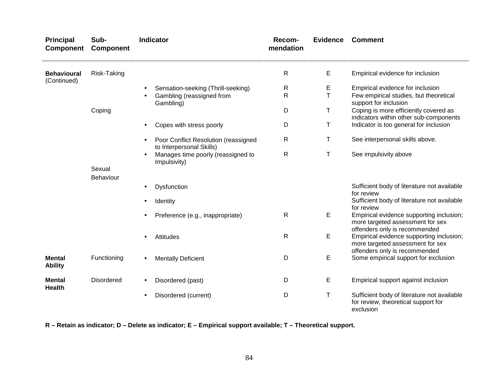| <b>Principal</b><br><b>Component</b> | Sub-<br><b>Component</b> | <b>Indicator</b>                                                 | Recom-<br>mendation | <b>Evidence</b> | <b>Comment</b>                                                                                                |
|--------------------------------------|--------------------------|------------------------------------------------------------------|---------------------|-----------------|---------------------------------------------------------------------------------------------------------------|
| <b>Behavioural</b><br>(Continued)    | Risk-Taking              |                                                                  | $\mathsf{R}$        | Е               | Empirical evidence for inclusion                                                                              |
|                                      |                          | Sensation-seeking (Thrill-seeking)                               | R                   | E               | Empirical evidence for inclusion                                                                              |
|                                      |                          | Gambling (reassigned from<br>Gambling)                           | R                   | Τ               | Few empirical studies, but theoretical<br>support for inclusion                                               |
|                                      | Coping                   |                                                                  | D                   | Τ               | Coping is more efficiently covered as<br>indicators within other sub-components                               |
|                                      |                          | Copes with stress poorly                                         | D                   | Τ               | Indicator is too general for inclusion                                                                        |
|                                      |                          | Poor Conflict Resolution (reassigned<br>to Interpersonal Skills) | R                   | T.              | See interpersonal skills above.                                                                               |
|                                      |                          | Manages time poorly (reassigned to<br>Impulsivity)               | R                   | Τ               | See impulsivity above                                                                                         |
|                                      | Sexual<br>Behaviour      |                                                                  |                     |                 |                                                                                                               |
|                                      |                          | Dysfunction                                                      |                     |                 | Sufficient body of literature not available<br>for review                                                     |
|                                      |                          | Identity                                                         |                     |                 | Sufficient body of literature not available<br>for review                                                     |
|                                      |                          | Preference (e.g., inappropriate)                                 | $\mathsf{R}$        | Е               | Empirical evidence supporting inclusion;<br>more targeted assessment for sex<br>offenders only is recommended |
|                                      |                          | Attitudes                                                        | $\mathsf{R}$        | E               | Empirical evidence supporting inclusion;<br>more targeted assessment for sex<br>offenders only is recommended |
| <b>Mental</b><br><b>Ability</b>      | Functioning              | <b>Mentally Deficient</b><br>٠                                   | D                   | Е               | Some empirical support for exclusion                                                                          |
| <b>Mental</b><br><b>Health</b>       | <b>Disordered</b>        | Disordered (past)<br>$\bullet$                                   | D                   | Е               | Empirical support against inclusion                                                                           |
|                                      |                          | Disordered (current)<br>$\bullet$                                | D                   | Τ               | Sufficient body of literature not available<br>for review, theoretical support for<br>exclusion               |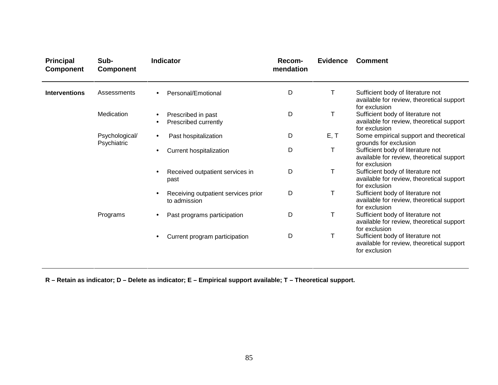| <b>Principal</b><br><b>Component</b> | Sub-<br><b>Component</b>      | <b>Indicator</b>                                    | Recom-<br>mendation | <b>Evidence</b> | <b>Comment</b>                                                                                  |
|--------------------------------------|-------------------------------|-----------------------------------------------------|---------------------|-----------------|-------------------------------------------------------------------------------------------------|
| <b>Interventions</b>                 | Assessments                   | Personal/Emotional                                  | D                   | т               | Sufficient body of literature not<br>available for review, theoretical support<br>for exclusion |
|                                      | Medication                    | Prescribed in past<br>Prescribed currently          | D                   | T               | Sufficient body of literature not<br>available for review, theoretical support<br>for exclusion |
|                                      | Psychological/<br>Psychiatric | Past hospitalization<br>$\bullet$                   | D                   | E, T            | Some empirical support and theoretical<br>grounds for exclusion                                 |
|                                      |                               | Current hospitalization                             | D                   | Τ               | Sufficient body of literature not<br>available for review, theoretical support<br>for exclusion |
|                                      |                               | Received outpatient services in<br>past             | D                   | т               | Sufficient body of literature not<br>available for review, theoretical support<br>for exclusion |
|                                      |                               | Receiving outpatient services prior<br>to admission | D                   | Τ               | Sufficient body of literature not<br>available for review, theoretical support<br>for exclusion |
|                                      | Programs                      | Past programs participation                         | D                   | Τ               | Sufficient body of literature not<br>available for review, theoretical support<br>for exclusion |
|                                      |                               | Current program participation                       | D                   | T               | Sufficient body of literature not<br>available for review, theoretical support<br>for exclusion |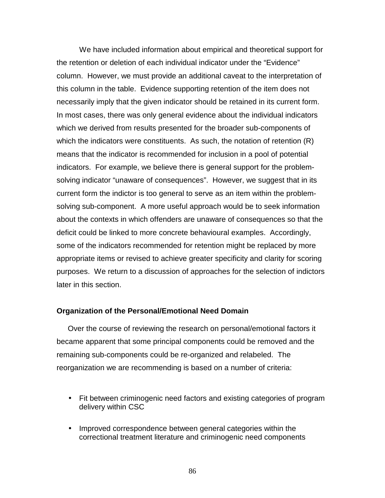We have included information about empirical and theoretical support for the retention or deletion of each individual indicator under the "Evidence" column. However, we must provide an additional caveat to the interpretation of this column in the table. Evidence supporting retention of the item does not necessarily imply that the given indicator should be retained in its current form. In most cases, there was only general evidence about the individual indicators which we derived from results presented for the broader sub-components of which the indicators were constituents. As such, the notation of retention (R) means that the indicator is recommended for inclusion in a pool of potential indicators. For example, we believe there is general support for the problemsolving indicator "unaware of consequences". However, we suggest that in its current form the indictor is too general to serve as an item within the problemsolving sub-component. A more useful approach would be to seek information about the contexts in which offenders are unaware of consequences so that the deficit could be linked to more concrete behavioural examples. Accordingly, some of the indicators recommended for retention might be replaced by more appropriate items or revised to achieve greater specificity and clarity for scoring purposes. We return to a discussion of approaches for the selection of indictors later in this section.

#### **Organization of the Personal/Emotional Need Domain**

Over the course of reviewing the research on personal/emotional factors it became apparent that some principal components could be removed and the remaining sub-components could be re-organized and relabeled. The reorganization we are recommending is based on a number of criteria:

- Fit between criminogenic need factors and existing categories of program delivery within CSC
- Improved correspondence between general categories within the correctional treatment literature and criminogenic need components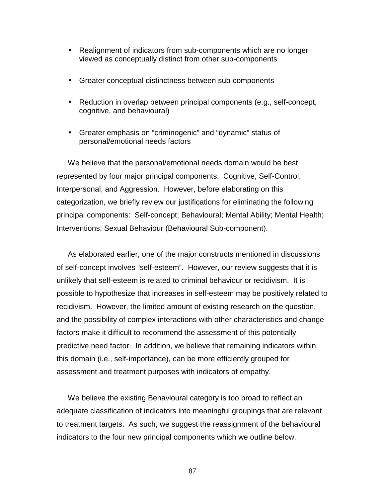- Realignment of indicators from sub-components which are no longer viewed as conceptually distinct from other sub-components
- Greater conceptual distinctness between sub-components
- Reduction in overlap between principal components (e.g., self-concept, cognitive, and behavioural)
- Greater emphasis on "criminogenic" and "dynamic" status of personal/emotional needs factors

We believe that the personal/emotional needs domain would be best represented by four major principal components: Cognitive, Self-Control, Interpersonal, and Aggression. However, before elaborating on this categorization, we briefly review our justifications for eliminating the following principal components: Self-concept; Behavioural; Mental Ability; Mental Health; Interventions; Sexual Behaviour (Behavioural Sub-component).

As elaborated earlier, one of the major constructs mentioned in discussions of self-concept involves "self-esteem". However, our review suggests that it is unlikely that self-esteem is related to criminal behaviour or recidivism. It is possible to hypothesize that increases in self-esteem may be positively related to recidivism. However, the limited amount of existing research on the question, and the possibility of complex interactions with other characteristics and change factors make it difficult to recommend the assessment of this potentially predictive need factor. In addition, we believe that remaining indicators within this domain (i.e., self-importance), can be more efficiently grouped for assessment and treatment purposes with indicators of empathy.

We believe the existing Behavioural category is too broad to reflect an adequate classification of indicators into meaningful groupings that are relevant to treatment targets. As such, we suggest the reassignment of the behavioural indicators to the four new principal components which we outline below.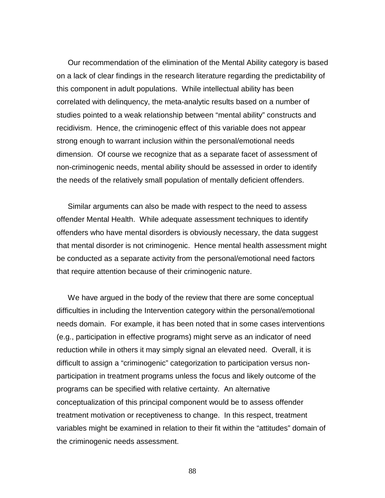Our recommendation of the elimination of the Mental Ability category is based on a lack of clear findings in the research literature regarding the predictability of this component in adult populations. While intellectual ability has been correlated with delinquency, the meta-analytic results based on a number of studies pointed to a weak relationship between "mental ability" constructs and recidivism. Hence, the criminogenic effect of this variable does not appear strong enough to warrant inclusion within the personal/emotional needs dimension. Of course we recognize that as a separate facet of assessment of non-criminogenic needs, mental ability should be assessed in order to identify the needs of the relatively small population of mentally deficient offenders.

Similar arguments can also be made with respect to the need to assess offender Mental Health. While adequate assessment techniques to identify offenders who have mental disorders is obviously necessary, the data suggest that mental disorder is not criminogenic. Hence mental health assessment might be conducted as a separate activity from the personal/emotional need factors that require attention because of their criminogenic nature.

We have argued in the body of the review that there are some conceptual difficulties in including the Intervention category within the personal/emotional needs domain. For example, it has been noted that in some cases interventions (e.g., participation in effective programs) might serve as an indicator of need reduction while in others it may simply signal an elevated need. Overall, it is difficult to assign a "criminogenic" categorization to participation versus nonparticipation in treatment programs unless the focus and likely outcome of the programs can be specified with relative certainty. An alternative conceptualization of this principal component would be to assess offender treatment motivation or receptiveness to change. In this respect, treatment variables might be examined in relation to their fit within the "attitudes" domain of the criminogenic needs assessment.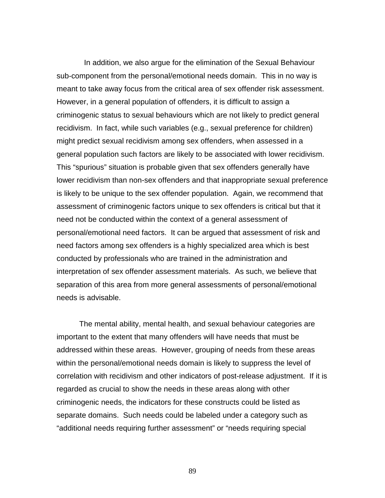In addition, we also argue for the elimination of the Sexual Behaviour sub-component from the personal/emotional needs domain. This in no way is meant to take away focus from the critical area of sex offender risk assessment. However, in a general population of offenders, it is difficult to assign a criminogenic status to sexual behaviours which are not likely to predict general recidivism. In fact, while such variables (e.g., sexual preference for children) might predict sexual recidivism among sex offenders, when assessed in a general population such factors are likely to be associated with lower recidivism. This "spurious" situation is probable given that sex offenders generally have lower recidivism than non-sex offenders and that inappropriate sexual preference is likely to be unique to the sex offender population. Again, we recommend that assessment of criminogenic factors unique to sex offenders is critical but that it need not be conducted within the context of a general assessment of personal/emotional need factors. It can be argued that assessment of risk and need factors among sex offenders is a highly specialized area which is best conducted by professionals who are trained in the administration and interpretation of sex offender assessment materials. As such, we believe that separation of this area from more general assessments of personal/emotional needs is advisable.

The mental ability, mental health, and sexual behaviour categories are important to the extent that many offenders will have needs that must be addressed within these areas. However, grouping of needs from these areas within the personal/emotional needs domain is likely to suppress the level of correlation with recidivism and other indicators of post-release adjustment. If it is regarded as crucial to show the needs in these areas along with other criminogenic needs, the indicators for these constructs could be listed as separate domains. Such needs could be labeled under a category such as "additional needs requiring further assessment" or "needs requiring special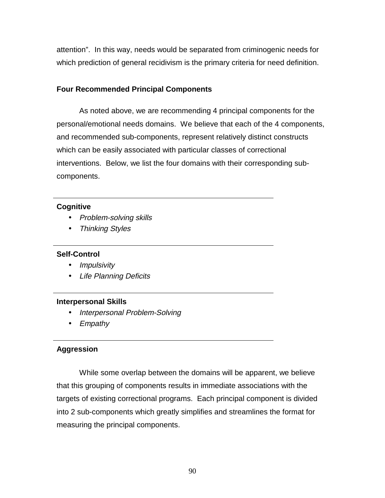attention". In this way, needs would be separated from criminogenic needs for which prediction of general recidivism is the primary criteria for need definition.

# **Four Recommended Principal Components**

As noted above, we are recommending 4 principal components for the personal/emotional needs domains. We believe that each of the 4 components, and recommended sub-components, represent relatively distinct constructs which can be easily associated with particular classes of correctional interventions. Below, we list the four domains with their corresponding subcomponents.

### **Cognitive**

- Problem-solving skills
- Thinking Styles

# **Self-Control**

- Impulsivity
- Life Planning Deficits

### **Interpersonal Skills**

- Interpersonal Problem-Solving
- Empathy

# **Aggression**

While some overlap between the domains will be apparent, we believe that this grouping of components results in immediate associations with the targets of existing correctional programs. Each principal component is divided into 2 sub-components which greatly simplifies and streamlines the format for measuring the principal components.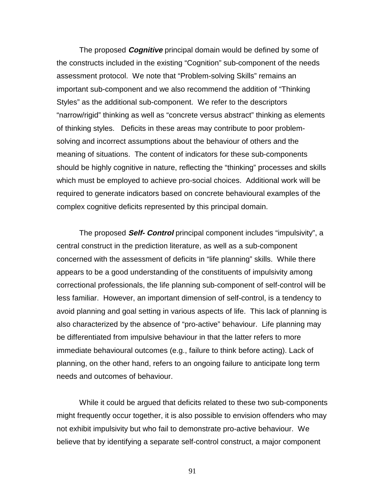The proposed **Cognitive** principal domain would be defined by some of the constructs included in the existing "Cognition" sub-component of the needs assessment protocol. We note that "Problem-solving Skills" remains an important sub-component and we also recommend the addition of "Thinking Styles" as the additional sub-component. We refer to the descriptors "narrow/rigid" thinking as well as "concrete versus abstract" thinking as elements of thinking styles. Deficits in these areas may contribute to poor problemsolving and incorrect assumptions about the behaviour of others and the meaning of situations. The content of indicators for these sub-components should be highly cognitive in nature, reflecting the "thinking" processes and skills which must be employed to achieve pro-social choices. Additional work will be required to generate indicators based on concrete behavioural examples of the complex cognitive deficits represented by this principal domain.

The proposed **Self- Control** principal component includes "impulsivity", a central construct in the prediction literature, as well as a sub-component concerned with the assessment of deficits in "life planning" skills. While there appears to be a good understanding of the constituents of impulsivity among correctional professionals, the life planning sub-component of self-control will be less familiar. However, an important dimension of self-control, is a tendency to avoid planning and goal setting in various aspects of life. This lack of planning is also characterized by the absence of "pro-active" behaviour. Life planning may be differentiated from impulsive behaviour in that the latter refers to more immediate behavioural outcomes (e.g., failure to think before acting). Lack of planning, on the other hand, refers to an ongoing failure to anticipate long term needs and outcomes of behaviour.

While it could be argued that deficits related to these two sub-components might frequently occur together, it is also possible to envision offenders who may not exhibit impulsivity but who fail to demonstrate pro-active behaviour. We believe that by identifying a separate self-control construct, a major component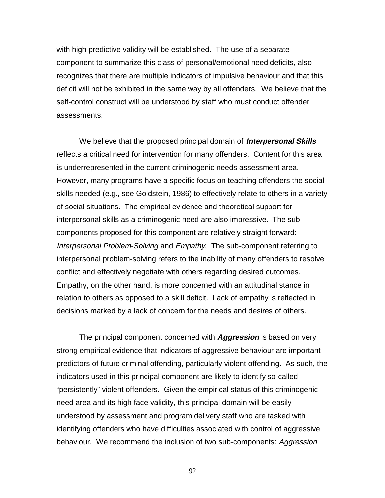with high predictive validity will be established. The use of a separate component to summarize this class of personal/emotional need deficits, also recognizes that there are multiple indicators of impulsive behaviour and that this deficit will not be exhibited in the same way by all offenders. We believe that the self-control construct will be understood by staff who must conduct offender assessments.

We believe that the proposed principal domain of **Interpersonal Skills** reflects a critical need for intervention for many offenders. Content for this area is underrepresented in the current criminogenic needs assessment area. However, many programs have a specific focus on teaching offenders the social skills needed (e.g., see Goldstein, 1986) to effectively relate to others in a variety of social situations. The empirical evidence and theoretical support for interpersonal skills as a criminogenic need are also impressive. The subcomponents proposed for this component are relatively straight forward: Interpersonal Problem-Solving and Empathy. The sub-component referring to interpersonal problem-solving refers to the inability of many offenders to resolve conflict and effectively negotiate with others regarding desired outcomes. Empathy, on the other hand, is more concerned with an attitudinal stance in relation to others as opposed to a skill deficit. Lack of empathy is reflected in decisions marked by a lack of concern for the needs and desires of others.

The principal component concerned with **Aggression** is based on very strong empirical evidence that indicators of aggressive behaviour are important predictors of future criminal offending, particularly violent offending. As such, the indicators used in this principal component are likely to identify so-called "persistently" violent offenders. Given the empirical status of this criminogenic need area and its high face validity, this principal domain will be easily understood by assessment and program delivery staff who are tasked with identifying offenders who have difficulties associated with control of aggressive behaviour. We recommend the inclusion of two sub-components: Aggression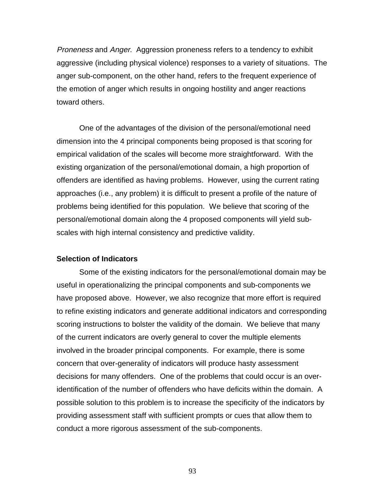Proneness and Anger. Aggression proneness refers to a tendency to exhibit aggressive (including physical violence) responses to a variety of situations. The anger sub-component, on the other hand, refers to the frequent experience of the emotion of anger which results in ongoing hostility and anger reactions toward others.

One of the advantages of the division of the personal/emotional need dimension into the 4 principal components being proposed is that scoring for empirical validation of the scales will become more straightforward. With the existing organization of the personal/emotional domain, a high proportion of offenders are identified as having problems. However, using the current rating approaches (i.e., any problem) it is difficult to present a profile of the nature of problems being identified for this population. We believe that scoring of the personal/emotional domain along the 4 proposed components will yield subscales with high internal consistency and predictive validity.

### **Selection of Indicators**

Some of the existing indicators for the personal/emotional domain may be useful in operationalizing the principal components and sub-components we have proposed above. However, we also recognize that more effort is required to refine existing indicators and generate additional indicators and corresponding scoring instructions to bolster the validity of the domain. We believe that many of the current indicators are overly general to cover the multiple elements involved in the broader principal components. For example, there is some concern that over-generality of indicators will produce hasty assessment decisions for many offenders. One of the problems that could occur is an overidentification of the number of offenders who have deficits within the domain. A possible solution to this problem is to increase the specificity of the indicators by providing assessment staff with sufficient prompts or cues that allow them to conduct a more rigorous assessment of the sub-components.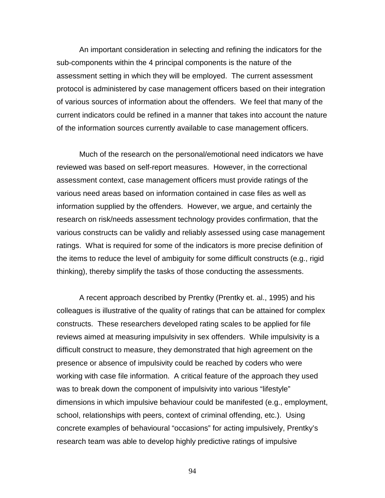An important consideration in selecting and refining the indicators for the sub-components within the 4 principal components is the nature of the assessment setting in which they will be employed. The current assessment protocol is administered by case management officers based on their integration of various sources of information about the offenders. We feel that many of the current indicators could be refined in a manner that takes into account the nature of the information sources currently available to case management officers.

Much of the research on the personal/emotional need indicators we have reviewed was based on self-report measures. However, in the correctional assessment context, case management officers must provide ratings of the various need areas based on information contained in case files as well as information supplied by the offenders. However, we argue, and certainly the research on risk/needs assessment technology provides confirmation, that the various constructs can be validly and reliably assessed using case management ratings. What is required for some of the indicators is more precise definition of the items to reduce the level of ambiguity for some difficult constructs (e.g., rigid thinking), thereby simplify the tasks of those conducting the assessments.

A recent approach described by Prentky (Prentky et. al., 1995) and his colleagues is illustrative of the quality of ratings that can be attained for complex constructs. These researchers developed rating scales to be applied for file reviews aimed at measuring impulsivity in sex offenders. While impulsivity is a difficult construct to measure, they demonstrated that high agreement on the presence or absence of impulsivity could be reached by coders who were working with case file information. A critical feature of the approach they used was to break down the component of impulsivity into various "lifestyle" dimensions in which impulsive behaviour could be manifested (e.g., employment, school, relationships with peers, context of criminal offending, etc.). Using concrete examples of behavioural "occasions" for acting impulsively, Prentky's research team was able to develop highly predictive ratings of impulsive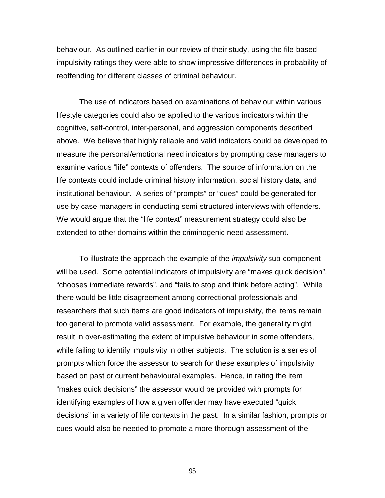behaviour. As outlined earlier in our review of their study, using the file-based impulsivity ratings they were able to show impressive differences in probability of reoffending for different classes of criminal behaviour.

The use of indicators based on examinations of behaviour within various lifestyle categories could also be applied to the various indicators within the cognitive, self-control, inter-personal, and aggression components described above. We believe that highly reliable and valid indicators could be developed to measure the personal/emotional need indicators by prompting case managers to examine various "life" contexts of offenders. The source of information on the life contexts could include criminal history information, social history data, and institutional behaviour. A series of "prompts" or "cues" could be generated for use by case managers in conducting semi-structured interviews with offenders. We would argue that the "life context" measurement strategy could also be extended to other domains within the criminogenic need assessment.

To illustrate the approach the example of the *impulsivity* sub-component will be used. Some potential indicators of impulsivity are "makes quick decision", "chooses immediate rewards", and "fails to stop and think before acting". While there would be little disagreement among correctional professionals and researchers that such items are good indicators of impulsivity, the items remain too general to promote valid assessment. For example, the generality might result in over-estimating the extent of impulsive behaviour in some offenders, while failing to identify impulsivity in other subjects. The solution is a series of prompts which force the assessor to search for these examples of impulsivity based on past or current behavioural examples. Hence, in rating the item "makes quick decisions" the assessor would be provided with prompts for identifying examples of how a given offender may have executed "quick decisions" in a variety of life contexts in the past. In a similar fashion, prompts or cues would also be needed to promote a more thorough assessment of the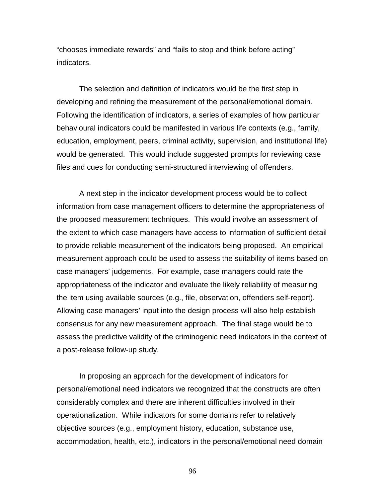"chooses immediate rewards" and "fails to stop and think before acting" indicators.

The selection and definition of indicators would be the first step in developing and refining the measurement of the personal/emotional domain. Following the identification of indicators, a series of examples of how particular behavioural indicators could be manifested in various life contexts (e.g., family, education, employment, peers, criminal activity, supervision, and institutional life) would be generated. This would include suggested prompts for reviewing case files and cues for conducting semi-structured interviewing of offenders.

A next step in the indicator development process would be to collect information from case management officers to determine the appropriateness of the proposed measurement techniques. This would involve an assessment of the extent to which case managers have access to information of sufficient detail to provide reliable measurement of the indicators being proposed. An empirical measurement approach could be used to assess the suitability of items based on case managers' judgements. For example, case managers could rate the appropriateness of the indicator and evaluate the likely reliability of measuring the item using available sources (e.g., file, observation, offenders self-report). Allowing case managers' input into the design process will also help establish consensus for any new measurement approach. The final stage would be to assess the predictive validity of the criminogenic need indicators in the context of a post-release follow-up study.

In proposing an approach for the development of indicators for personal/emotional need indicators we recognized that the constructs are often considerably complex and there are inherent difficulties involved in their operationalization. While indicators for some domains refer to relatively objective sources (e.g., employment history, education, substance use, accommodation, health, etc.), indicators in the personal/emotional need domain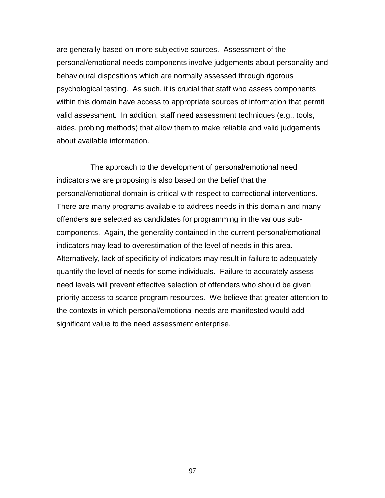are generally based on more subjective sources. Assessment of the personal/emotional needs components involve judgements about personality and behavioural dispositions which are normally assessed through rigorous psychological testing. As such, it is crucial that staff who assess components within this domain have access to appropriate sources of information that permit valid assessment. In addition, staff need assessment techniques (e.g., tools, aides, probing methods) that allow them to make reliable and valid judgements about available information.

 The approach to the development of personal/emotional need indicators we are proposing is also based on the belief that the personal/emotional domain is critical with respect to correctional interventions. There are many programs available to address needs in this domain and many offenders are selected as candidates for programming in the various subcomponents. Again, the generality contained in the current personal/emotional indicators may lead to overestimation of the level of needs in this area. Alternatively, lack of specificity of indicators may result in failure to adequately quantify the level of needs for some individuals. Failure to accurately assess need levels will prevent effective selection of offenders who should be given priority access to scarce program resources. We believe that greater attention to the contexts in which personal/emotional needs are manifested would add significant value to the need assessment enterprise.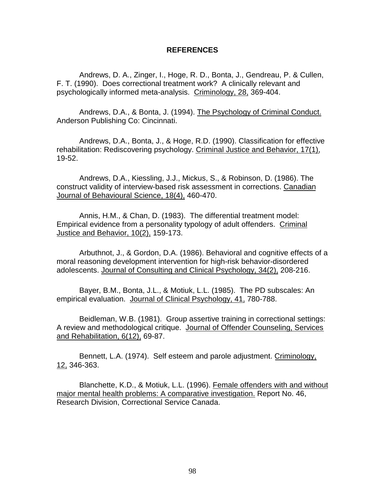### **REFERENCES**

Andrews, D. A., Zinger, I., Hoge, R. D., Bonta, J., Gendreau, P. & Cullen, F. T. (1990). Does correctional treatment work? A clinically relevant and psychologically informed meta-analysis. Criminology, 28, 369-404.

Andrews, D.A., & Bonta, J. (1994). The Psychology of Criminal Conduct. Anderson Publishing Co: Cincinnati.

Andrews, D.A., Bonta, J., & Hoge, R.D. (1990). Classification for effective rehabilitation: Rediscovering psychology. Criminal Justice and Behavior, 17(1), 19-52.

Andrews, D.A., Kiessling, J.J., Mickus, S., & Robinson, D. (1986). The construct validity of interview-based risk assessment in corrections. Canadian Journal of Behavioural Science, 18(4), 460-470.

Annis, H.M., & Chan, D. (1983). The differential treatment model: Empirical evidence from a personality typology of adult offenders. Criminal Justice and Behavior, 10(2), 159-173.

Arbuthnot, J., & Gordon, D.A. (1986). Behavioral and cognitive effects of a moral reasoning development intervention for high-risk behavior-disordered adolescents. Journal of Consulting and Clinical Psychology, 34(2), 208-216.

Bayer, B.M., Bonta, J.L., & Motiuk, L.L. (1985). The PD subscales: An empirical evaluation. Journal of Clinical Psychology, 41, 780-788.

Beidleman, W.B. (1981). Group assertive training in correctional settings: A review and methodological critique. Journal of Offender Counseling, Services and Rehabilitation, 6(12), 69-87.

Bennett, L.A. (1974). Self esteem and parole adjustment. Criminology, 12, 346-363.

Blanchette, K.D., & Motiuk, L.L. (1996). Female offenders with and without major mental health problems: A comparative investigation. Report No. 46, Research Division, Correctional Service Canada.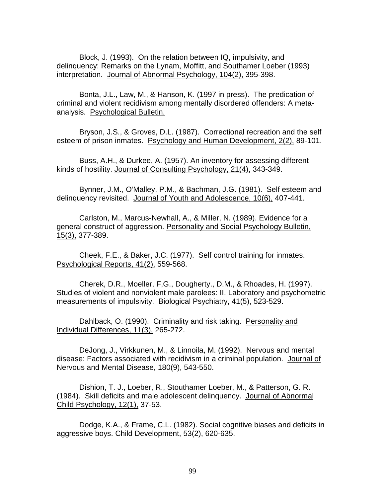Block, J. (1993). On the relation between IQ, impulsivity, and delinquency: Remarks on the Lynam, Moffitt, and Southamer Loeber (1993) interpretation. Journal of Abnormal Psychology, 104(2), 395-398.

Bonta, J.L., Law, M., & Hanson, K. (1997 in press). The predication of criminal and violent recidivism among mentally disordered offenders: A metaanalysis. Psychological Bulletin.

Bryson, J.S., & Groves, D.L. (1987). Correctional recreation and the self esteem of prison inmates. Psychology and Human Development, 2(2), 89-101.

Buss, A.H., & Durkee, A. (1957). An inventory for assessing different kinds of hostility. Journal of Consulting Psychology, 21(4), 343-349.

Bynner, J.M., O'Malley, P.M., & Bachman, J.G. (1981). Self esteem and delinquency revisited. Journal of Youth and Adolescence, 10(6), 407-441.

Carlston, M., Marcus-Newhall, A., & Miller, N. (1989). Evidence for a general construct of aggression. Personality and Social Psychology Bulletin, 15(3), 377-389.

Cheek, F.E., & Baker, J.C. (1977). Self control training for inmates. Psychological Reports, 41(2), 559-568.

Cherek, D.R., Moeller, F,G., Dougherty., D.M., & Rhoades, H. (1997). Studies of violent and nonviolent male parolees: II. Laboratory and psychometric measurements of impulsivity. Biological Psychiatry, 41(5), 523-529.

Dahlback, O. (1990). Criminality and risk taking. Personality and Individual Differences, 11(3), 265-272.

DeJong, J., Virkkunen, M., & Linnoila, M. (1992). Nervous and mental disease: Factors associated with recidivism in a criminal population. Journal of Nervous and Mental Disease, 180(9), 543-550.

Dishion, T. J., Loeber, R., Stouthamer Loeber, M., & Patterson, G. R. (1984). Skill deficits and male adolescent delinquency. Journal of Abnormal Child Psychology, 12(1), 37-53.

Dodge, K.A., & Frame, C.L. (1982). Social cognitive biases and deficits in aggressive boys. Child Development, 53(2), 620-635.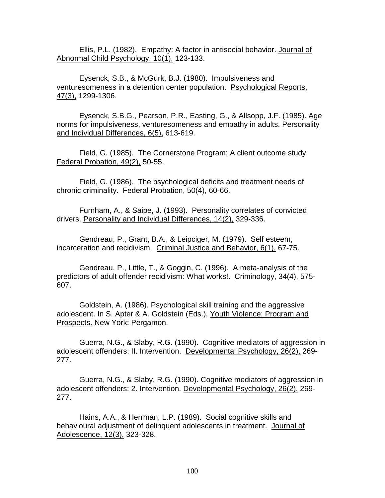Ellis, P.L. (1982). Empathy: A factor in antisocial behavior. Journal of Abnormal Child Psychology, 10(1), 123-133.

Eysenck, S.B., & McGurk, B.J. (1980). Impulsiveness and venturesomeness in a detention center population. Psychological Reports, 47(3), 1299-1306.

Eysenck, S.B.G., Pearson, P.R., Easting, G., & Allsopp, J.F. (1985). Age norms for impulsiveness, venturesomeness and empathy in adults. Personality and Individual Differences, 6(5), 613-619.

Field, G. (1985). The Cornerstone Program: A client outcome study. Federal Probation, 49(2), 50-55.

Field, G. (1986). The psychological deficits and treatment needs of chronic criminality. Federal Probation, 50(4), 60-66.

Furnham, A., & Saipe, J. (1993). Personality correlates of convicted drivers. Personality and Individual Differences, 14(2), 329-336.

Gendreau, P., Grant, B.A., & Leipciger, M. (1979). Self esteem, incarceration and recidivism. Criminal Justice and Behavior, 6(1), 67-75.

Gendreau, P., Little, T., & Goggin, C. (1996). A meta-analysis of the predictors of adult offender recidivism: What works!. Criminology, 34(4), 575- 607.

Goldstein, A. (1986). Psychological skill training and the aggressive adolescent. In S. Apter & A. Goldstein (Eds.), Youth Violence: Program and Prospects. New York: Pergamon.

Guerra, N.G., & Slaby, R.G. (1990). Cognitive mediators of aggression in adolescent offenders: II. Intervention. Developmental Psychology, 26(2), 269- 277.

Guerra, N.G., & Slaby, R.G. (1990). Cognitive mediators of aggression in adolescent offenders: 2. Intervention. Developmental Psychology, 26(2), 269- 277.

Hains, A.A., & Herrman, L.P. (1989). Social cognitive skills and behavioural adjustment of delinquent adolescents in treatment. Journal of Adolescence, 12(3), 323-328.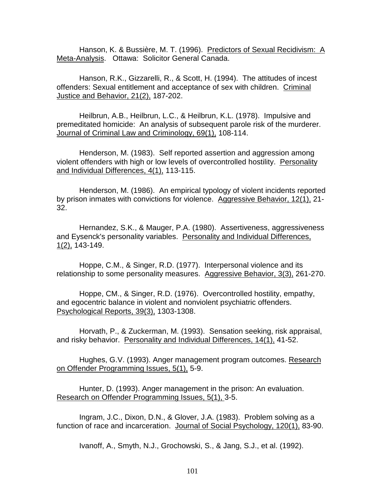Hanson, K. & Bussière, M. T. (1996). Predictors of Sexual Recidivism: A Meta-Analysis. Ottawa: Solicitor General Canada.

Hanson, R.K., Gizzarelli, R., & Scott, H. (1994). The attitudes of incest offenders: Sexual entitlement and acceptance of sex with children. Criminal Justice and Behavior, 21(2), 187-202.

Heilbrun, A.B., Heilbrun, L.C., & Heilbrun, K.L. (1978). Impulsive and premeditated homicide: An analysis of subsequent parole risk of the murderer. Journal of Criminal Law and Criminology, 69(1), 108-114.

Henderson, M. (1983). Self reported assertion and aggression among violent offenders with high or low levels of overcontrolled hostility. Personality and Individual Differences, 4(1), 113-115.

Henderson, M. (1986). An empirical typology of violent incidents reported by prison inmates with convictions for violence. Aggressive Behavior, 12(1), 21- 32.

Hernandez, S.K., & Mauger, P.A. (1980). Assertiveness, aggressiveness and Eysenck's personality variables. Personality and Individual Differences, 1(2), 143-149.

Hoppe, C.M., & Singer, R.D. (1977). Interpersonal violence and its relationship to some personality measures. Aggressive Behavior, 3(3), 261-270.

Hoppe, CM., & Singer, R.D. (1976). Overcontrolled hostility, empathy, and egocentric balance in violent and nonviolent psychiatric offenders. Psychological Reports, 39(3), 1303-1308.

Horvath, P., & Zuckerman, M. (1993). Sensation seeking, risk appraisal, and risky behavior. Personality and Individual Differences, 14(1), 41-52.

Hughes, G.V. (1993). Anger management program outcomes. Research on Offender Programming Issues, 5(1), 5-9.

Hunter, D. (1993). Anger management in the prison: An evaluation. Research on Offender Programming Issues, 5(1), 3-5.

Ingram, J.C., Dixon, D.N., & Glover, J.A. (1983). Problem solving as a function of race and incarceration. Journal of Social Psychology, 120(1), 83-90.

Ivanoff, A., Smyth, N.J., Grochowski, S., & Jang, S.J., et al. (1992).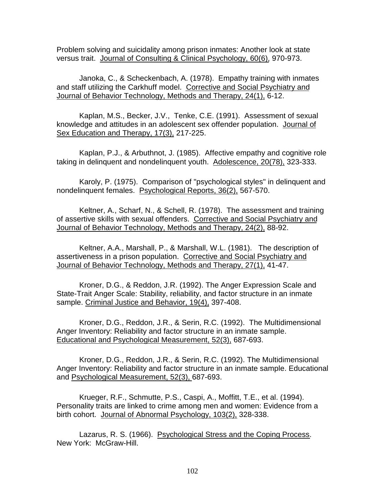Problem solving and suicidality among prison inmates: Another look at state versus trait. Journal of Consulting & Clinical Psychology, 60(6), 970-973.

Janoka, C., & Scheckenbach, A. (1978). Empathy training with inmates and staff utilizing the Carkhuff model. Corrective and Social Psychiatry and Journal of Behavior Technology, Methods and Therapy, 24(1), 6-12.

Kaplan, M.S., Becker, J.V., Tenke, C.E. (1991). Assessment of sexual knowledge and attitudes in an adolescent sex offender population. Journal of Sex Education and Therapy, 17(3), 217-225.

Kaplan, P.J., & Arbuthnot, J. (1985). Affective empathy and cognitive role taking in delinquent and nondelinquent youth. Adolescence, 20(78), 323-333.

Karoly, P. (1975). Comparison of "psychological styles" in delinquent and nondelinquent females. Psychological Reports, 36(2), 567-570.

Keltner, A., Scharf, N., & Schell, R. (1978). The assessment and training of assertive skills with sexual offenders. Corrective and Social Psychiatry and Journal of Behavior Technology, Methods and Therapy, 24(2), 88-92.

Keltner, A.A., Marshall, P., & Marshall, W.L. (1981). The description of assertiveness in a prison population. Corrective and Social Psychiatry and Journal of Behavior Technology, Methods and Therapy, 27(1), 41-47.

Kroner, D.G., & Reddon, J.R. (1992). The Anger Expression Scale and State-Trait Anger Scale: Stability, reliability, and factor structure in an inmate sample. Criminal Justice and Behavior, 19(4), 397-408.

Kroner, D.G., Reddon, J.R., & Serin, R.C. (1992). The Multidimensional Anger Inventory: Reliability and factor structure in an inmate sample. Educational and Psychological Measurement, 52(3), 687-693.

Kroner, D.G., Reddon, J.R., & Serin, R.C. (1992). The Multidimensional Anger Inventory: Reliability and factor structure in an inmate sample. Educational and Psychological Measurement, 52(3), 687-693.

Krueger, R.F., Schmutte, P.S., Caspi, A., Moffitt, T.E., et al. (1994). Personality traits are linked to crime among men and women: Evidence from a birth cohort. Journal of Abnormal Psychology, 103(2), 328-338.

Lazarus, R. S. (1966). Psychological Stress and the Coping Process. New York: McGraw-Hill.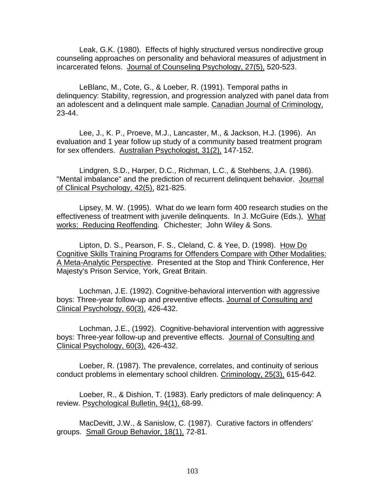Leak, G.K. (1980). Effects of highly structured versus nondirective group counseling approaches on personality and behavioral measures of adjustment in incarcerated felons. Journal of Counseling Psychology, 27(5), 520-523.

LeBlanc, M., Cote, G., & Loeber, R. (1991). Temporal paths in delinquency: Stability, regression, and progression analyzed with panel data from an adolescent and a delinquent male sample. Canadian Journal of Criminology, 23-44.

Lee, J., K. P., Proeve, M.J., Lancaster, M., & Jackson, H.J. (1996). An evaluation and 1 year follow up study of a community based treatment program for sex offenders. Australian Psychologist, 31(2), 147-152.

Lindgren, S.D., Harper, D.C., Richman, L.C., & Stehbens, J.A. (1986). "Mental imbalance" and the prediction of recurrent delinquent behavior. Journal of Clinical Psychology, 42(5), 821-825.

Lipsey, M. W. (1995). What do we learn form 400 research studies on the effectiveness of treatment with juvenile delinquents. In J. McGuire (Eds.), What works: Reducing Reoffending. Chichester; John Wiley & Sons.

Lipton, D. S., Pearson, F. S., Cleland, C. & Yee, D. (1998). How Do Cognitive Skills Training Programs for Offenders Compare with Other Modalities: A Meta-Analytic Perspective. Presented at the Stop and Think Conference, Her Majesty's Prison Service, York, Great Britain.

Lochman, J.E. (1992). Cognitive-behavioral intervention with aggressive boys: Three-year follow-up and preventive effects. Journal of Consulting and Clinical Psychology, 60(3), 426-432.

Lochman, J.E., (1992). Cognitive-behavioral intervention with aggressive boys: Three-year follow-up and preventive effects. Journal of Consulting and Clinical Psychology, 60(3), 426-432.

Loeber, R. (1987). The prevalence, correlates, and continuity of serious conduct problems in elementary school children. Criminology, 25(3), 615-642.

Loeber, R., & Dishion, T. (1983). Early predictors of male delinquency: A review. Psychological Bulletin, 94(1), 68-99.

MacDevitt, J.W., & Sanislow, C. (1987). Curative factors in offenders' groups. Small Group Behavior, 18(1), 72-81.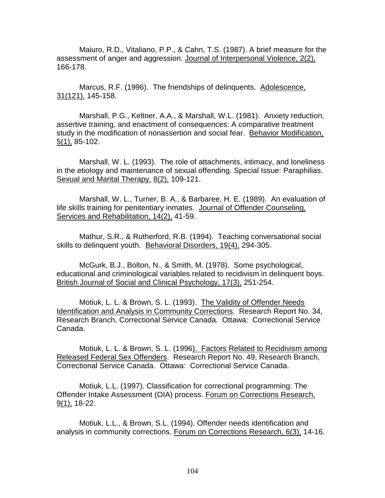Maiuro, R.D., Vitaliano, P.P., & Cahn, T.S. (1987). A brief measure for the assessment of anger and aggression. Journal of Interpersonal Violence, 2(2), 166-178.

Marcus, R.F. (1996). The friendships of delinquents. Adolescence, 31(121), 145-158.

Marshall, P.G., Keltner, A.A., & Marshall, W.L. (1981). Anxiety reduction, assertive training, and enactment of consequences: A comparative treatment study in the modification of nonassertion and social fear. Behavior Modification, 5(1), 85-102.

Marshall, W. L. (1993). The role of attachments, intimacy, and loneliness in the etiology and maintenance of sexual offending. Special Issue: Paraphilias. Sexual and Marital Therapy, 8(2), 109-121.

Marshall, W. L., Turner, B. A., & Barbaree, H. E. (1989). An evaluation of life skills training for penitentiary inmates. Journal of Offender Counseling, Services and Rehabilitation, 14(2), 41-59.

Mathur, S.R., & Rutherford, R.B. (1994). Teaching conversational social skills to delinquent youth. Behavioral Disorders, 19(4), 294-305.

McGurk, B.J., Bolton, N., & Smith, M. (1978). Some psychological, educational and criminological variables related to recidivism in delinquent boys. British Journal of Social and Clinical Psychology, 17(3), 251-254.

Motiuk, L. L. & Brown, S. L. (1993). The Validity of Offender Needs Identification and Analysis in Community Corrections. Research Report No. 34, Research Branch, Correctional Service Canada. Ottawa: Correctional Service Canada.

Motiuk, L. L. & Brown, S. L. (1996). Factors Related to Recidivism among Released Federal Sex Offenders. Research Report No. 49, Research Branch, Correctional Service Canada. Ottawa: Correctional Service Canada.

Motiuk, L.L. (1997). Classification for correctional programming: The Offender Intake Assessment (OIA) process. Forum on Corrections Research, 9(1), 18-22.

Motiuk, L.L., & Brown, S.L. (1994). Offender needs identification and analysis in community corrections. Forum on Corrections Research, 6(3), 14-16.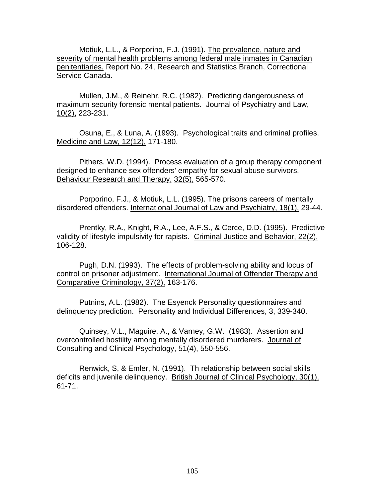Motiuk, L.L., & Porporino, F.J. (1991). The prevalence, nature and severity of mental health problems among federal male inmates in Canadian penitentiaries. Report No. 24, Research and Statistics Branch, Correctional Service Canada.

Mullen, J.M., & Reinehr, R.C. (1982). Predicting dangerousness of maximum security forensic mental patients. Journal of Psychiatry and Law, 10(2), 223-231.

Osuna, E., & Luna, A. (1993). Psychological traits and criminal profiles. Medicine and Law, 12(12), 171-180.

Pithers, W.D. (1994). Process evaluation of a group therapy component designed to enhance sex offenders' empathy for sexual abuse survivors. Behaviour Research and Therapy, 32(5), 565-570.

Porporino, F.J., & Motiuk, L.L. (1995). The prisons careers of mentally disordered offenders. International Journal of Law and Psychiatry, 18(1), 29-44.

Prentky, R.A., Knight, R.A., Lee, A.F.S., & Cerce, D.D. (1995). Predictive validity of lifestyle impulsivity for rapists. Criminal Justice and Behavior, 22(2), 106-128.

Pugh, D.N. (1993). The effects of problem-solving ability and locus of control on prisoner adjustment. International Journal of Offender Therapy and Comparative Criminology, 37(2), 163-176.

Putnins, A.L. (1982). The Esyenck Personality questionnaires and delinquency prediction. Personality and Individual Differences, 3, 339-340.

Quinsey, V.L., Maguire, A., & Varney, G.W. (1983). Assertion and overcontrolled hostility among mentally disordered murderers. Journal of Consulting and Clinical Psychology, 51(4), 550-556.

Renwick, S, & Emler, N. (1991). Th relationship between social skills deficits and juvenile delinquency. British Journal of Clinical Psychology, 30(1), 61-71.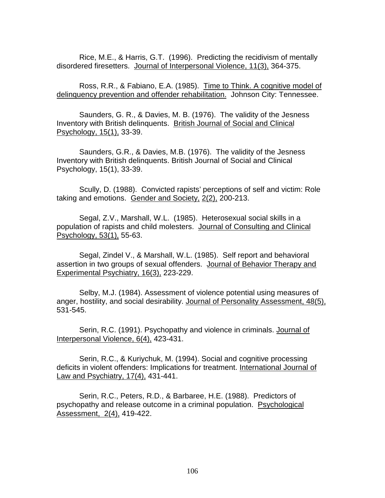Rice, M.E., & Harris, G.T. (1996). Predicting the recidivism of mentally disordered firesetters. Journal of Interpersonal Violence, 11(3), 364-375.

Ross, R.R., & Fabiano, E.A. (1985). Time to Think. A cognitive model of delinquency prevention and offender rehabilitation. Johnson City: Tennessee.

Saunders, G. R., & Davies, M. B. (1976). The validity of the Jesness Inventory with British delinquents. British Journal of Social and Clinical Psychology, 15(1), 33-39.

Saunders, G.R., & Davies, M.B. (1976). The validity of the Jesness Inventory with British delinquents. British Journal of Social and Clinical Psychology, 15(1), 33-39.

Scully, D. (1988). Convicted rapists' perceptions of self and victim: Role taking and emotions. Gender and Society, 2(2), 200-213.

Segal, Z.V., Marshall, W.L. (1985). Heterosexual social skills in a population of rapists and child molesters. Journal of Consulting and Clinical Psychology, 53(1), 55-63.

Segal, Zindel V., & Marshall, W.L. (1985). Self report and behavioral assertion in two groups of sexual offenders. Journal of Behavior Therapy and Experimental Psychiatry, 16(3), 223-229.

Selby, M.J. (1984). Assessment of violence potential using measures of anger, hostility, and social desirability. Journal of Personality Assessment, 48(5), 531-545.

Serin, R.C. (1991). Psychopathy and violence in criminals. Journal of Interpersonal Violence, 6(4), 423-431.

Serin, R.C., & Kuriychuk, M. (1994). Social and cognitive processing deficits in violent offenders: Implications for treatment. International Journal of Law and Psychiatry, 17(4), 431-441.

Serin, R.C., Peters, R.D., & Barbaree, H.E. (1988). Predictors of psychopathy and release outcome in a criminal population. Psychological Assessment, 2(4), 419-422.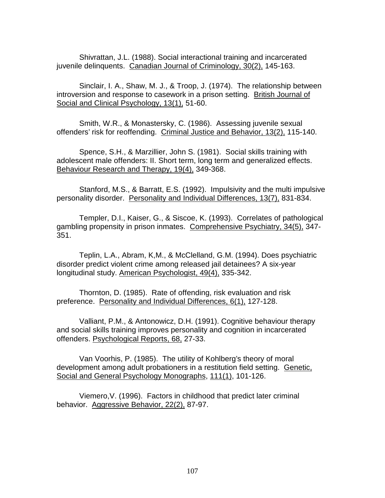Shivrattan, J.L. (1988). Social interactional training and incarcerated juvenile delinquents. Canadian Journal of Criminology, 30(2), 145-163.

Sinclair, I. A., Shaw, M. J., & Troop, J. (1974). The relationship between introversion and response to casework in a prison setting. British Journal of Social and Clinical Psychology, 13(1), 51-60.

Smith, W.R., & Monastersky, C. (1986). Assessing juvenile sexual offenders' risk for reoffending. Criminal Justice and Behavior, 13(2), 115-140.

Spence, S.H., & Marzillier, John S. (1981). Social skills training with adolescent male offenders: II. Short term, long term and generalized effects. Behaviour Research and Therapy, 19(4), 349-368.

Stanford, M.S., & Barratt, E.S. (1992). Impulsivity and the multi impulsive personality disorder. Personality and Individual Differences, 13(7), 831-834.

Templer, D.I., Kaiser, G., & Siscoe, K. (1993). Correlates of pathological gambling propensity in prison inmates. Comprehensive Psychiatry, 34(5), 347- 351.

Teplin, L.A., Abram, K,M., & McClelland, G.M. (1994). Does psychiatric disorder predict violent crime among released jail detainees? A six-year longitudinal study. American Psychologist, 49(4), 335-342.

Thornton, D. (1985). Rate of offending, risk evaluation and risk preference. Personality and Individual Differences, 6(1), 127-128.

Valliant, P.M., & Antonowicz, D.H. (1991). Cognitive behaviour therapy and social skills training improves personality and cognition in incarcerated offenders. Psychological Reports, 68, 27-33.

Van Voorhis, P. (1985). The utility of Kohlberg's theory of moral development among adult probationers in a restitution field setting. Genetic, Social and General Psychology Monographs, 111(1), 101-126.

Viemero,V. (1996). Factors in childhood that predict later criminal behavior. Aggressive Behavior, 22(2), 87-97.